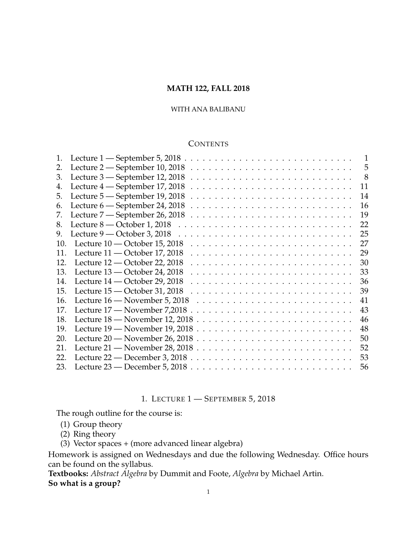# **MATH 122, FALL 2018**

# WITH ANA BALIBANU

## **CONTENTS**

| 5<br>-8<br>11<br>14 |
|---------------------|
|                     |
|                     |
|                     |
|                     |
| 16                  |
| 19                  |
| 22                  |
| 25                  |
| 27                  |
| 29                  |
| 30                  |
| 33                  |
| 36                  |
| 39                  |
| 41                  |
| 43                  |
| 46                  |
| 48                  |
| 50                  |
| 52                  |
| 53                  |
| 56                  |
|                     |

# 1. LECTURE 1 — SEPTEMBER 5, 2018

<span id="page-0-0"></span>The rough outline for the course is:

- (1) Group theory
- (2) Ring theory
- (3) Vector spaces + (more advanced linear algebra)

Homework is assigned on Wednesdays and due the following Wednesday. Office hours can be found on the syllabus.

**Textbooks:** *Abstract Algebra* by Dummit and Foote, *Algebra* by Michael Artin. **So what is a group?**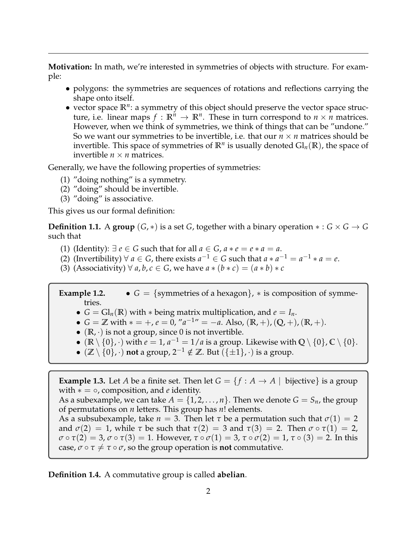**Motivation:** In math, we're interested in symmetries of objects with structure. For example:

- polygons: the symmetries are sequences of rotations and reflections carrying the shape onto itself.
- vector space **R***<sup>n</sup>* : a symmetry of this object should preserve the vector space structure, i.e. linear maps  $f : \mathbb{R}^n \to \mathbb{R}^n$ . These in turn correspond to  $n \times n$  matrices. However, when we think of symmetries, we think of things that can be "undone." So we want our symmetries to be invertible, i.e. that our *n* × *n* matrices should be invertible. This space of symmetries of  $\mathbb{R}^n$  is usually denoted  $\mathrm{Gl}_n(\mathbb{R})$ , the space of invertible  $n \times n$  matrices.

Generally, we have the following properties of symmetries:

- (1) "doing nothing" is a symmetry.
- (2) "doing" should be invertible.
- (3) "doing" is associative.

This gives us our formal definition:

**Definition 1.1.** A **group**  $(G, *)$  is a set *G*, together with a binary operation  $* : G \times G \rightarrow G$ such that

- (1) (Identity):  $\exists e \in G$  such that for all  $a \in G$ ,  $a * e = e * a = a$ .
- (2) (Invertibility)  $\forall a \in G$ , there exists  $a^{-1} \in G$  such that  $a * a^{-1} = a^{-1} * a = e$ .
- (3) (Associativity)  $\forall a, b, c \in G$ , we have  $a * (b * c) = (a * b) * c$

**Example 1.2.** •  $G = \{symmetries of a hexagon\}, *$  is composition of symmetries.

- $G = Gl_n(\mathbb{R})$  with  $*$  being matrix multiplication, and  $e = I_n$ .
- $G = \mathbb{Z}$  with  $* = +, e = 0, "a^{-1} = -a$ . Also,  $(\mathbb{R}, +), (\mathbb{Q}, +), (\mathbb{R}, +)$ .
- $(\mathbb{R}, \cdot)$  is not a group, since 0 is not invertible.
- ( $\mathbb{R} \setminus \{0\}$ , ·) with  $e = 1$ ,  $a^{-1} = 1/a$  is a group. Likewise with  $\mathbb{Q} \setminus \{0\}$ ,  $\mathbb{C} \setminus \{0\}$ .
- $(\mathbb{Z} \setminus \{0\}, \cdot)$  **not** a group,  $2^{-1} \notin \mathbb{Z}$ . But  $(\{\pm 1\}, \cdot)$  is a group.

**Example 1.3.** Let *A* be a finite set. Then let  $G = \{f : A \rightarrow A \mid \text{ bijective}\}$  is a group with ∗ = ◦, composition, and *e* identity.

As a subexample, we can take  $A = \{1, 2, ..., n\}$ . Then we denote  $G = S_n$ , the group of permutations on *n* letters. This group has *n*! elements.

As a subsubexample, take  $n = 3$ . Then let  $\tau$  be a permutation such that  $\sigma(1) = 2$ and  $\sigma(2) = 1$ , while  $\tau$  be such that  $\tau(2) = 3$  and  $\tau(3) = 2$ . Then  $\sigma \circ \tau(1) = 2$ , *σ* ◦ *τ*(2) = 3, *σ* ◦ *τ*(3) = 1. However, *τ* ◦ *σ*(1) = 3, *τ* ◦ *σ*(2) = 1, *τ* ◦ (3) = 2. In this case,  $\sigma \circ \tau \neq \tau \circ \sigma$ , so the group operation is **not** commutative.

**Definition 1.4.** A commutative group is called **abelian**.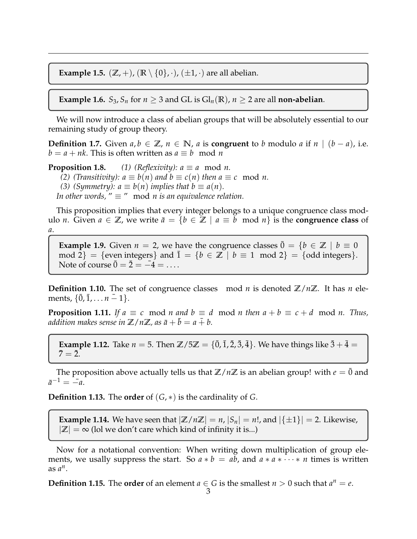**Example 1.5.**  $(\mathbb{Z}, +)$ ,  $(\mathbb{R} \setminus \{0\}, \cdot)$ ,  $(\pm 1, \cdot)$  are all abelian.

**Example 1.6.** *S*<sub>3</sub>, *S*<sub>*n*</sub> for  $n \geq 3$  and GL is Gl<sub>*n*</sub>( $\mathbb{R}$ ),  $n \geq 2$  are all **non-abelian**.

We will now introduce a class of abelian groups that will be absolutely essential to our remaining study of group theory.

**Definition 1.7.** Given  $a, b \in \mathbb{Z}$ ,  $n \in \mathbb{N}$ ,  $a$  is **congruent** to  $b$  modulo  $a$  if  $n \mid (b - a)$ , i.e.  $b = a + nk$ . This is often written as  $a \equiv b \mod n$ 

**Proposition 1.8.** *(1) (Reflexivity):*  $a \equiv a \mod n$ . *(2) (Transitivity):*  $a \equiv b(n)$  *and*  $b \equiv c(n)$  *then*  $a \equiv c \mod n$ . *(3) (Symmetry):*  $a \equiv b(n)$  *implies that*  $b \equiv a(n)$ *. In other words,*  $" \equiv " \mod n$  *is an equivalence relation.* 

This proposition implies that every integer belongs to a unique congruence class modulo *n*. Given *a* ∈ **Z**, we write  $\bar{a} = \{b \in \mathbb{Z} \mid a \equiv b \mod n\}$  is the **congruence class** of *a*.

**Example 1.9.** Given  $n = 2$ , we have the congruence classes  $\bar{0} = \{b \in \mathbb{Z} \mid b \equiv 0\}$ mod 2} = {even integers} and  $\overline{1} = \{b \in \mathbb{Z} \mid b \equiv 1 \mod 2\} = \{odd integers\}.$ Note of course  $\overline{0} = \overline{2} = -4 = \dots$ 

**Definition 1.10.** The set of congruence classes mod *n* is denoted  $\mathbb{Z}/n\mathbb{Z}$ . It has *n* elements,  $\{\overline{0}, \overline{1}, \ldots n-1\}.$ 

**Proposition 1.11.** If  $a \equiv c \mod n$  and  $b \equiv d \mod n$  then  $a + b \equiv c + d \mod n$ . Thus, *addition makes sense in*  $\mathbb{Z}/n\mathbb{Z}$ *, as*  $\bar{a} + \bar{b} = a + b$ .

**Example 1.12.** Take  $n = 5$ . Then  $\mathbb{Z}/5\mathbb{Z} = {\overline{0}, \overline{1}, \overline{2}, \overline{3}, \overline{4}}$ . We have things like  $\overline{3} + \overline{4} =$  $7 = 2.$ 

The proposition above actually tells us that  $\mathbb{Z}/n\mathbb{Z}$  is an abelian group! with  $e = \overline{0}$  and  $\bar{a}^{-1} = -a.$ 

**Definition 1.13.** The **order** of (*G*, ∗) is the cardinality of *G*.

**Example 1.14.** We have seen that  $|\mathbb{Z}/n\mathbb{Z}| = n$ ,  $|S_n| = n!$ , and  $|\{\pm 1\}| = 2$ . Likewise,  $|\mathbb{Z}| = \infty$  (lol we don't care which kind of infinity it is...)

Now for a notational convention: When writing down multiplication of group elements, we usally suppress the start. So  $a * b = ab$ , and  $a * a * \cdots * n$  times is written as  $a^n$ .

**Definition 1.15.** The **order** of an element  $a \in G$  is the smallest  $n > 0$  such that  $a^n = e$ .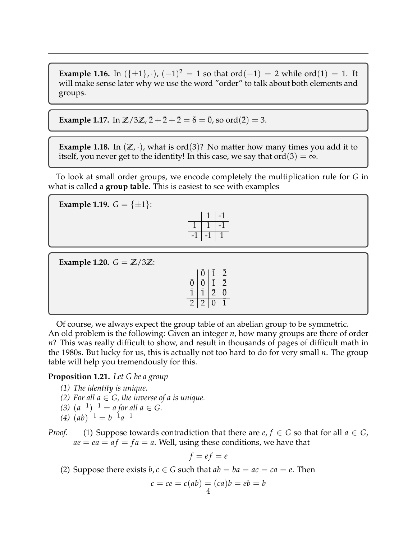**Example 1.16.** In  $(\{\pm 1\}, \cdot)$ ,  $(-1)^2 = 1$  so that ord $(-1) = 2$  while ord $(1) = 1$ . It will make sense later why we use the word "order" to talk about both elements and groups.

**Example 1.17.** In  $\mathbb{Z}/3\mathbb{Z}$ ,  $\bar{2}+\bar{2}+\bar{2}=\bar{6}=\bar{0}$ , so ord $(\bar{2})=3$ .

**Example 1.18.** In  $(\mathbb{Z}, \cdot)$ , what is ord $(3)$ ? No matter how many times you add it to itself, you never get to the identity! In this case, we say that ord $(3) = \infty$ .

To look at small order groups, we encode completely the multiplication rule for *G* in what is called a **group table**. This is easiest to see with examples

**Example 1.19.**  $G = \{\pm 1\}$ :

|  | L |
|--|---|
|  | I |
|  |   |

**Example 1.20.**  $G = \mathbb{Z}/3\mathbb{Z}$ :

|   | 0              |           | $\overline{2}$ |
|---|----------------|-----------|----------------|
|   |                |           | $\tilde{2}$    |
|   |                | $\bar{2}$ |                |
| 2 | $\overline{2}$ |           |                |

Of course, we always expect the group table of an abelian group to be symmetric. An old problem is the following: Given an integer *n*, how many groups are there of order *n*? This was really difficult to show, and result in thousands of pages of difficult math in the 1980s. But lucky for us, this is actually not too hard to do for very small *n*. The group table will help you tremendously for this.

# **Proposition 1.21.** *Let G be a group*

- *(1) The identity is unique.*
- *(2)* For all  $a \in G$ , the inverse of a is unique.
- *(3)*  $(a^{-1})^{-1} = a$  *for all a* ∈ *G*.
- $(4)$   $(ab)^{-1} = b^{-1}a^{-1}$
- *Proof.* (1) Suppose towards contradiction that there are  $e, f \in G$  so that for all  $a \in G$ ,  $ae = ea = af = fa = a$ . Well, using these conditions, we have that

$$
f = ef = e
$$

(2) Suppose there exists  $b, c \in G$  such that  $ab = ba = ac = ca = e$ . Then

$$
c = ce = c(ab) = (ca)b = eb = b
$$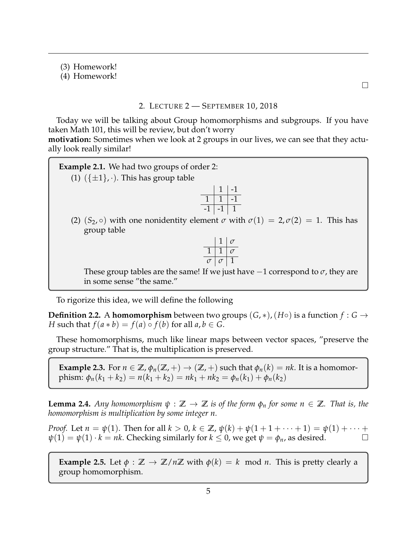(3) Homework!

(4) Homework!

 $\Box$ 

# 2. LECTURE 2 — SEPTEMBER 10, 2018

<span id="page-4-0"></span>Today we will be talking about Group homomorphisms and subgroups. If you have taken Math 101, this will be review, but don't worry

**motivation:** Sometimes when we look at 2 groups in our lives, we can see that they actually look really similar!

**Example 2.1.** We had two groups of order 2: (1)  $({\pm 1}, \cdot)$ . This has group table  $1 \mid -1$  $1 \mid 1 \mid -1$  $-1$   $-1$   $1$ (2)  $(S_2, \circ)$  with one nonidentity element  $\sigma$  with  $\sigma(1) = 2, \sigma(2) = 1$ . This has group table 1 *σ*  $1 \mid 1 \mid \sigma$  $\sigma$  |  $\sigma$  | 1 These group tables are the same! If we just have  $-1$  correspond to  $\sigma$ , they are in some sense "the same."

To rigorize this idea, we will define the following

**Definition 2.2.** A **homomorphism** between two groups  $(G, *)$ ,  $(H \circ)$  is a function  $f : G \rightarrow$ *H* such that  $f(a * b) = f(a) \circ f(b)$  for all  $a, b \in G$ .

These homomorphisms, much like linear maps between vector spaces, "preserve the group structure." That is, the multiplication is preserved.

**Example 2.3.** For  $n \in \mathbb{Z}$ ,  $\phi_n(\mathbb{Z},+) \to (\mathbb{Z},+)$  such that  $\phi_n(k) = nk$ . It is a homomorphism:  $\phi_n(k_1 + k_2) = n(k_1 + k_2) = nk_1 + nk_2 = \phi_n(k_1) + \phi_n(k_2)$ 

<span id="page-4-1"></span>**Lemma 2.4.** *Any homomorphism*  $\psi : \mathbb{Z} \to \mathbb{Z}$  *is of the form*  $\phi_n$  *for some*  $n \in \mathbb{Z}$ *. That is, the homomorphism is multiplication by some integer n.*

*Proof.* Let  $n = \psi(1)$ . Then for all  $k > 0$ ,  $k \in \mathbb{Z}$ ,  $\psi(k) + \psi(1 + 1 + \cdots + 1) = \psi(1) + \cdots$  $\psi(1) = \psi(1) \cdot k = nk$ . Checking similarly for  $k \leq 0$ , we get  $\psi = \phi_n$ , as desired.

**Example 2.5.** Let  $\phi : \mathbb{Z} \to \mathbb{Z}/n\mathbb{Z}$  with  $\phi(k) = k \mod n$ . This is pretty clearly a group homomorphism.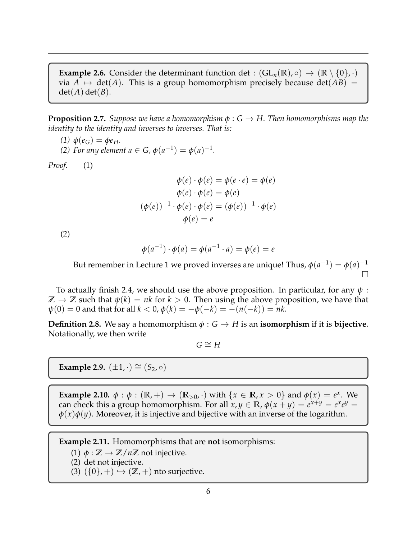**Example 2.6.** Consider the determinant function det :  $(GL_n(\mathbb{R}), \circ) \to (\mathbb{R} \setminus \{0\}, \cdot)$ via  $A \mapsto \det(A)$ . This is a group homomorphism precisely because  $\det(AB) =$  $det(A) det(B)$ .

**Proposition 2.7.** *Suppose we have a homomorphism φ* : *G* → *H. Then homomorphisms map the identity to the identity and inverses to inverses. That is:*

*(1)*  $\phi(e_G) = \phi e_H$ .

*(2) For any element*  $a \in G$ *,*  $\phi(a^{-1}) = \phi(a)^{-1}$ *.* 

*Proof.* (1)

$$
\phi(e) \cdot \phi(e) = \phi(e \cdot e) = \phi(e)
$$

$$
\phi(e) \cdot \phi(e) = \phi(e)
$$

$$
(\phi(e))^{-1} \cdot \phi(e) \cdot \phi(e) = (\phi(e))^{-1} \cdot \phi(e)
$$

$$
\phi(e) = e
$$

(2)

$$
\phi(a^{-1}) \cdot \phi(a) = \phi(a^{-1} \cdot a) = \phi(e) = e
$$

But remember in Lecture 1 we proved inverses are unique! Thus,  $\phi(a^{-1}) = \phi(a)^{-1}$  $\Box$ 

To actually finish [2.4,](#page-4-1) we should use the above proposition. In particular, for any *ψ* :  $\mathbb{Z} \to \mathbb{Z}$  such that  $\psi(k) = nk$  for  $k > 0$ . Then using the above proposition, we have that  $ψ(0) = 0$  and that for all  $k < 0$ ,  $φ(k) = −φ(−k) = −(n(−k)) = nk$ .

**Definition 2.8.** We say a homomorphism  $\phi$  :  $G \rightarrow H$  is an **isomorphism** if it is **bijective**. Notationally, we then write

 $G \cong H$ 

**Example 2.9.**  $(\pm 1, \cdot) \cong (S_2, \circ)$ 

**Example 2.10.**  $\phi : \phi : (\mathbb{R}, +) \to (\mathbb{R}_{>0}, \cdot)$  with  $\{x \in \mathbb{R}, x > 0\}$  and  $\phi(x) = e^x$ . We can check this a group homomorphism. For all  $x, y \in \mathbb{R}$ ,  $\phi(x + y) = e^{x+y} = e^x e^y = 0$ *φ*(*x*)*φ*(*y*). Moreover, it is injective and bijective with an inverse of the logarithm.

**Example 2.11.** Homomorphisms that are **not** isomorphisms:

(1)  $\phi : \mathbb{Z} \to \mathbb{Z}/n\mathbb{Z}$  not injective.

(2) det not injective.

(3)  $({0}, +) \hookrightarrow (\mathbb{Z}, +)$  nto surjective.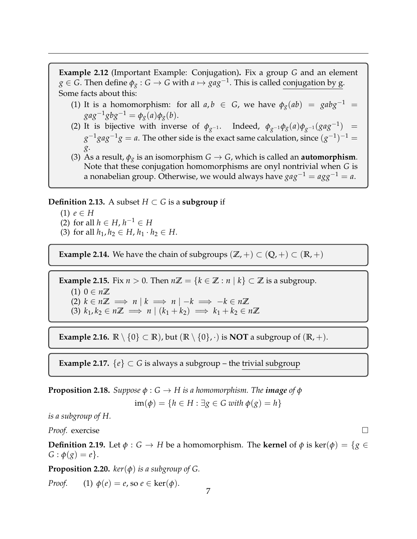**Example 2.12** (Important Example: Conjugation)**.** Fix a group *G* and an element  $g \in G$ . Then define  $\phi_g : G \to G$  with  $a \mapsto gag^{-1}$ . This is called conjugation by g. Some facts about this:

- (1) It is a homomorphism: for all  $a, b \in G$ , we have  $\phi_g(ab) = gabg^{-1}$  $gag^{-1}gbg^{-1} = \phi_g(a)\phi_g(b).$
- (2) It is bijective with inverse of  $\phi_{g^{-1}}$ . Indeed,  $\phi_{g^{-1}}\phi_g(a)\phi_{g^{-1}}(gag^{-1})$  =  $g^{-1}gag^{-1}g = a$ . The other side is the exact same calculation, since  $(g^{-1})^{-1} =$ *g*.
- (3) As a result,  $\phi_{\mathbf{x}}$  is an isomorphism  $G \to G$ , which is called an **automorphism**. Note that these conjugation homomorphisms are onyl nontrivial when *G* is a nonabelian group. Otherwise, we would always have  $gag^{-1} = agg^{-1} = a$ .

**Definition 2.13.** A subset  $H \subset G$  is a **subgroup** if

- (1) *e* ∈ *H*
- (2) for all *h* ∈ *H*, *h*<sup>-1</sup> ∈ *H*
- (3) for all  $h_1, h_2 \in H$ ,  $h_1 \cdot h_2 \in H$ .

**Example 2.14.** We have the chain of subgroups  $(\mathbb{Z}, +) \subset (\mathbb{Q}, +) \subset (\mathbb{R}, +)$ 

**Example 2.15.** Fix  $n > 0$ . Then  $n\mathbb{Z} = \{k \in \mathbb{Z} : n \mid k\} \subset \mathbb{Z}$  is a subgroup. (1) 0 ∈  $n\mathbb{Z}$  $(2)$   $k \in n\mathbb{Z} \implies n \mid k \implies n \mid -k \implies -k \in n\mathbb{Z}$ (3)  $k_1, k_2 \in n\mathbb{Z} \implies n \mid (k_1 + k_2) \implies k_1 + k_2 \in n\mathbb{Z}$ 

**Example 2.16.**  $\mathbb{R} \setminus \{0\} \subset \mathbb{R}$ , but  $(\mathbb{R} \setminus \{0\}, \cdot)$  is **NOT** a subgroup of  $(\mathbb{R}, +)$ .

**Example 2.17.**  $\{e\} \subset G$  is always a subgroup – the trivial subgroup

**Proposition 2.18.** *Suppose*  $\phi$  :  $G \rightarrow H$  *is a homomorphism. The image of*  $\phi$  $\text{im}(\phi) = \{h \in H : \exists g \in G \text{ with } \phi(g) = h\}$ 

*is a subgroup of H.*

*Proof.* exercise

**Definition 2.19.** Let  $\phi$  :  $G \rightarrow H$  be a homomorphism. The **kernel** of  $\phi$  is ker( $\phi$ ) = {*g* ∈  $G: \phi(g) = e$ .

**Proposition 2.20.**  $\text{ker}(\phi)$  *is a subgroup of G.* 

*Proof.* (1)  $\phi(e) = e$ , so  $e \in \text{ker}(\phi)$ .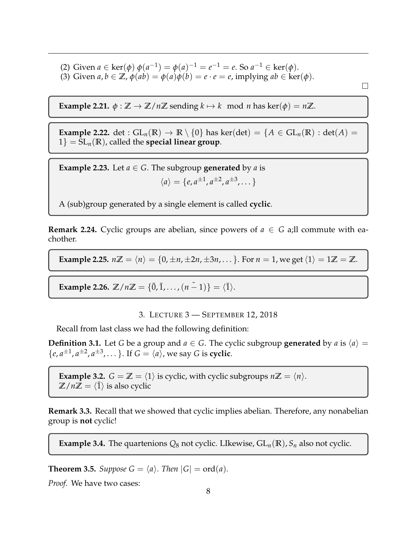(2) Given  $a \in \text{ker}(\phi)$   $\phi(a^{-1}) = \phi(a)^{-1} = e^{-1} = e$ . So  $a^{-1} \in \text{ker}(\phi)$ . (3) Given  $a, b \in \mathbb{Z}$ ,  $\phi(ab) = \phi(a)\phi(b) = e \cdot e = e$ , implying  $ab \in \text{ker}(\phi)$ .

 $\Box$ 

**Example 2.21.**  $\phi : \mathbb{Z} \to \mathbb{Z}/n\mathbb{Z}$  sending  $k \mapsto k \mod n$  has ker $(\phi) = n\mathbb{Z}$ .

**Example 2.22.** det :  $GL_n(\mathbb{R}) \to \mathbb{R} \setminus \{0\}$  has ker(det) = { $A \in GL_n(\mathbb{R})$  : det( $A$ ) =  $1$ } = SL<sub>n</sub>(**R**), called the **special linear group**.

**Example 2.23.** Let  $a \in G$ . The subgroup **generated** by *a* is  $\langle a \rangle = \{e, a^{\pm 1}, a^{\pm 2}, a^{\pm 3}, \dots\}$ 

A (sub)group generated by a single element is called **cyclic**.

**Remark 2.24.** Cyclic groups are abelian, since powers of  $a \in G$  a;ll commute with eachother.

**Example 2.25.**  $n\mathbb{Z} = \langle n \rangle = \{0, \pm n, \pm 2n, \pm 3n, \ldots\}$ . For  $n = 1$ , we get  $\langle 1 \rangle = 1\mathbb{Z} = \mathbb{Z}$ .

**Example 2.26.**  $\mathbb{Z}/n\mathbb{Z} = {\bar{0}, \bar{1}, \dots, (n-1)} = {\bar{1}}.$ 

3. LECTURE 3 — SEPTEMBER 12, 2018

<span id="page-7-0"></span>Recall from last class we had the following definition:

**Definition 3.1.** Let *G* be a group and  $a \in G$ . The cyclic subgroup **generated** by *a* is  $\langle a \rangle =$  $\{e, a^{\pm 1}, a^{\pm 2}, a^{\pm 3}, \dots\}$ . If  $G = \langle a \rangle$ , we say *G* is **cyclic**.

**Example 3.2.**  $G = \mathbb{Z} = \langle 1 \rangle$  is cyclic, with cyclic subgroups  $n\mathbb{Z} = \langle n \rangle$ .  $\mathbb{Z}/n\mathbb{Z} = \langle \overline{1} \rangle$  is also cyclic

**Remark 3.3.** Recall that we showed that cyclic implies abelian. Therefore, any nonabelian group is **not** cyclic!

**Example 3.4.** The quartenions  $Q_8$  not cyclic. LIkewise,  $GL_n(\mathbb{R})$ ,  $S_n$  also not cyclic.

**Theorem 3.5.** *Suppose*  $G = \langle a \rangle$ *. Then*  $|G| = \text{ord}(a)$ *.* 

*Proof.* We have two cases: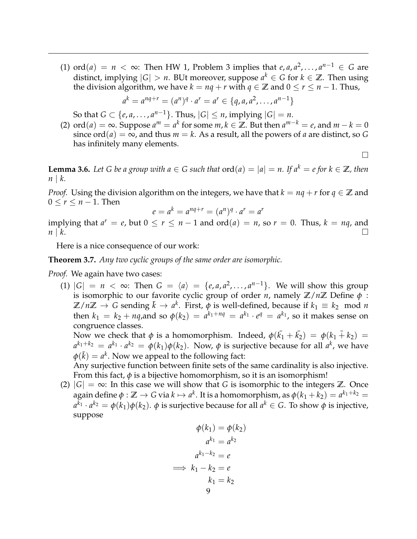(1) ord(*a*) = *n* < ∞: Then HW 1, Problem 3 implies that *e*, *a*, *a*<sup>2</sup>,..., *a*<sup>*n*-1</sup> ∈ *G* are distinct, implying  $|G| > n$ . BUt moreover, suppose  $a^k \in G$  for  $k \in \mathbb{Z}$ . Then using the division algorithm, we have  $k = nq + r$  with  $q \in \mathbb{Z}$  and  $0 \le r \le n - 1$ . Thus,

$$
a^{k} = a^{nq+r} = (a^{n})^{q} \cdot a^{r} = a^{r} \in \{q, a, a^{2}, \ldots, a^{n-1}\}
$$

So that  $G \subset \{e, a, \ldots, a^{n-1}\}$ . Thus,  $|G| \leq n$ , implying  $|G| = n$ .

(2)  $\text{ord}(a) = \infty$ . Suppose  $a^m = a^k$  for some  $m, k \in \mathbb{Z}$ . But then  $a^{m-k} = e$ , and  $m - k = 0$ since  $\text{ord}(a) = \infty$ , and thus  $m = k$ . As a result, all the powers of *a* are distinct, so *G* has infinitely many elements.

 $\Box$ 

**Lemma 3.6.** *Let G be a group with*  $a \in G$  *such that*  $\text{ord}(a) = |a| = n$ . If  $a^k = e$  for  $k \in \mathbb{Z}$ *, then n* | *k.*

*Proof.* Using the division algorithm on the integers, we have that  $k = nq + r$  for  $q \in \mathbb{Z}$  and  $0 \leq r \leq n-1$ . Then

$$
e = a^k = a^{nq+r} = (a^n)^q \cdot a^r = a^r
$$

implying that  $a^r = e$ , but  $0 \le r \le n - 1$  and  $\text{ord}(a) = n$ , so  $r = 0$ . Thus,  $k = nq$ , and  $n \mid k$ .

Here is a nice consequence of our work:

**Theorem 3.7.** *Any two cyclic groups of the same order are isomorphic.*

*Proof.* We again have two cases:

(1)  $|G| = n < \infty$ : Then  $G = \langle a \rangle = \{e, a, a^2, \dots, a^{n-1}\}$ . We will show this group is isomorphic to our favorite cyclic group of order *n*, namely  $\mathbb{Z}/n\mathbb{Z}$  Define  $\phi$ :  $\mathbb{Z}/n\mathbb{Z} \to G$  sending  $\bar{k} \to a^k$ . First,  $\phi$  is well-defined, because if  $k_1 \equiv k_2 \mod n$ then  $k_1 = k_2 + nq$ , and so  $\phi(k_2) = a^{k_1+nq} = a^{k_1} \cdot e^q = a^{k_1}$ , so it makes sense on congruence classes.

Now we check that  $\phi$  is a homomorphism. Indeed,  $\phi(\bar{k_1} + \bar{k_2}) = \phi(k_1 + k_2) =$  $a^{k_1+k_2} = a^{k_1} \cdot a^{k_2} = \phi(k_1) \phi(k_2)$ . Now,  $\phi$  is surjective because for all  $a^k$ , we have  $\phi(\bar{k}) = a^k$ . Now we appeal to the following fact:

Any surjective function between finite sets of the same cardinality is also injective. From this fact,  $\phi$  is a bijective homomorphism, so it is an isomorphism!

(2)  $|G| = \infty$ : In this case we will show that *G* is isomorphic to the integers **Z**. Once  $a$ gain define  $\phi: \mathbb{Z} \to G$  via  $k \mapsto a^k.$  It is a homomorphism, as  $\phi(k_1+k_2) = a^{k_1+k_2} = a^{k_2}$ *a <sup>k</sup>*<sup>1</sup> · *a <sup>k</sup>*<sup>2</sup> = *φ*(*k*1)*φ*(*k*2). *φ* is surjective because for all *a <sup>k</sup>* ∈ *G*. To show *φ* is injective, suppose

$$
\phi(k_1) = \phi(k_2)
$$

$$
a^{k_1} = a^{k_2}
$$

$$
a^{k_1 - k_2} = e
$$

$$
\implies k_1 - k_2 = e
$$

$$
k_1 = k_2
$$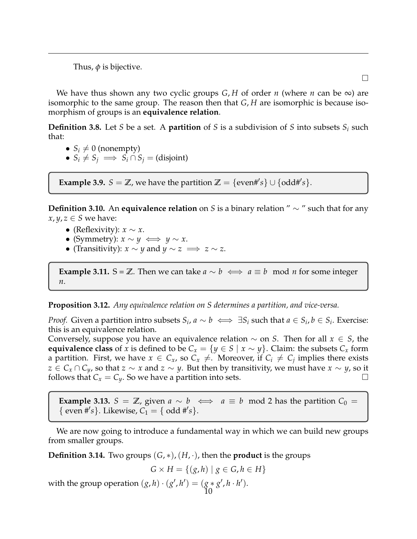Thus,  $\phi$  is bijective.

We have thus shown any two cyclic groups  $G$ ,  $H$  of order  $n$  (where  $n$  can be  $\infty$ ) are isomorphic to the same group. The reason then that *G*, *H* are isomorphic is because isomorphism of groups is an **equivalence relation**.

**Definition 3.8.** Let *S* be a set. A **partition** of *S* is a subdivision of *S* into subsets *S<sup>i</sup>* such that:

• 
$$
S_i \neq 0
$$
 (nonempty)

•  $S_i \neq S_j \implies S_i \cap S_j = (disjoint)$ 

**Example 3.9.**  $S = \mathbb{Z}$ , we have the partition  $\mathbb{Z} = \{\text{even#'}s\} \cup \{\text{odd#'}s\}.$ 

**Definition 3.10.** An **equivalence relation** on *S* is a binary relation " ∼ " such that for any  $x, y, z \in S$  we have:

- (Reflexivity):  $x \sim x$ .
- (Symmetry):  $x \sim y \iff y \sim x$ .
- (Transitivity):  $x \sim y$  and  $y \sim z \implies z \sim z$ .

**Example 3.11.** S = **Z**. Then we can take  $a \sim b \iff a \equiv b \mod n$  for some integer *n*.

**Proposition 3.12.** *Any equivalence relation on S determines a partition, and vice-versa.*

*Proof.* Given a partition intro subsets  $S_i$ ,  $a \sim b \iff \exists S_i$  such that  $a \in S_i$ ,  $b \in S_i$ . Exercise: this is an equivalence relation.

Conversely, suppose you have an equivalence relation ∼ on *S*. Then for all *x* ∈ *S*, the **equivalence class** of *x* is defined to be  $C_x = \{y \in S \mid x \sim y\}$ . Claim: the subsets  $C_x$  form a partition. First, we have  $x \in C_x$ , so  $C_x \neq$ . Moreover, if  $C_i \neq C_j$  implies there exists *z* ∈ *C*<sub>*x*</sub> ∩ *C*<sub>*y*</sub>, so that *z* ∼ *x* and *z* ∼ *y*. But then by transitivity, we must have *x* ∼ *y*, so it follows that  $C_x = C_y$ . So we have a partition into sets.

**Example 3.13.**  $S = \mathbb{Z}$ , given  $a \sim b \iff a \equiv b \mod 2$  has the partition  $C_0 =$ { even #'s}. Likewise,  $C_1 = \{ \text{ odd } \# \{ \text{s} \}.$ 

We are now going to introduce a fundamental way in which we can build new groups from smaller groups.

**Definition 3.14.** Two groups  $(G, *), (H, \cdot)$ , then the **product** is the groups

$$
G \times H = \{ (g, h) \mid g \in G, h \in H \}
$$

with the group operation  $(g,h) \cdot (g',h') = (g * g', h \cdot h')$ . 10

 $\Box$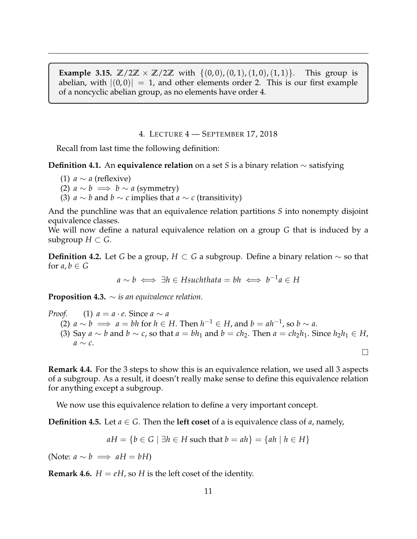**Example 3.15.**  $\mathbb{Z}/2\mathbb{Z} \times \mathbb{Z}/2\mathbb{Z}$  with  $\{(0,0), (0,1), (1,0), (1,1)\}$ . This group is abelian, with  $|(0,0)| = 1$ , and other elements order 2. This is our first example of a noncyclic abelian group, as no elements have order 4.

4. LECTURE 4 — SEPTEMBER 17, 2018

<span id="page-10-0"></span>Recall from last time the following definition:

**Definition 4.1.** An **equivalence relation** on a set *S* is a binary relation ∼ satisfying

- (1)  $a \sim a$  (reflexive)
- (2)  $a \sim b \implies b \sim a$  (symmetry)
- (3) *a* ∼ *b* and *b* ∼ *c* implies that *a* ∼ *c* (transitivity)

And the punchline was that an equivalence relation partitions *S* into nonempty disjoint equivalence classes.

We will now define a natural equivalence relation on a group *G* that is induced by a subgroup  $H \subset G$ .

**Definition 4.2.** Let *G* be a group, *H* ⊂ *G* a subgroup. Define a binary relation ∼ so that for  $a, b \in G$ 

$$
a \sim b \iff \exists h \in H such that a = bh \iff b^{-1}a \in H
$$

**Proposition 4.3.** ∼ *is an equivalence relation.*

*Proof.* (1)  $a = a \cdot e$ . Since  $a \sim a$ 

- (2) *a* ∼ *b*  $\implies$  *a* = *bh* for *h* ∈ *H*. Then *h*<sup>-1</sup> ∈ *H*, and *b* = *ah*<sup>-1</sup>, so *b* ∼ *a*.
- (3) Say  $a \sim b$  and  $b \sim c$ , so that  $a = bh_1$  and  $b = ch_2$ . Then  $a = ch_2h_1$ . Since  $h_2h_1 \in H$ , *a* ∼ *c*.

 $\Box$ 

**Remark 4.4.** For the 3 steps to show this is an equivalence relation, we used all 3 aspects of a subgroup. As a result, it doesn't really make sense to define this equivalence relation for anything except a subgroup.

We now use this equivalence relation to define a very important concept.

**Definition 4.5.** Let  $a \in G$ . Then the **left coset** of a is equivalence class of  $a$ , namely,

$$
aH = \{b \in G \mid \exists h \in H \text{ such that } b = ah\} = \{ah \mid h \in H\}
$$

(Note:  $a \sim b \implies aH = bH$ )

**Remark 4.6.**  $H = eH$ , so  $H$  is the left coset of the identity.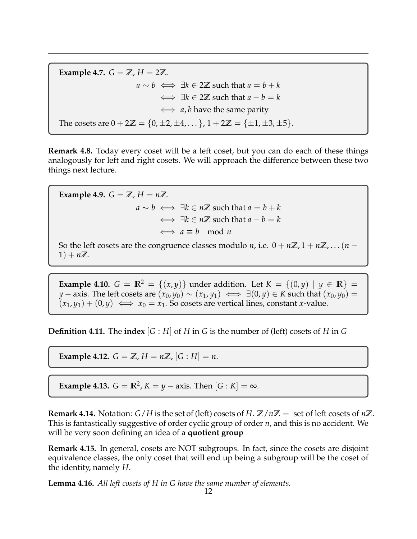**Example 4.7.**  $G = \mathbb{Z}$ ,  $H = 2\mathbb{Z}$ . *a* ∼ *b*  $\iff \exists k \in 2\mathbb{Z}$  such that  $a = b + k$  $\iff \exists k \in 2\mathbb{Z}$  such that  $a - b = k$ ⇐⇒ *a*, *b* have the same parity The cosets are  $0 + 2\mathbb{Z} = \{0, \pm 2, \pm 4, \dots\}$ ,  $1 + 2\mathbb{Z} = \{\pm 1, \pm 3, \pm 5\}$ .

**Remark 4.8.** Today every coset will be a left coset, but you can do each of these things analogously for left and right cosets. We will approach the difference between these two things next lecture.

**Example 4.9.**  $G = \mathbb{Z}$ ,  $H = n\mathbb{Z}$ . *a* ∼ *b*  $\Longleftrightarrow$  ∃*k* ∈ *n***Z** such that *a* = *b* + *k*  $\iff \exists k \in n \mathbb{Z}$  such that  $a - b = k$  $\Leftrightarrow a \equiv b \mod n$ 

So the left cosets are the congruence classes modulo *n*, i.e.  $0 + n\mathbb{Z}, 1 + n\mathbb{Z}, \ldots (n - n\mathbb{Z})$  $1) + n\mathbb{Z}$ .

**Example 4.10.**  $G = \mathbb{R}^2 = \{(x, y)\}\$  under addition. Let  $K = \{(0, y) | y \in \mathbb{R}\}\$ *y* − axis. The left cosets are  $(x_0, y_0) \sim (x_1, y_1) \iff \exists (0, y) \in K$  such that  $(x_0, y_0) =$  $(x_1, y_1) + (0, y) \iff x_0 = x_1$ . So cosets are vertical lines, constant *x*-value.

**Definition 4.11.** The **index**  $[G : H]$  of  $H$  in  $G$  is the number of (left) cosets of  $H$  in  $G$ 

**Example 4.12.**  $G = \mathbb{Z}$ ,  $H = n\mathbb{Z}$ ,  $[G : H] = n$ .

**Example 4.13.**  $G = \mathbb{R}^2$ ,  $K = y - axis$ . Then  $[G : K] = \infty$ .

**Remark 4.14.** Notation:  $G/H$  is the set of (left) cosets of  $H$ .  $\mathbb{Z}/n\mathbb{Z}$  = set of left cosets of  $n\mathbb{Z}$ . This is fantastically suggestive of order cyclic group of order *n*, and this is no accident. We will be very soon defining an idea of a **quotient group**

**Remark 4.15.** In general, cosets are NOT subgroups. In fact, since the cosets are disjoint equivalence classes, the only coset that will end up being a subgroup will be the coset of the identity, namely *H*.

**Lemma 4.16.** *All left cosets of H in G have the same number of elements.*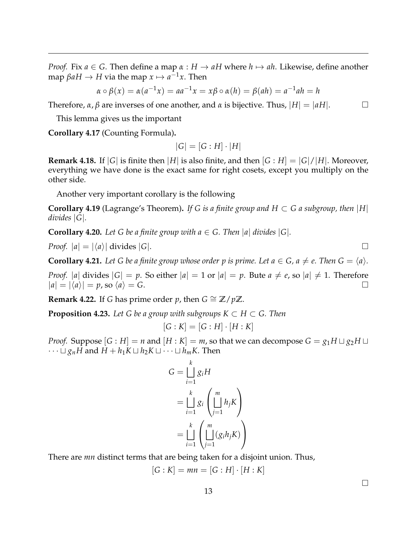*Proof.* Fix  $a \in G$ . Then define a map  $\alpha : H \to aH$  where  $h \mapsto ah$ . Likewise, define another  $\mathsf{map}\ \beta a H \to H\ \mathsf{via}\ \mathsf{the}\ \mathsf{map}\ x \mapsto a^{-1}x.$  Then

$$
\alpha \circ \beta(x) = \alpha(a^{-1}x) = aa^{-1}x = x\beta \circ \alpha(h) = \beta(ah) = a^{-1}ah = h
$$

Therefore,  $\alpha$ ,  $\beta$  are inverses of one another, and  $\alpha$  is bijective. Thus,  $|H| = |aH|$ .

This lemma gives us the important

**Corollary 4.17** (Counting Formula)**.**

$$
|G| = [G : H] \cdot |H|
$$

**Remark 4.18.** If  $|G|$  is finite then  $|H|$  is also finite, and then  $|G:H| = |G|/|H|$ . Moreover, everything we have done is the exact same for right cosets, except you multiply on the other side.

Another very important corollary is the following

**Corollary 4.19** (Lagrange's Theorem). If G is a finite group and  $H \subset G$  a subgroup, then |H| *divides* |*G*|*.*

**Corollary 4.20.** Let G be a finite group with  $a \in G$ . Then  $|a|$  divides  $|G|$ .

*Proof.*  $|a| = |\langle a \rangle|$  divides  $|G|$ .

**Corollary 4.21.** Let G be a finite group whose order p is prime. Let  $a \in G$ ,  $a \neq e$ . Then  $G = \langle a \rangle$ .

*Proof.*  $|a|$  divides  $|G| = p$ . So either  $|a| = 1$  or  $|a| = p$ . Bute  $a \neq e$ , so  $|a| \neq 1$ . Therefore  $|a| = |\langle a \rangle| = p$ , so  $\langle a \rangle = G$ .

**Remark 4.22.** If *G* has prime order *p*, then  $G \cong \mathbb{Z}/p\mathbb{Z}$ .

**Proposition 4.23.** Let G be a group with subgroups  $K \subset H \subset G$ . Then

$$
[G:K] = [G:H] \cdot [H:K]
$$

*Proof.* Suppose  $[G : H] = n$  and  $[H : K] = m$ , so that we can decompose  $G = g_1 H \sqcup g_2 H \sqcup$  $\cdots \sqcup g_nH$  and  $H + h_1K \sqcup h_2K \sqcup \cdots \sqcup h_mK$ . Then

$$
G = \bigsqcup_{i=1}^{k} g_i H
$$
  
= 
$$
\bigsqcup_{i=1}^{k} g_i \left( \bigsqcup_{j=1}^{m} h_j K \right)
$$
  
= 
$$
\bigsqcup_{i=1}^{k} \left( \bigsqcup_{j=1}^{m} (g_i h_j K) \right)
$$

There are *mn* distinct terms that are being taken for a disjoint union. Thus,

$$
[G:K] = mn = [G:H] \cdot [H:K]
$$

 $\Box$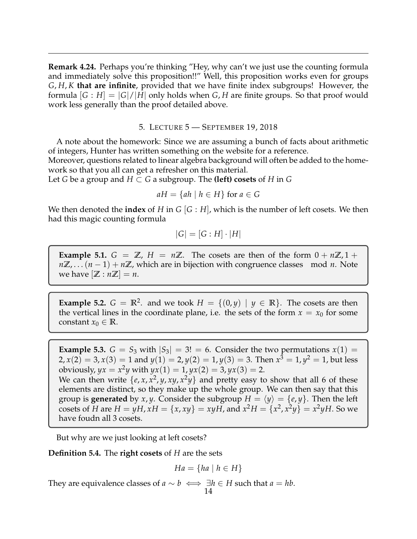**Remark 4.24.** Perhaps you're thinking "Hey, why can't we just use the counting formula and immediately solve this proposition!!" Well, this proposition works even for groups *G*, *H*, *K* **that are infinite**, provided that we have finite index subgroups! However, the formula  $|G : H| = |G|/|H|$  only holds when  $G, H$  are finite groups. So that proof would work less generally than the proof detailed above.

## 5. LECTURE 5 — SEPTEMBER 19, 2018

<span id="page-13-0"></span>A note about the homework: Since we are assuming a bunch of facts about arithmetic of integers, Hunter has written something on the website for a reference.

Moreover, questions related to linear algebra background will often be added to the homework so that you all can get a refresher on this material.

Let *G* be a group and  $H \subset G$  a subgroup. The **(left) cosets** of *H* in *G* 

$$
aH = \{ah \mid h \in H\} \text{ for } a \in G
$$

We then denoted the **index** of *H* in *G*  $|G : H|$ , which is the number of left cosets. We then had this magic counting formula

$$
|G| = [G : H] \cdot |H|
$$

**Example 5.1.**  $G = \mathbb{Z}$ ,  $H = n\mathbb{Z}$ . The cosets are then of the form  $0 + n\mathbb{Z}$ ,  $1 +$ *n***Z**, . . . (*n* − 1) + *n***Z**, which are in bijection with congruence classes mod *n*. Note we have  $|\mathbb{Z}: n\mathbb{Z}| = n$ .

**Example 5.2.**  $G = \mathbb{R}^2$ . and we took  $H = \{(0, y) | y \in \mathbb{R}\}$ . The cosets are then the vertical lines in the coordinate plane, i.e. the sets of the form  $x = x_0$  for some constant  $x_0 \in \mathbb{R}$ .

**Example 5.3.**  $G = S_3$  with  $|S_3| = 3! = 6$ . Consider the two permutations  $x(1) =$ 2,  $x(2) = 3$ ,  $x(3) = 1$  and  $y(1) = 2$ ,  $y(2) = 1$ ,  $y(3) = 3$ . Then  $x^3 = 1$ ,  $y^2 = 1$ , but less obviously,  $yx = x^2y$  with  $yx(1) = 1$ ,  $yx(2) = 3$ ,  $yx(3) = 2$ . We can then write  $\{e, x, x^2, y, xy, x^2y\}$  and pretty easy to show that all 6 of these elements are distinct, so they make up the whole group. We can then say that this group is **generated** by *x*, *y*. Consider the subgroup  $H = \langle y \rangle = \{e, y\}$ . Then the left cosets of *H* are  $H = yH$ ,  $xH = \{x, xy\} = xyH$ , and  $x^2H = \{x^2, x^2y\} = x^2yH$ . So we have foudn all 3 cosets.

But why are we just looking at left cosets?

**Definition 5.4.** The **right cosets** of *H* are the sets

$$
Ha = \{ha \mid h \in H\}
$$

They are equivalence classes of *a* ∼ *b*  $\iff \exists h \in H$  such that *a* = *hb*.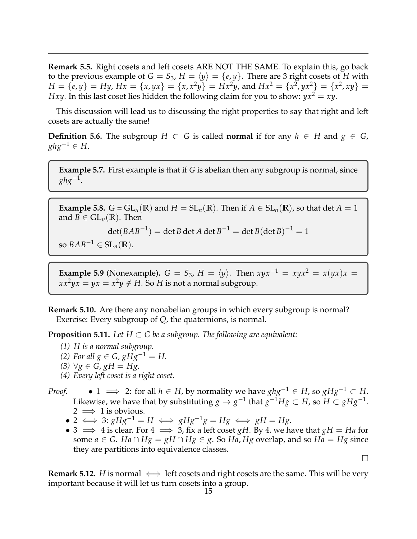**Remark 5.5.** Right cosets and left cosets ARE NOT THE SAME. To explain this, go back to the previous example of  $G = S_3$ ,  $H = \langle y \rangle = \{e, y\}$ . There are 3 right cosets of *H* with  $H = \{e, y\} = Hy$ ,  $Hx = \{x, yx\} = \{x, x^2y\} = Hx^2y$ , and  $Hx^2 = \{x^2, yx^2\} = \{x^2, xy\} = 0$ *Hxy*. In this last coset lies hidden the following claim for you to show:  $yx^2 = xy$ .

This discussion will lead us to discussing the right properties to say that right and left cosets are actually the same!

**Definition 5.6.** The subgroup *H* ⊂ *G* is called **normal** if for any  $h$  ∈ *H* and  $g$  ∈ *G*, *ghg*<sup>−1</sup> ∈ *H*.

**Example 5.7.** First example is that if *G* is abelian then any subgroup is normal, since  $ghg^{-1}.$ 

**Example 5.8.**  $G = GL_n(\mathbb{R})$  and  $H = SL_n(\mathbb{R})$ . Then if  $A \in SL_n(\mathbb{R})$ , so that det  $A = 1$ and  $B \in GL_n(\mathbb{R})$ . Then

 $\det(BAB^{-1}) = \det B \det A \det B^{-1} = \det B (\det B)^{-1} = 1$ 

so  $BAB^{-1} \in SL_n(\mathbb{R})$ .

**Example 5.9** (Nonexample).  $G = S_3$ ,  $H = \langle y \rangle$ . Then  $xyx^{-1} = xyx^2 = x(yx)x =$  $xx^2yx = yx = x^2y \notin H$ . So *H* is not a normal subgroup.

**Remark 5.10.** Are there any nonabelian groups in which every subgroup is normal? Exercise: Every subgroup of *Q*, the quaternions, is normal.

**Proposition 5.11.** Let  $H \subset G$  be a subgroup. The following are equivalent:

- *(1) H is a normal subgroup.*
- *(2) For all*  $g$  ∈ *G*,  $g$ *H* $g$ <sup>-1</sup> = *H*.
- *(3)* ∀*g* ∈ *G*, *gH* = *Hg*.
- *(4) Every left coset is a right coset.*

*Proof.* • 1  $\implies$  2: for all *h* ∈ *H*, by normality we have  $ghg^{-1} ∈ H$ , so  $gHg^{-1} ⊂ H$ . Likewise, we have that by substituting  $g \to g^{-1}$  that  $g^{-1}Hg \subset H$ , so  $H \subset gHg^{-1}.$  $2 \implies 1$  is obvious.

- $\bullet$  2  $\Longleftrightarrow$  3: *gHg*<sup>-1</sup> = *H*  $\Longleftrightarrow$  *gHg*<sup>-1</sup>*g* = *Hg*  $\Longleftrightarrow$  *gH* = *Hg*.
- 3  $\implies$  4 is clear. For 4  $\implies$  3, fix a left coset *gH*. By 4. we have that *gH* = *Ha* for some  $a \in G$ . *Ha* ∩  $Hg = gH \cap Hg \in g$ . So *Ha*, *Hg* overlap, and so *Ha* = *Hg* since they are partitions into equivalence classes.

 $\Box$ 

**Remark 5.12.** *H* is normal  $\iff$  left cosets and right cosets are the same. This will be very important because it will let us turn cosets into a group.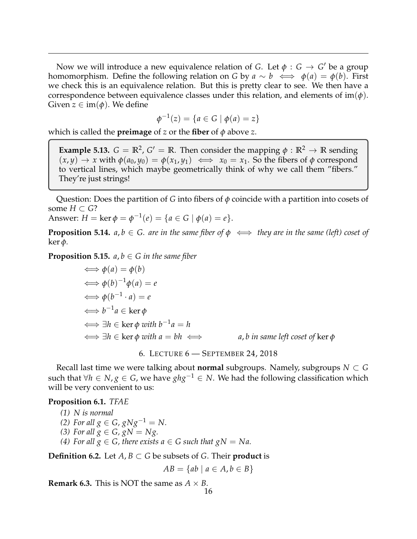Now we will introduce a new equivalence relation of *G*. Let  $\phi : G \rightarrow G'$  be a group homomorphism. Define the following relation on *G* by  $a \sim b \iff \phi(a) = \phi(b)$ . First we check this is an equivalence relation. But this is pretty clear to see. We then have a correspondence between equivalence classes under this relation, and elements of  $\text{im}(\phi)$ . Given  $z \in \text{im}(\phi)$ . We define

$$
\phi^{-1}(z) = \{ a \in G \mid \phi(a) = z \}
$$

which is called the **preimage** of *z* or the **fiber** of *φ* above *z*.

**Example 5.13.**  $G = \mathbb{R}^2$ ,  $G' = \mathbb{R}$ . Then consider the mapping  $\phi : \mathbb{R}^2 \to \mathbb{R}$  sending  $(x, y) \rightarrow x$  with  $\phi(a_0, y_0) = \phi(x_1, y_1) \iff x_0 = x_1$ . So the fibers of  $\phi$  correspond to vertical lines, which maybe geometrically think of why we call them "fibers." They're just strings!

Question: Does the partition of *G* into fibers of *φ* coincide with a partition into cosets of some *H* ⊂ *G*?

Answer:  $H = \ker \phi = \phi^{-1}(e) = \{a \in G \mid \phi(a) = e\}.$ 

**Proposition 5.14.**  $a, b \in G$ . are in the same fiber of  $\phi \iff$  they are in the same (left) coset of ker *φ.*

**Proposition 5.15.**  $a, b \in G$  in the same fiber

$$
\iff \phi(a) = \phi(b)
$$
\n
$$
\iff \phi(b)^{-1}\phi(a) = e
$$
\n
$$
\iff \phi(b^{-1} \cdot a) = e
$$
\n
$$
\iff b^{-1}a \in \ker \phi
$$
\n
$$
\iff \exists h \in \ker \phi \text{ with } b^{-1}a = h
$$
\n
$$
\iff \exists h \in \ker \phi \text{ with } a = bh \iff a, b \text{ in same left coset of } \ker \phi
$$

6. LECTURE 6 — SEPTEMBER 24, 2018

<span id="page-15-0"></span>Recall last time we were talking about **normal** subgroups. Namely, subgroups *N* ⊂ *G* such that  $∀h ∈ N, g ∈ G$ , we have  $ghg^{-1} ∈ N$ . We had the following classification which will be very convenient to us:

#### <span id="page-15-1"></span>**Proposition 6.1.** *TFAE*

*(1) N is normal*

*(2) For all*  $g \in G$ ,  $gNg^{-1} = N$ .

*(3) For all*  $g \in G$ ,  $gN = Ng$ .

*(4)* For all  $g \in G$ , there exists  $a \in G$  such that  $gN = Na$ .

**Definition 6.2.** Let  $A, B \subset G$  be subsets of  $G$ . Their **product** is

$$
AB = \{ab \mid a \in A, b \in B\}
$$

**Remark 6.3.** This is NOT the same as  $A \times B$ .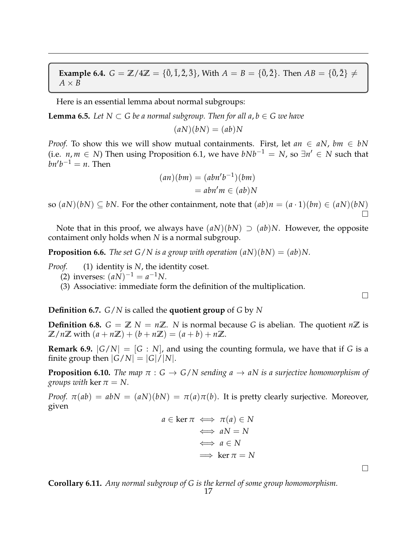**Example 6.4.**  $G = \mathbb{Z}/4\mathbb{Z} = {\{\overline{0}, \overline{1}, \overline{2}, \overline{3}\}}$ , With  $A = B = {\{\overline{0}, \overline{2}\}}$ . Then  $AB = {\{\overline{0}, \overline{2}\}} \neq 0$  $A \times B$ 

Here is an essential lemma about normal subgroups:

**Lemma 6.5.** *Let*  $N \subset G$  *be a normal subgroup. Then for all a, b*  $\in G$  *we have* 

 $(aN)(bN) = (ab)N$ 

*Proof.* To show this we will show mutual containments. First, let  $an \in aN$ ,  $bm \in bN$ (i.e. *n*, *m* ∈ *N*) Then using Proposition [6.1,](#page-15-1) we have  $bNb^{-1} = N$ , so  $\exists n' \in N$  such that  $bn'b^{-1} = n$ . Then

$$
(an)(bm) = (abn'b^{-1})(bm)
$$

$$
= abn'm \in (ab)N
$$

so  $(aN)(bN) \subseteq bN$ . For the other containment, note that  $(ab)n = (a \cdot 1)(bn) \in (aN)(bN)$ Ó

Note that in this proof, we always have  $(aN)(bN) \supset (ab)N$ . However, the opposite contaiment only holds when *N* is a normal subgroup.

**Proposition 6.6.** *The set G/N is a group with operation*  $(aN)(bN) = (ab)N$ .

*Proof.* (1) identity is *N*, the identity coset.

(2) inverses:  $(aN)^{-1} = a^{-1}N$ .

(3) Associative: immediate form the definition of the multiplication.

**Definition 6.7.** *G*/*N* is called the **quotient group** of *G* by *N*

**Definition 6.8.**  $G = \mathbb{Z} N = n\mathbb{Z}$ . *N* is normal because *G* is abelian. The quotient  $n\mathbb{Z}$  is  $\mathbb{Z}/n\mathbb{Z}$  with  $(a + n\mathbb{Z}) + (b + n\mathbb{Z}) = (a + b) + n\mathbb{Z}$ .

**Remark 6.9.**  $|G/N| = [G:N]$ , and using the counting formula, we have that if G is a finite group then  $|G/N| = |G|/|N|$ .

**Proposition 6.10.** *The map*  $\pi$  :  $G \rightarrow G/N$  *sending*  $a \rightarrow aN$  *is a surjective homomorphism of groups with* ker  $\pi = N$ .

*Proof.*  $\pi(ab) = abN = (aN)(bN) = \pi(a)\pi(b)$ . It is pretty clearly surjective. Moreover, given

$$
a \in \ker \pi \iff \pi(a) \in N
$$
  

$$
\iff aN = N
$$
  

$$
\iff a \in N
$$
  

$$
\implies \ker \pi = N
$$

**Corollary 6.11.** *Any normal subgroup of G is the kernel of some group homomorphism.*

 $\Box$ 

 $\Box$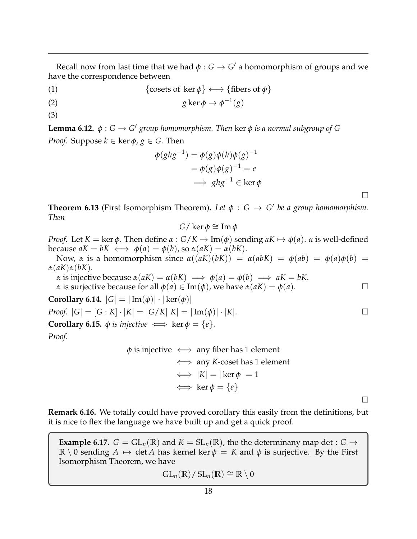Recall now from last time that we had  $\phi : G \to G'$  a homomorphism of groups and we have the correspondence between

(1) {cosets of ker  $\phi$ }  $\longleftrightarrow$  {fibers of  $\phi$ }

(2) 
$$
g \ker \phi \to \phi^{-1}(g)
$$

(3)

**Lemma 6.12.**  $\phi$  :  $G \rightarrow G'$  group homomorphism. Then ker  $\phi$  is a normal subgroup of G *Proof.* Suppose  $k \in \text{ker } \phi$ ,  $g \in G$ . Then

$$
\begin{aligned} \phi(ghg^{-1}) &= \phi(g)\phi(h)\phi(g)^{-1} \\ &= \phi(g)\phi(g)^{-1} = e \\ \implies ghg^{-1} \in \ker \phi \end{aligned}
$$

 $\Box$ 

 $\Box$ 

**Theorem 6.13** (First Isomorphism Theorem). Let  $\phi : G \rightarrow G'$  be a group homomorphism. *Then*

$$
G/\ker\phi\cong\operatorname{Im}\phi
$$

*Proof.* Let  $K = \ker \phi$ . Then define  $\alpha : G/K \to \text{Im}(\phi)$  sending  $aK \mapsto \phi(a)$ .  $\alpha$  is well-defined because  $aK = bK \iff \phi(a) = \phi(b)$ , so  $\alpha(aK) = \alpha(bK)$ .

Now, *α* is a homomorphism since  $\alpha((aK)(bK)) = \alpha(abK) = \phi(ab) = \phi(a)\phi(b) =$ *α*(*aK*)*α*(*bK*).

*α* is injective because  $\alpha(aK) = \alpha(bK) \implies \phi(a) = \phi(b) \implies aK = bK$ . *α* is surjective because for all  $\phi(a) \in \text{Im}(\phi)$ , we have  $\alpha(aK) = \phi(a)$ .

**Corollary 6.14.**  $|G| = |\text{Im}(\phi)| \cdot |\text{ker}(\phi)|$ 

 $Proof. |G| = [G : K] \cdot |K| = |G/K||K| = |\text{Im}(\phi)| \cdot |K|.$ 

**Corollary 6.15.**  $\phi$  *is injective*  $\iff$  ker  $\phi = \{e\}.$ 

*Proof.*

$$
\phi
$$
 is injective  $\iff$  any fiber has 1 element  
\n $\iff$  any *K*-coset has 1 element  
\n $\iff |K| = |\ker \phi| = 1$   
\n $\iff \ker \phi = \{e\}$ 

**Remark 6.16.** We totally could have proved corollary this easily from the definitions, but it is nice to flex the language we have built up and get a quick proof.

**Example 6.17.**  $G = GL_n(\mathbb{R})$  and  $K = SL_n(\mathbb{R})$ , the the determinany map det :  $G \rightarrow$ **R** \ 0 sending  $A \mapsto \det A$  has kernel ker  $\phi = K$  and  $\phi$  is surjective. By the First Isomorphism Theorem, we have

$$
GL_n(\mathbb{R})/SL_n(\mathbb{R})\cong \mathbb{R}\setminus 0
$$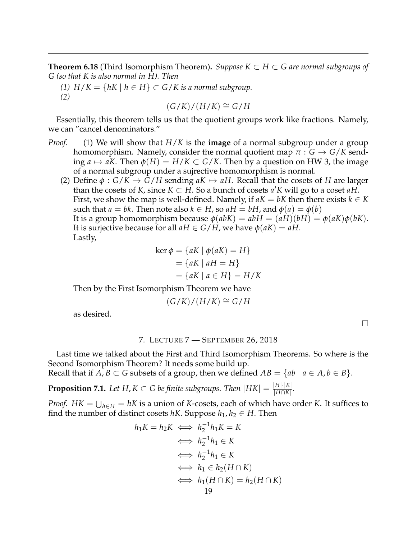**Theorem 6.18** (Third Isomorphism Theorem)**.** *Suppose K* ⊂ *H* ⊂ *G are normal subgroups of G (so that K is also normal in H). Then*

*(1)*  $H/K = \{ hK | h ∈ H \} ⊂ G/K$  *is a normal subgroup. (2)*

 $(G/K)/(H/K)$  ≅  $G/H$ 

Essentially, this theorem tells us that the quotient groups work like fractions. Namely, we can "cancel denominators."

- *Proof.* (1) We will show that *H*/*K* is the **image** of a normal subgroup under a group homomorphism. Namely, consider the normal quotient map  $\pi$  :  $G \rightarrow G/K$  sending  $a \mapsto aK$ . Then  $\phi(H) = H/K \subset G/K$ . Then by a question on HW 3, the image of a normal subgroup under a sujrective homomorphism is normal.
	- (2) Define  $\phi : G/K \to G/H$  sending  $aK \mapsto aH$ . Recall that the cosets of *H* are larger than the cosets of *K*, since  $K \subset H$ . So a bunch of cosets  $a'K$  will go to a coset  $aH$ . First, we show the map is well-defined. Namely, if  $aK = bK$  then there exists  $k \in K$ such that  $a = bk$ . Then note also  $k \in H$ , so  $aH = bH$ , and  $\phi(a) = \phi(b)$ It is a group homomorphism because  $\phi(abK) = abH = (aH)(bH) = \phi(aK)\phi(bK)$ . It is surjective because for all  $aH \in G/H$ , we have  $\phi(aK) = aH$ . Lastly,

$$
\ker \phi = \{ aK \mid \phi(aK) = H \}
$$
  
=  $\{ aK \mid aH = H \}$   
=  $\{ aK \mid a \in H \} = H/K$ 

Then by the First Isomorphism Theorem we have

$$
(G/K)/(H/K) \cong G/H
$$

as desired.

# 7. LECTURE 7 — SEPTEMBER 26, 2018

<span id="page-18-0"></span>Last time we talked about the First and Third Isomorphism Theorems. So where is the Second Isomorphism Theorem? It needs some build up.

Recall that if  $A, B \subset G$  subsets of a group, then we defined  $AB = \{ab \mid a \in A, b \in B\}.$ 

**Proposition 7.1.** Let  $H, K \subset G$  be finite subgroups. Then  $|HK| = \frac{|H| \cdot |K|}{|H \cap K|}$ |*H*∩*K*| *.*

*Proof.*  $HK = \bigcup_{h \in H} = hK$  is a union of *K*-cosets, each of which have order *K*. It suffices to find the number of distinct cosets  $hK$ . Suppose  $h_1, h_2 \in H$ . Then

$$
h_1K = h_2K \iff h_2^{-1}h_1K = K
$$
  
\n
$$
\iff h_2^{-1}h_1 \in K
$$
  
\n
$$
\iff h_2^{-1}h_1 \in K
$$
  
\n
$$
\iff h_1 \in h_2(H \cap K)
$$
  
\n
$$
\iff h_1(H \cap K) = h_2(H \cap K)
$$
  
\n19

 $\Box$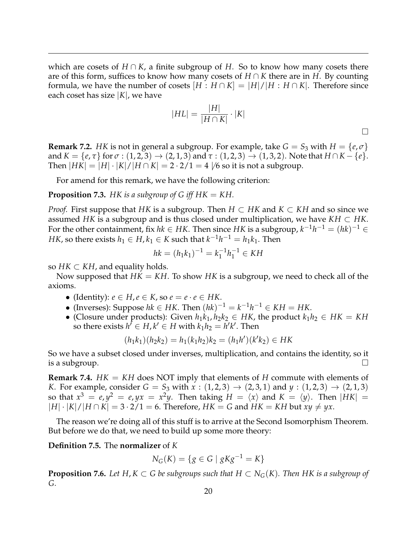which are cosets of *H* ∩ *K*, a finite subgroup of *H*. So to know how many cosets there are of this form, suffices to know how many cosets of *H* ∩ *K* there are in *H*. By counting formula, we have the number of cosets  $[H:H \cap K] = |H|/|H:H \cap K|$ . Therefore since each coset has size |*K*|, we have

$$
|HL| = \frac{|H|}{|H \cap K|} \cdot |K|
$$

**Remark 7.2.** *HK* is not in general a subgroup. For example, take  $G = S_3$  with  $H = \{e, \sigma\}$ and  $K = \{e, \tau\}$  for  $\sigma : (1, 2, 3) \to (2, 1, 3)$  and  $\tau : (1, 2, 3) \to (1, 3, 2)$ . Note that  $H \cap K - \{e\}$ . Then  $|HK| = |H| \cdot |K| / |H \cap K| = 2 \cdot 2/1 = 4 \sqrt{6}$  so it is not a subgroup.

For amend for this remark, we have the following criterion:

**Proposition 7.3.** *HK is a subgroup of G iff*  $HK = KH$ *.* 

*Proof.* First suppose that *HK* is a subgroup. Then *H* ⊂ *HK* and *K* ⊂ *KH* and so since we assumed *HK* is a subgroup and is thus closed under multiplication, we have  $KH \subset HK$ . For the other containment, fix  $hk \in HK$ . Then since HK is a subgroup,  $k^{-1}h^{-1} = (hk)^{-1} \in$ *HK*, so there exists  $h_1 \in H$ ,  $k_1 \in K$  such that  $k^{-1}h^{-1} = h_1k_1$ . Then

$$
hk = (h_1k_1)^{-1} = k_1^{-1}h_1^{-1} \in KH
$$

so  $HK \subset KH$ , and equality holds.

Now supposed that *HK* = *KH*. To show *HK* is a subgroup, we need to check all of the axioms.

- (Identity): *e* ∈ *H*,*e* ∈ *K*, so *e* = *e* · *e* ∈ *HK*.
- (Inverses): Suppose  $hk \in HK$ . Then  $(hk)^{-1} = k^{-1}h^{-1} \in KH = HK$ .
- (Closure under products): Given  $h_1k_1, h_2k_2 \in HK$ , the product  $k_1h_2 \in HK = KH$ so there exists  $h^{\dagger} \in H$ ,  $k' \in H$  with  $k_1 h_2 = h' k'$ . Then

$$
(h_1k_1)(h_2k_2) = h_1(k_1h_2)k_2 = (h_1h')(k'k_2) \in HK
$$

So we have a subset closed under inverses, multiplication, and contains the identity, so it is a subgroup.  $\Box$ 

**Remark 7.4.**  $HK = KH$  does NOT imply that elements of  $H$  commute with elements of *K*. For example, consider  $G = S_3$  with  $x : (1,2,3) \to (2,3,1)$  and  $y : (1,2,3) \to (2,1,3)$ so that  $x^3 = e$ ,  $y^2 = e$ ,  $yx = x^2y$ . Then taking  $H = \langle x \rangle$  and  $K = \langle y \rangle$ . Then  $|HK| =$  $|H| \cdot |K| / |H \cap K| = 3 \cdot 2/1 = 6$ . Therefore,  $HK = G$  and  $HK = KH$  but  $xy \neq yx$ .

The reason we're doing all of this stuff is to arrive at the Second Isomorphism Theorem. But before we do that, we need to build up some more theory:

**Definition 7.5.** The **normalizer** of *K*

$$
N_G(K) = \{ g \in G \mid gKg^{-1} = K \}
$$

<span id="page-19-0"></span>**Proposition 7.6.** *Let*  $H, K \subset G$  *be subgroups such that*  $H \subset N_G(K)$ *. Then*  $HK$  *is a subgroup of G.*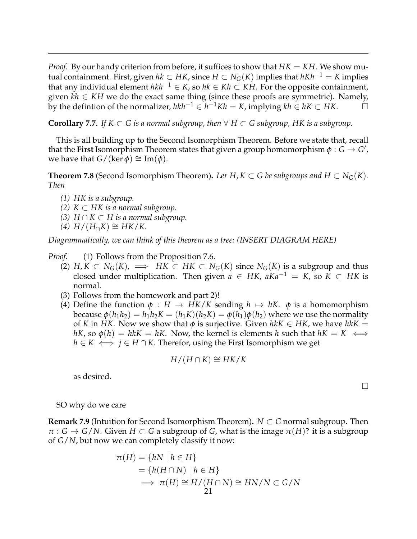*Proof.* By our handy criterion from before, it suffices to show that  $HK = KH$ . We show mutual containment. First, given  $hk$  ⊂ *HK*, since  $H$  ⊂  $N_G(K)$  implies that  $hKh^{-1} = K$  implies that any individual element  $hkh^{-1}$  ∈ *K*, so  $hk$  ∈ *Kh* ⊂ *KH*. For the opposite containment, given  $\vec{kh} \in KH$  we do the exact same thing (since these proofs are symmetric). Namely,  $\overline{b}$  by the defintion of the normalizer,  $hkh^{-1}$  ∈  $h^{-1}Kh = K$ , implying  $kh \in hK \subset HK$ .  $\Box$ 

**Corollary 7.7.** *If*  $K ⊂ G$  *is a normal subgroup, then*  $\forall H ⊂ G$  *subgroup, HK is a subgroup.* 

This is all building up to the Second Isomorphism Theorem. Before we state that, recall that the **First** Isomorphism Theorem states that given a group homomorphism  $\phi: G \to G'$  , we have that *G*/(ker  $\phi$ ) ≅ Im( $\phi$ ).

**Theorem 7.8** (Second Isomorphism Theorem). Ler H,  $K \subset G$  be subgroups and  $H \subset N_G(K)$ . *Then*

- *(1) HK is a subgroup.*
- *(2)*  $K ⊂ HK$  *is a normal subgroup.*
- *(3)*  $H \cap K \subset H$  *is a normal subgroup.*
- $H/(H_∩K) ≅ HK/K.$

*Diagrammatically, we can think of this theorem as a tree: (INSERT DIAGRAM HERE)*

- *Proof.* (1) Follows from the Proposition [7.6.](#page-19-0)
	- (2) *H*, *K* ⊂ *N*<sub>*G*</sub>(*K*),  $\implies$  *HK* ⊂ *HK* ⊂ *N<sub>G</sub>*(*K*) since *N<sub>G</sub>*(*K*) is a subgroup and thus closed under multiplication. Then given  $a \in HK$ ,  $aKa^{-1} = K$ , so  $K \subset HK$  is normal.
	- (3) Follows from the homework and part 2)!
	- (4) Define the function  $\phi : H \to HK/K$  sending  $h \mapsto hK$ .  $\phi$  is a homomorphism because  $\phi(h_1h_2) = h_1h_2K = (h_1K)(h_2K) = \phi(h_1)\phi(h_2)$  where we use the normality of *K* in *HK*. Now we show that  $\phi$  is surjective. Given  $h kK \in HK$ , we have  $h kK =$ *hK*, so  $\phi(h) = hkK = hK$ . Now, the kernel is elements *h* such that  $hK = K \iff$ *h* ∈ *K*  $\iff$  *j* ∈ *H* ∩ *K*. Therefor, using the First Isomorphism we get

$$
H/(H\cap K)\cong HK/K
$$

as desired.

SO why do we care

**Remark 7.9** (Intuition for Second Isomorphism Theorem)**.** *N* ⊂ *G* normal subgroup. Then  $\pi$  : *G*  $\rightarrow$  *G*/*N*. Given *H*  $\subset$  *G* a subgroup of *G*, what is the image  $\pi$ (*H*)? it is a subgroup of *G*/*N*, but now we can completely classify it now:

$$
\pi(H) = \{ hN \mid h \in H \}
$$
  
=  $\{ h(H \cap N) \mid h \in H \}$   

$$
\implies \pi(H) \cong H/(H \cap N) \cong HN/N \subset G/N
$$
  
21

 $\Box$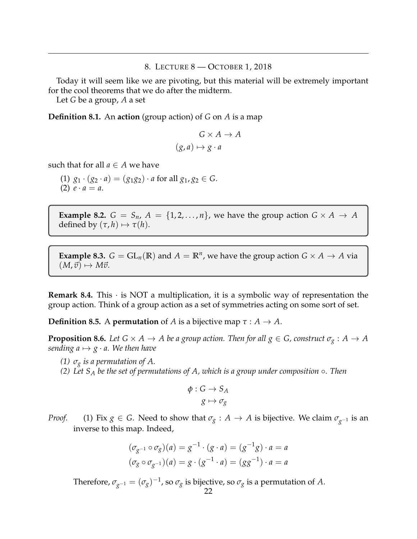#### 8. LECTURE 8 — OCTOBER 1, 2018

<span id="page-21-0"></span>Today it will seem like we are pivoting, but this material will be extremely important for the cool theorems that we do after the midterm.

Let *G* be a group, *A* a set

**Definition 8.1.** An **action** (group action) of *G* on *A* is a map

$$
G \times A \to A
$$

$$
(g, a) \mapsto g \cdot a
$$

such that for all  $a \in A$  we have

(1)  $g_1 \cdot (g_2 \cdot a) = (g_1 g_2) \cdot a$  for all  $g_1, g_2 \in G$ . (2)  $e \cdot a = a$ .

**Example 8.2.**  $G = S_n$ ,  $A = \{1, 2, ..., n\}$ , we have the group action  $G \times A \rightarrow A$ defined by  $(\tau, h) \mapsto \tau(h)$ .

**Example 8.3.**  $G = GL_n(\mathbb{R})$  and  $A = \mathbb{R}^n$ , we have the group action  $G \times A \rightarrow A$  via  $(M, \vec{v}) \mapsto M\vec{v}.$ 

**Remark 8.4.** This  $\cdot$  is NOT a multiplication, it is a symbolic way of representation the group action. Think of a group action as a set of symmetries acting on some sort of set.

**Definition 8.5.** A **permutation** of *A* is a bijective map  $\tau : A \rightarrow A$ .

**Proposition 8.6.** Let  $G \times A \to A$  be a group action. Then for all  $g \in G$ , construct  $\sigma_g : A \to A$ *sending a*  $\mapsto$  *g* · *a.* We then have

*(1)*  $\sigma_g$  *is a permutation of A.* 

*(2) Let S<sup>A</sup> be the set of permutations of A, which is a group under composition* ◦*. Then*

$$
\begin{aligned} \phi: G &\to S_A \\ g &\mapsto \sigma_g \end{aligned}
$$

*Proof.* (1) Fix *g* ∈ *G*. Need to show that  $\sigma_g$  : *A* → *A* is bijective. We claim  $\sigma_{g-1}$  is an inverse to this map. Indeed,

$$
(\sigma_{g^{-1}} \circ \sigma_g)(a) = g^{-1} \cdot (g \cdot a) = (g^{-1}g) \cdot a = a
$$
  

$$
(\sigma_g \circ \sigma_{g^{-1}})(a) = g \cdot (g^{-1} \cdot a) = (gg^{-1}) \cdot a = a
$$

Therefore,  $\sigma_{g^{-1}} = (\sigma_g)^{-1}$ , so  $\sigma_g$  is bijective, so  $\sigma_g$  is a permutation of *A*.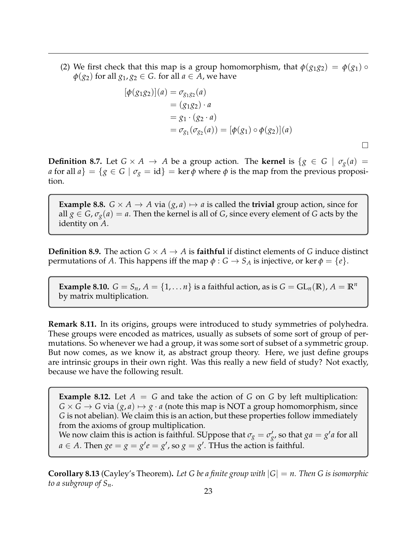(2) We first check that this map is a group homomorphism, that  $\phi(g_1g_2) = \phi(g_1) \circ$  $\varphi$ (*g*<sub>2</sub>) for all *g*<sub>1</sub>, *g*<sub>2</sub>  $\in$  *G*. for all *a*  $\in$  *A*, we have

$$
[\phi(g_1g_2)](a) = \sigma_{g_1g_2}(a)
$$
  
=  $(g_1g_2) \cdot a$   
=  $g_1 \cdot (g_2 \cdot a)$   
=  $\sigma_{g_1}(\sigma_{g_2}(a)) = [\phi(g_1) \circ \phi(g_2)](a)$ 

 $\Box$ 

**Definition 8.7.** Let  $G \times A \rightarrow A$  be a group action. The **kernel** is  $\{g \in G \mid \sigma_g(a) =$ *a* for all  $a$ } = {*g*  $\in$  *G* |  $\sigma$ <sup>*g*</sup> = id} = ker  $\phi$  where  $\phi$  is the map from the previous proposition.

**Example 8.8.**  $G \times A \rightarrow A$  via  $(g, a) \mapsto a$  is called the **trivial** group action, since for all  $g \in G$ ,  $\sigma_g(a) = a$ . Then the kernel is all of *G*, since every element of *G* acts by the identity on *A*.

**Definition 8.9.** The action  $G \times A \rightarrow A$  is **faithful** if distinct elements of *G* induce distinct permutations of *A*. This happens iff the map  $\phi$  :  $G \rightarrow S_A$  is injective, or ker  $\phi = \{e\}.$ 

**Example 8.10.**  $G = S_n$ ,  $A = \{1, ..., n\}$  is a faithful action, as is  $G = GL_n(\mathbb{R})$ ,  $A = \mathbb{R}^n$ by matrix multiplication.

**Remark 8.11.** In its origins, groups were introduced to study symmetries of polyhedra. These groups were encoded as matrices, usually as subsets of some sort of group of permutations. So whenever we had a group, it was some sort of subset of a symmetric group. But now comes, as we know it, as abstract group theory. Here, we just define groups are intrinsic groups in their own right. Was this really a new field of study? Not exactly, because we have the following result.

**Example 8.12.** Let  $A = G$  and take the action of  $G$  on  $G$  by left multiplication:  $G \times G \rightarrow G$  via  $(g, a) \mapsto g \cdot a$  (note this map is NOT a group homomorphism, since *G* is not abelian). We claim this is an action, but these properties follow immediately from the axioms of group multiplication.

We now claim this is action is faithful. SUppose that  $\sigma_g = \sigma'_{g'}$  so that  $ga = g'a$  for all  $a \in A$ . Then  $ge = g = g'e = g'$ , so  $g = g'$ . THus the action is faithful.

**Corollary 8.13** (Cayley's Theorem). Let G be a finite group with  $|G| = n$ . Then G is isomorphic *to a subgroup of Sn.*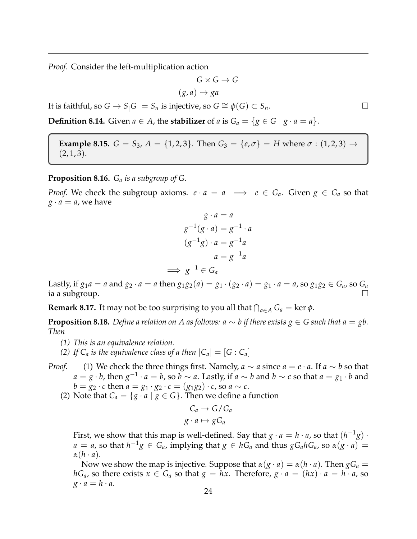*Proof.* Consider the left-multiplication action

$$
G \times G \to G
$$

$$
(g, a) \mapsto ga
$$

It is faithful, so  $G \to S |G| = S_n$  is injective, so  $G \cong \phi(G) \subset S_n$ .

**Definition 8.14.** Given  $a \in A$ , the **stabilizer** of  $a$  is  $G_a = \{g \in G \mid g \cdot a = a\}.$ 

**Example 8.15.**  $G = S_3$ ,  $A = \{1, 2, 3\}$ . Then  $G_3 = \{e, \sigma\} = H$  where  $\sigma : (1, 2, 3) \rightarrow$  $(2, 1, 3).$ 

**Proposition 8.16.** *G<sup>a</sup> is a subgroup of G.*

*Proof.* We check the subgroup axioms.  $e \cdot a = a \implies e \in G_a$ . Given  $g \in G_a$  so that  $g \cdot a = a$ , we have

$$
g \cdot a = a
$$
  
\n
$$
g^{-1}(g \cdot a) = g^{-1} \cdot a
$$
  
\n
$$
(g^{-1}g) \cdot a = g^{-1}a
$$
  
\n
$$
a = g^{-1}a
$$
  
\n
$$
\implies g^{-1} \in G_a
$$

Lastly, if  $g_1 a = a$  and  $g_2 \cdot a = a$  then  $g_1 g_2(a) = g_1 \cdot (g_2 \cdot a) = g_1 \cdot a = a$ , so  $g_1 g_2 \in G_a$ , so  $G_a$ ia a subgroup.

**Remark 8.17.** It may not be too surprising to you all that  $\bigcap_{a \in A} G_a = \ker \phi$ .

**Proposition 8.18.** *Define a relation on A as follows: a* ∼ *b if there exists*  $g \in G$  *such that a* = *gb. Then*

- *(1) This is an equivalence relation.*
- *(2) If*  $C_a$  *is the equivalence class of a then*  $|C_a| = [G : C_a]$
- *Proof.* (1) We check the three things first. Namely,  $a \sim a$  since  $a = e \cdot a$ . If  $a \sim b$  so that *a* = *g* · *b*, then  $g^{-1} \cdot a = b$ , so *b* ∼ *a*. Lastly, if *a* ∼ *b* and *b* ∼ *c* so that *a* = *g*1 · *b* and *b* = *g*<sub>2</sub> · *c* then *a* = *g*<sub>1</sub> · *g*<sub>2</sub> · *c* = (*g*<sub>1</sub>*g*<sub>2</sub>) · *c*, so *a* ~ *c*.
	- (2) Note that  $C_a = \{g \cdot a \mid g \in G\}$ . Then we define a function

$$
C_a \to G/G_a
$$

$$
g \cdot a \mapsto gG_a
$$

First, we show that this map is well-defined. Say that  $g \cdot a = h \cdot a$ , so that  $(h^{-1}g) \cdot$  $a = a$ , so that  $h^{-1}g \in G_a$ , implying that  $g \in hG_a$  and thus  $gG_a hG_a$ , so  $\alpha(g \cdot a) =$ *α*(*h* · *a*).

Now we show the map is injective. Suppose that  $\alpha(g \cdot a) = \alpha(h \cdot a)$ . Then  $gG_a =$ *hG*<sub>*a*</sub>, so there exists  $x \in G$ <sup>*a*</sup> so that  $g = hx$ . Therefore,  $g \cdot a = (hx) \cdot a = h \cdot a$ , so  $g \cdot a = h \cdot a$ .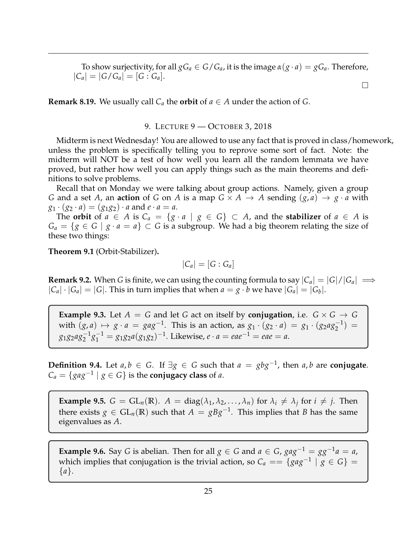To show surjectivity, for all  $gG_a \in G/G_a$ , it is the image  $\alpha(g \cdot a) = gG_a$ . Therefore,  $|C_a| = |G/G_a| = [G:G_a].$  $\Box$ 

**Remark 8.19.** We usually call  $C_a$  the **orbit** of  $a \in A$  under the action of *G*.

#### 9. LECTURE 9 — OCTOBER 3, 2018

<span id="page-24-0"></span>Midterm is next Wednesday! You are allowed to use any fact that is proved in class/homework, unless the problem is specifically telling you to reprove some sort of fact. Note: the midterm will NOT be a test of how well you learn all the random lemmata we have proved, but rather how well you can apply things such as the main theorems and definitions to solve problems.

Recall that on Monday we were talking about group actions. Namely, given a group *G* and a set *A*, an **action** of *G* on *A* is a map  $G \times A \rightarrow A$  sending  $(g, a) \rightarrow g \cdot a$  with  $g_1 \cdot (g_2 \cdot a) = (g_1 g_2) \cdot a$  and  $e \cdot a = a$ .

The **orbit** of  $a \in A$  is  $C_a = \{g \cdot a \mid g \in G\} \subset A$ , and the **stabilizer** of  $a \in A$  is  $G_a = \{ g \in G \mid g \cdot a = a \} \subset G$  is a subgroup. We had a big theorem relating the size of these two things:

**Theorem 9.1** (Orbit-Stabilizer)**.**

$$
|C_a|=[G:G_a]
$$

**Remark 9.2.** When *G* is finite, we can using the counting formula to say  $|C_a| = |G|/|G_a| \implies$  $|C_a| \cdot |G_a| = |G|$ . This in turn implies that when  $a = g \cdot b$  we have  $|G_a| = |G_b|$ .

**Example 9.3.** Let  $A = G$  and let  $G$  act on itself by **conjugation**, i.e.  $G \times G \rightarrow G$ with  $(g, a) \mapsto g \cdot a = gag^{-1}$ . This is an action, as  $g_1 \cdot (g_2 \cdot a) = g_1 \cdot (g_2 a g_2^{-1}) =$  $g_1g_2ag_2^{-1}g_1^{-1} = g_1g_2a(g_1g_2)^{-1}$ . Likewise,  $e \cdot a = eae^{-1} = eae = a$ .

**Definition 9.4.** Let  $a, b \in G$ . If  $\exists g \in G$  such that  $a = gbg^{-1}$ , then  $a, b$  are **conjugate**.  $C_a = \{ gag^{-1} | g \in G \}$  is the **conjugacy class** of *a*.

**Example 9.5.**  $G = GL_n(\mathbb{R})$ .  $A = diag(\lambda_1, \lambda_2, ..., \lambda_n)$  for  $\lambda_i \neq \lambda_j$  for  $i \neq j$ . Then there exists  $g \in GL_n(\mathbb{R})$  such that  $A = gBg^{-1}$ . This implies that *B* has the same eigenvalues as *A*.

**Example 9.6.** Say *G* is abelian. Then for all  $g \in G$  and  $a \in G$ ,  $gag^{-1} = gg^{-1}a = a$ , which implies that conjugation is the trivial action, so  $C_a == \{gag^{-1} | g \in G\}$ {*a*}.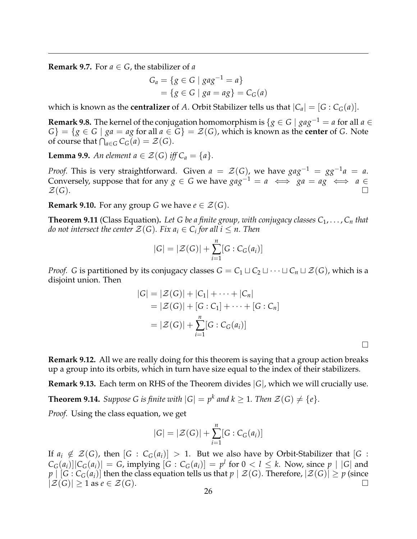**Remark 9.7.** For  $a \in G$ , the stabilizer of *a* 

$$
G_a = \{ g \in G \mid gag^{-1} = a \}
$$
  
= \{ g \in G \mid ga = ag \} = C\_G(a)

which is known as the **centralizer** of *A*. Orbit Stabilizer tells us that  $|C_a| = [G : C_G(a)]$ .

**Remark 9.8.** The kernel of the conjugation homomorphism is  $\{g \in G \mid gag^{-1} = a \text{ for all } a \in G\}$  $G$ } = {*g*  $\in$  *G* | *ga* = *ag* for all *a*  $\in$  *G*} =  $\mathcal{Z}(G)$ , which is known as the **center** of *G*. Note of course that  $\bigcap_{a \in G} C_G(a) = \mathcal{Z}(G)$ .

**Lemma 9.9.** *An element*  $a \in \mathcal{Z}(G)$  *iff*  $C_a = \{a\}$ *.* 

*Proof.* This is very straightforward. Given  $a = \mathcal{Z}(G)$ , we have  $gag^{-1} = gg^{-1}a = a$ . Conversely, suppose that for any *g* ∈ *G* we have  $gag^{-1} = a \iff ga = ag \iff a \in$  $\mathcal{Z}(G)$ .

**Remark 9.10.** For any group *G* we have  $e \in \mathcal{Z}(G)$ .

**Theorem 9.11** (Class Equation). Let G be a finite group, with conjugacy classes  $C_1, \ldots, C_n$  that *do not intersect the center*  $\mathcal{Z}(G)$ *. Fix*  $a_i \in C_i$  *for all*  $i \leq n$ *. Then* 

$$
|G| = |\mathcal{Z}(G)| + \sum_{i=1}^{n} [G : C_G(a_i)]
$$

*Proof. G* is partitioned by its conjugacy classes  $G = C_1 \sqcup C_2 \sqcup \cdots \sqcup C_n \sqcup \mathcal{Z}(G)$ , which is a disjoint union. Then

$$
|G| = |\mathcal{Z}(G)| + |C_1| + \dots + |C_n|
$$
  
= |\mathcal{Z}(G)| + [G : C\_1] + \dots + [G : C\_n]  
= |\mathcal{Z}(G)| + \sum\_{i=1}^{n} [G : C\_G(a\_i)]

 $\Box$ 

**Remark 9.12.** All we are really doing for this theorem is saying that a group action breaks up a group into its orbits, which in turn have size equal to the index of their stabilizers.

**Remark 9.13.** Each term on RHS of the Theorem divides |*G*|, which we will crucially use.

**Theorem 9.14.** Suppose G is finite with  $|G| = p^k$  and  $k \ge 1$ . Then  $\mathcal{Z}(G) \ne \{e\}$ *.* 

*Proof.* Using the class equation, we get

$$
|G| = |\mathcal{Z}(G)| + \sum_{i=1}^{n} [G : C_G(a_i)]
$$

If  $a_i \notin \mathcal{Z}(G)$ , then  $[G : C_G(a_i)] > 1$ . But we also have by Orbit-Stabilizer that  $[G : G_G(a_i)] > 1$ .  $C_G(a_i)||C_G(a_i)| = G$ , implying  $[G : C_G(a_i)] = p^l$  for  $0 < l \leq k$ . Now, since  $p \mid |G|$  and  $p \mid [G : C_G(a_i)]$  then the class equation tells us that  $p \mid \mathcal{Z}(G)$ . Therefore,  $|\mathcal{Z}(G)| \geq p$  (since  $|\mathcal{Z}(G)| \geq 1$  as  $e \in \mathcal{Z}(G)$ .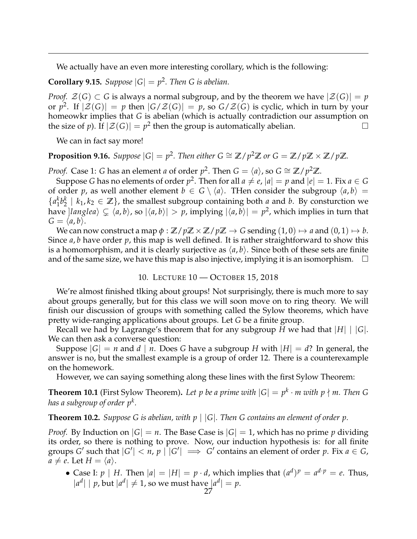We actually have an even more interesting corollary, which is the following:

**Corollary 9.15.** *Suppose*  $|G| = p^2$ *. Then G is abelian.* 

*Proof.*  $\mathcal{Z}(G) \subset G$  is always a normal subgroup, and by the theorem we have  $|\mathcal{Z}(G)| = p$ or  $p^2$ . If  $|\mathcal{Z}(G)| = p$  then  $|G/\mathcal{Z}(G)| = p$ , so  $G/\mathcal{Z}(G)$  is cyclic, which in turn by your homeowkr implies that *G* is abelian (which is actually contradiction our assumption on the size of *p*). If  $|\mathcal{Z}(G)| = p^2$  then the group is automatically abelian.

We can in fact say more!

# **Proposition 9.16.** *Suppose*  $|G| = p^2$ . *Then either*  $G \cong \mathbb{Z}/p^2\mathbb{Z}$  *or*  $G = \mathbb{Z}/p\mathbb{Z} \times \mathbb{Z}/p\mathbb{Z}$ *.*

*Proof.* Case 1: *G* has an element *a* of order  $p^2$ . Then  $G = \langle a \rangle$ , so  $G \cong \mathbb{Z}/p^2\mathbb{Z}$ .

Suppose *G* has no elements of order  $p^2$ . Then for all  $a \neq e$ ,  $|a| = p$  and  $|e| = 1$ . Fix  $a \in G$ of order *p*, as well another element  $b \in G \setminus \langle a \rangle$ . Then consider the subgroup  $\langle a, b \rangle =$ {*a k*  $\frac{k}{1}b_2^k$  $\mathbf{Z}_2^k \mid k_1, k_2 \in \mathbb{Z}$ , the smallest subgroup containing both *a* and *b*. By consturction we have  $|langlea\rangle \subsetneq \langle a,b\rangle$ , so  $|\langle a,b\rangle| > p$ , implying  $|\langle a,b\rangle| = p^2$ , which implies in turn that  $G = \langle a, b \rangle$ .

We can now construct a map  $\phi : \mathbb{Z}/p\mathbb{Z} \times \mathbb{Z}/p\mathbb{Z} \to G$  sending  $(1,0) \mapsto a$  and  $(0,1) \mapsto b$ . Since *a*, *b* have order *p*, this map is well defined. It is rather straightforward to show this is a homomorphism, and it is clearly surjective as  $\langle a, b \rangle$ . Since both of these sets are finite and of the same size, we have this map is also injective, implying it is an isomorphism.  $\Box$ 

#### 10. LECTURE 10 — OCTOBER 15, 2018

<span id="page-26-0"></span>We're almost finished tlking about groups! Not surprisingly, there is much more to say about groups generally, but for this class we will soon move on to ring theory. We will finish our discussion of groups with something called the Sylow theorems, which have pretty wide-ranging applications about groups. Let *G* be a finite group.

Recall we had by Lagrange's theorem that for any subgroup *H* we had that |*H*| | |*G*|. We can then ask a converse question:

Suppose  $|G| = n$  and  $d | n$ . Does G have a subgroup H with  $|H| = d$ ? In general, the answer is no, but the smallest example is a group of order 12. There is a counterexample on the homework.

However, we can saying something along these lines with the first Sylow Theorem:

**Theorem 10.1** (First Sylow Theorem). Let p be a prime with  $|G| = p^k \cdot m$  with  $p \nmid m$ . Then G *has a subgroup of order p<sup>k</sup> .*

**Theorem 10.2.** *Suppose G is abelian, with p* | |*G*|*. Then G contains an element of order p.*

*Proof.* By Induction on  $|G| = n$ . The Base Case is  $|G| = 1$ , which has no prime p dividing its order, so there is nothing to prove. Now, our induction hypothesis is: for all finite groups *G'* such that  $|G'| < n$ ,  $p \mid |G'| \implies G'$  contains an element of order  $p$ . Fix  $a \in G$ ,  $a \neq e$ . Let  $H = \langle a \rangle$ .

• Case I:  $p \mid H$ . Then  $|a| = |H| = p \cdot d$ , which implies that  $(a^d)^p = a^{d \cdot p} = e$ . Thus,  $|a^d| | p$ , but  $|a^d| \neq 1$ , so we must have  $|a^d| = p$ .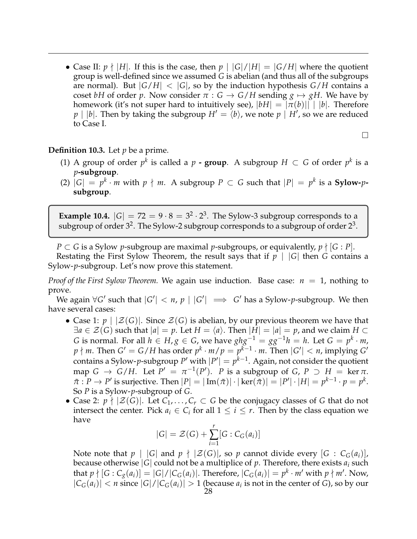• Case II:  $p \nmid |H|$ . If this is the case, then  $p | |G|/|H| = |G/H|$  where the quotient group is well-defined since we assumed *G* is abelian (and thus all of the subgroups are normal). But  $|G/H| < |G|$ , so by the induction hypothesis  $G/H$  contains a coset *bH* of order *p*. Now consider  $\pi$  :  $G \rightarrow G/H$  sending  $g \mapsto gH$ . We have by homework (it's not super hard to intuitively see),  $|bH| = |\pi(b)|| \cdot |b|$ . Therefore  $p \mid |b|$ . Then by taking the subgroup  $H' = \langle b \rangle$ , we note  $p \mid H'$ , so we are reduced to Case I.

 $\Box$ 

# **Definition 10.3.** Let *p* be a prime.

- (1) A group of order  $p^k$  is called a  $p$   **group**. A subgroup  $H \subset G$  of order  $p^k$  is a *p***-subgroup**.
- (2)  $|G| = p^k \cdot m$  with  $p \nmid m$ . A subgroup  $P \subset G$  such that  $|P| = p^k$  is a **Sylow-** $p$ **subgroup**.

**Example 10.4.**  $|G| = 72 = 9 \cdot 8 = 3^2 \cdot 2^3$ . The Sylow-3 subgroup corresponds to a subgroup of order  $3^2$ . The Sylow-2 subgroup corresponds to a subgroup of order  $2^3$ .

*P* ⊂ *G* is a Sylow *p*-subgroup are maximal *p*-subgroups, or equivalently,  $p \nmid$  [*G* : *P*]. Restating the First Sylow Theorem, the result says that if  $p \mid |G|$  then G contains a

Sylow-*p*-subgroup. Let's now prove this statement.

*Proof of the First Sylow Theorem.* We again use induction. Base case:  $n = 1$ , nothing to prove.

We again  $\forall G'$  such that  $|G'| < n$ ,  $p | |G'| \implies G'$  has a Sylow-p-subgroup. We then have several cases:

- Case 1:  $p \mid |Z(G)|$ . Since  $Z(G)$  is abelian, by our previous theorem we have that  $\exists a \in \mathcal{Z}(G)$  such that  $|a| = p$ . Let  $H = \langle a \rangle$ . Then  $|H| = |a| = p$ , and we claim  $H \subset$ *G* is normal. For all  $h ∈ H$ ,  $g ∈ G$ , we have  $ghg^{-1} = gg^{-1}h = h$ . Let  $G = p^k \cdot m$ ,  $p \nmid m$ . Then  $G' = G/H$  has order  $p^k \cdot m/p = p^{k-1} \cdot m$ . Then  $|G'| < n$ , implying  $G'$ contains a Sylow-p-subgroup  $P'$  with  $|P'| = p^{k-1}$ . Again, not consider the quotient map  $G \to G/H$ . Let  $P' = \pi^{-1}(P')$ . *P* is a subgroup of *G*,  $P \supset H = \ker \pi$ .  $\tilde{\pi}: P \to P'$  is surjective. Then  $|P| = |\operatorname{Im}(\tilde{\pi})| \cdot |\ker(\tilde{\pi})| = |P'| \cdot |H| = p^{k-1} \cdot p = p^k$ . So *P* is a Sylow-*p*-subgroup of *G*.
- Case 2:  $p \nmid |Z(G)|$ . Let  $C_1, \ldots, C_r \subset G$  be the conjugacy classes of G that do not intersect the center. Pick  $a_i \in C_i$  for all  $1 \leq i \leq r$ . Then by the class equation we have

$$
|G| = \mathcal{Z}(G) + \sum_{i=1}^{r} [G : C_G(a_i)]
$$

Note note that  $p \mid |G|$  and  $p \nmid |Z(G)|$ , so  $p$  cannot divide every  $[G : C_G(a_i)]$ , because otherwise  $|G|$  could not be a multiplice of  $p$ . Therefore, there exists  $a_i$  such that  $p \nmid [G:C_g(a_i)]=[G]/|C_G(a_i)|$ . Therefore,  $|C_G(a_i)|=p^k\cdot m'$  with  $p \nmid m'$ . Now,  $|C_G(a_i)| < n$  since  $|G|/|C_G(a_i)| > 1$  (because  $a_i$  is not in the center of *G*), so by our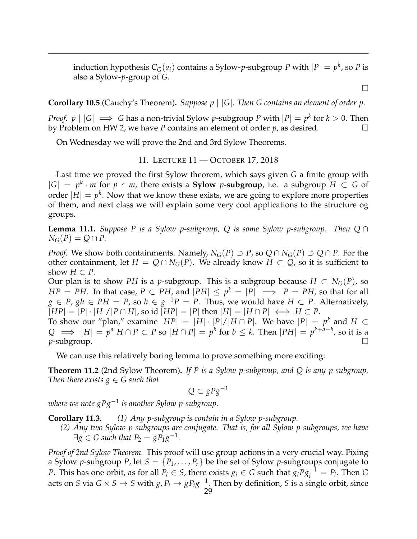induction hypothesis  $C_G(a_i)$  contains a Sylow- $p$ -subgroup  $P$  with  $|P| = p^k$ , so  $P$  is also a Sylow-*p*-group of *G*.

 $\Box$ 

**Corollary 10.5** (Cauchy's Theorem)**.** *Suppose p* | |*G*|*. Then G contains an element of order p.*

*Proof.*  $p \mid |G| \implies G$  has a non-trivial Sylow *p*-subgroup *P* with  $|P| = p^k$  for  $k > 0$ . Then by Problem on HW 2, we have *P* contains an element of order *p*, as desired.

On Wednesday we will prove the 2nd and 3rd Sylow Theorems.

11. LECTURE 11 — OCTOBER 17, 2018

<span id="page-28-0"></span>Last time we proved the first Sylow theorem, which says given *G* a finite group with  $|G| = p^k \cdot m$  for *p*  $\nmid m$ , there exists a **Sylow** *p*-subgroup, i.e. a subgroup *H* ⊂ *G* of order  $|H| = p^k$ . Now that we know these exists, we are going to explore more properties of them, and next class we will explain some very cool applications to the structure og groups.

**Lemma 11.1.** *Suppose P is a Sylow p-subgroup, Q is some Sylow p-subgroup. Then Q* ∩  $N_G(P) = Q \cap P$ .

*Proof.* We show both containments. Namely,  $N_G(P) \supset P$ , so  $Q \cap N_G(P) \supset Q \cap P$ . For the other containment, let  $H = Q \cap N_G(P)$ . We already know  $H \subset Q$ , so it is sufficient to show  $H \subset P$ .

Our plan is to show *PH* is a *p*-subgroup. This is a subgroup because  $H \subset N_G(P)$ , so  $HP = PH$ . In that case,  $P \subset PH$ , and  $|PH| \leq p^k = |P| \implies P = PH$ , so that for all *g* ∈ *P*, *gh* ∈ *PH* = *P*, so *h* ∈ *g*<sup>-1</sup>*P* = *P*. Thus, we would have *H* ⊂ *P*. Alternatively,  $|HP| = |P| \cdot |H|/|P \cap H|$ , so id  $|HP| = |P|$  then  $|H| = |H \cap P| \iff H \subset P$ .

To show our "plan," examine  $|HP| = |H| \cdot |P|/|H \cap P|$ . We have  $|P| = p^k$  and  $H \subset$ *Q*  $\implies$   $|H| = p^a$  *H* ∩ *P* ⊂ *P* so  $|H \cap P| = p^b$  for  $b \leq k$ . Then  $|PH| = p^{k+a-b}$ , so it is a **p**-subgroup. The contract of the contract of the contract of the contract of the contract of the contract of the contract of the contract of the contract of the contract of the contract of the contract of the contract of

We can use this relatively boring lemma to prove something more exciting:

**Theorem 11.2** (2nd Sylow Theorem)**.** *If P is a Sylow p-subgroup, and Q is any p subgroup. Then there exists*  $g \in G$  *such that* 

 $Q ⊂ gPg^{-1}$ 

*where we note gPg*−<sup>1</sup> *is another Sylow p-subgroup.*

**Corollary 11.3.** *(1) Any p-subgroup is contain in a Sylow p-subgroup.*

*(2) Any two Sylow p-subgroups are conjugate. That is, for all Sylow p-subgroups, we have*  $\exists g \in G$  such that  $P_2 = gP_1g^{-1}$ .

*Proof of 2nd Sylow Theorem.* This proof will use group actions in a very crucial way. Fixing a Sylow *p*-subgroup *P*, let  $S = \{P_1, \ldots, P_r\}$  be the set of Sylow *p*-subgroups conjugate to *P*. This has one orbit, as for all  $P_i \in S$ , there exists  $g_i \in G$  such that  $g_i P g_i^{-1} = P_i$ . Then *G* acts on *S* via  $G \times S \to S$  with  $g, P_i \to g P_i g^{-1}$ . Then by definition, *S* is a single orbit, since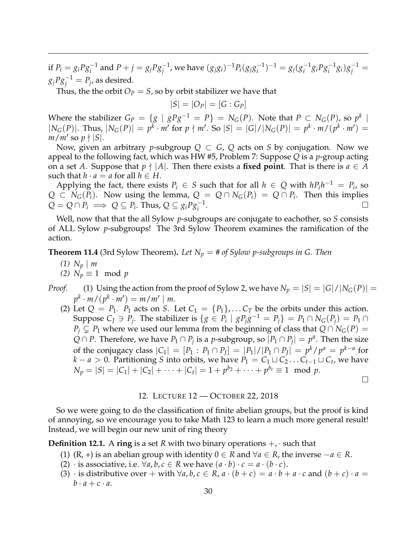if  $P_i = g_i P g_i^{-1}$  and  $P + j = g_j P g_j^{-1}$ , we have  $(g_j g_i)^{-1} P_i (g_j g_i^{-1})$  $\binom{-1}{i}$ <sup>-1</sup> = *g<sub>j</sub>*( $g_i^{-1}$  $\int_i^{-1} g_i P g_i^{-1} g_i g_j^{-1} =$  $g_jPg_j^{-1} = P_j$ , as desired.

Thus, the the orbit  $O_P = S$ , so by orbit stabilizer we have that

$$
|S|=|O_P|=[G:G_P]
$$

Where the stabilizer  $G_P = \{g \mid gPg^{-1} = P\} = N_G(P).$  Note that  $P \subset N_G(P)$ , so  $p^k \mid$  $|N_G(P)|$ . Thus,  $|N_G(P)| = p^k \cdot m'$  for  $p \nmid m'$ . So  $|S| = |G|/|N_G(P)| = p^k \cdot m/(p^k \cdot m') =$  $m/m'$  so  $p \nmid |S|$ .

Now, given an arbitrary *p*-subgroup  $Q \subset G$ ,  $Q$  acts on  $S$  by conjugation. Now we appeal to the following fact, which was HW #5, Problem 7: Suppose *Q* is a *p*-group acting on a set *A*. Suppose that  $p \nmid |A|$ . Then there exists a **fixed point**. That is there is  $a \in A$ such that  $h \cdot a = a$  for all  $h \in H$ .

Applying the fact, there exists  $P_i \in S$  such that for all  $h \in Q$  with  $hP_ih^{-1} = P_i$ , so *Q* ⊂ *N*<sub>*G*</sub>(*P*<sub>*i*</sub>). Now using the lemma,  $Q = Q ∩ N$ <sub>*G*</sub>(*P*<sub>*i*</sub>) = *Q* ∩ *P*<sub>*i*</sub>. Then this implies  $Q = Q \cap P_i \implies Q \subseteq P_i$ . Thus,  $Q \subseteq g_i P g_i^{-1}$ .

Well, now that that the all Sylow *p*-subgroups are conjugate to eachother, so *S* consists of ALL Sylow *p*-subgroups! The 3rd Sylow Theorem examines the ramification of the action.

**Theorem 11.4** (3rd Sylow Theorem). Let  $N_p = #$  of Sylow p-subgroups in G. Then

- $(1)$   $N_p \mid m$
- *(2)*  $N_p \equiv 1 \mod p$
- *Proof.* (1) Using the action from the proof of Sylow 2, we have  $N_p = |S| = |G|/|N_G(P)| =$  $p^k \cdot m / (p^k \cdot m') = m / m' \mid m$ .
	- (2) Let  $Q = P_1$ .  $P_1$  acts on *S*. Let  $C_1 = \{P_1\}$ , ...  $C_T$  be the orbits under this action. Suppose  $C_J \ni P_j$ . The stabilizer is  $\{g \in P_i \mid gP_jg^{-1} = P_j\} = P_1 \cap N_G(P_j) = P_1 \cap N_G(P_j)$ *P*<sup>*j*</sup> ⊆ *P*<sub>1</sub> where we used our lemma from the beginning of class that  $Q ∩ N$ <sup>*G*</sup>(*P*) =  $Q \cap P$ . Therefore, we have  $P_1 \cap P_j$  is a *p*-subgroup, so  $|P_1 \cap P_j| = p^a$ . Then the size of the conjugacy class  $|C_1| = [P_1 : P_1 \cap P_J] = |P_1|/|P_1 \cap P_J| = p^k/p^a = p^{k-a}$  for *k* − *a* > 0. Partitioning *S* into orbits, we have  $P_1 = C_1 \sqcup C_2 \dots C_{t-1} \sqcup C_t$ , we have  $N_p = |S| = |C_1| + |C_2| + \cdots + |C_t| = 1 + p^{b_2} + \cdots + p^{b_t} \equiv 1 \mod p.$

 $\Box$ 

#### 12. LECTURE 12 — OCTOBER 22, 2018

<span id="page-29-0"></span>So we were going to do the classification of finite abelian groups, but the proof is kind of annoying, so we encourage you to take Math 123 to learn a much more general result! Instead, we will begin our new unit of ring theory

**Definition 12.1.** A **ring** is a set *R* with two binary operations  $+$ ,  $\cdot$  such that

- (1) (R, +) is an abelian group with identity  $0 \in R$  and  $\forall a \in R$ , the inverse  $-a \in R$ .
- (2)  $\cdot$  is associative, i.e.  $\forall a, b, c \in R$  we have  $(a \cdot b) \cdot c = a \cdot (b \cdot c)$ .
- (3) · is distributive over + with  $\forall a, b, c \in R$ ,  $a \cdot (b + c) = a \cdot b + a \cdot c$  and  $(b + c) \cdot a =$  $b \cdot a + c \cdot a$ .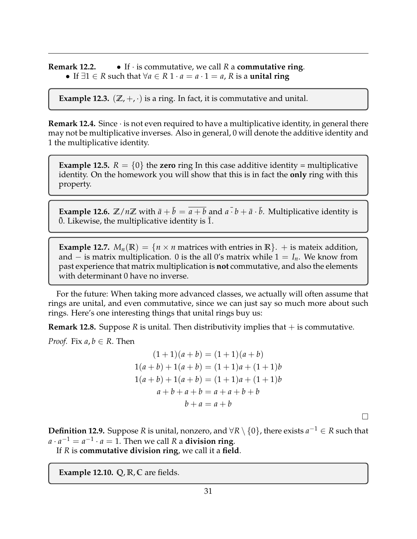**Remark 12.2.** • If · is commutative, we call *R* a **commutative ring**. • If ∃1 ∈ *R* such that ∀*a* ∈ *R* 1 · *a* = *a* · 1 = *a*, *R* is a **unital ring**

**Example 12.3.**  $(\mathbb{Z}, +, \cdot)$  is a ring. In fact, it is commutative and unital.

**Remark 12.4.** Since  $\cdot$  is not even required to have a multiplicative identity, in general there may not be multiplicative inverses. Also in general, 0 will denote the additive identity and 1 the multiplicative identity.

**Example 12.5.**  $R = \{0\}$  the **zero** ring In this case additive identity = multiplicative identity. On the homework you will show that this is in fact the **only** ring with this property.

**Example 12.6.**  $\mathbb{Z}/n\mathbb{Z}$  with  $\bar{a}+\bar{b}=\overline{a+b}$  and  $\bar{a} \cdot \bar{b}+\bar{a} \cdot \bar{b}$ . Multiplicative identity is  $\overline{0}$ . Likewise, the multiplicative identity is  $\overline{1}$ .

**Example 12.7.**  $M_n(\mathbb{R}) = \{n \times n \text{ matrices with entries in } \mathbb{R}\}.$  + is mateix addition, and – is matrix multiplication. 0 is the all 0's matrix while  $1 = I_n$ . We know from past experience that matrix multiplication is **not** commutative, and also the elements with determinant 0 have no inverse.

For the future: When taking more advanced classes, we actually will often assume that rings are unital, and even commutative, since we can just say so much more about such rings. Here's one interesting things that unital rings buy us:

**Remark 12.8.** Suppose *R* is unital. Then distributivity implies that  $+$  is commutative.

*Proof.* Fix  $a, b \in R$ . Then

$$
(1+1)(a+b) = (1+1)(a+b)
$$
  
\n
$$
1(a+b) + 1(a+b) = (1+1)a + (1+1)b
$$
  
\n
$$
1(a+b) + 1(a+b) = (1+1)a + (1+1)b
$$
  
\n
$$
a+b+a+b = a+a+b+b
$$
  
\n
$$
b+a = a+b
$$

**Definition 12.9.** Suppose *R* is unital, nonzero, and ∀*R* \ {0}, there exists *a* <sup>−</sup><sup>1</sup> ∈ *R* such that  $a \cdot a^{-1} = a^{-1} \cdot a = 1$ . Then we call *R* a **division ring**.

 $\Box$ 

If *R* is **commutative division ring**, we call it a **field**.

**Example 12.10. Q**, **R**, **C** are fields.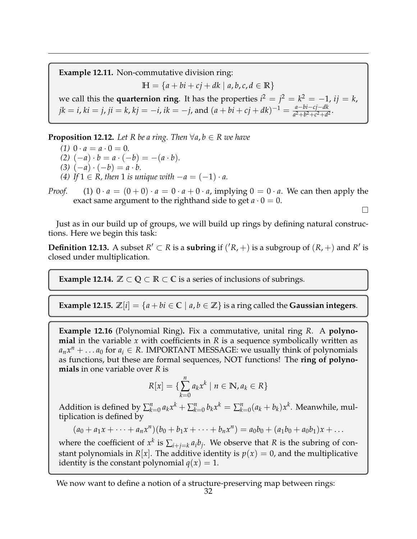**Example 12.11.** Non-commutative division ring:  $H = \{a + bi + cj + dk \mid a, b, c, d \in \mathbb{R}\}\$ we call this the **quarternion ring**. It has the properties  $i^2 = j^2 = k^2 = -1$ ,  $ij = k$ ,  $jk = i, ki = j, ji = k, kj = -i, ik = -j, and$   $(a + bi + cj + dk)^{-1} = \frac{a - bi - cj - dk}{a^2 + b^2 + c^2 + d^2}$  $\frac{a - b^2 - c^2 - a^2}{a^2 + b^2 + c^2 + d^2}$ .

**Proposition 12.12.** Let R be a ring. Then  $\forall a, b \in R$  we have

- *(1)*  $0 \cdot a = a \cdot 0 = 0$ .
- *(2)*  $(-a) \cdot b = a \cdot (-b) = -(a \cdot b)$ .
- *(3)*  $(-a) \cdot (-b) = a \cdot b$ .
- *(4) If* 1 ∈ *R*, *then* 1 *is unique with*  $-a = (-1) \cdot a$ .

*Proof.* (1)  $0 \cdot a = (0+0) \cdot a = 0 \cdot a + 0 \cdot a$ , implying  $0 = 0 \cdot a$ . We can then apply the exact same argument to the righthand side to get  $a \cdot 0 = 0$ .

 $\Box$ 

Just as in our build up of groups, we will build up rings by defining natural constructions. Here we begin this task:

**Definition 12.13.** A subset  $R' \subset R$  is a **subring** if  $({}^{\prime}R, +)$  is a subgroup of  $(R, +)$  and  $R'$  is closed under multiplication.

**Example 12.14.**  $\mathbb{Z} \subset \mathbb{Q} \subset \mathbb{R} \subset \mathbb{C}$  is a series of inclusions of subrings.

**Example 12.15.**  $\mathbb{Z}[i] = \{a + bi \in \mathbb{C} \mid a, b \in \mathbb{Z}\}$  is a ring called the **Gaussian integers.** 

**Example 12.16** (Polynomial Ring)**.** Fix a commutative, unital ring *R*. A **polynomial** in the variable *x* with coefficients in *R* is a sequence symbolically written as  $a_n x^n + \dots a_0$  for  $a_i \in R$ . IMPORTANT MESSAGE: we usually think of polynomials as functions, but these are formal sequences, NOT functions! The **ring of polynomials** in one variable over *R* is

$$
R[x] = \{ \sum_{k=0}^{n} a_k x^k \mid n \in \mathbb{N}, a_k \in R \}
$$

Addition is defined by  $\sum_{k=0}^{n} a_k x^k + \sum_{k=0}^{n} b_k x^k = \sum_{k=0}^{n} (a_k + b_k) x^k$ . Meanwhile, multiplication is defined by

 $(a_0 + a_1x + \cdots + a_nx^n)(b_0 + b_1x + \cdots + b_nx^n) = a_0b_0 + (a_1b_0 + a_0b_1)x + \ldots$ 

where the coefficient of  $x^k$  is  $\sum_{i+j=k} a_i b_j$ . We observe that *R* is the subring of constant polynomials in  $R[x]$ . The additive identity is  $p(x) = 0$ , and the multiplicative identity is the constant polynomial  $q(x) = 1$ .

We now want to define a notion of a structure-preserving map between rings: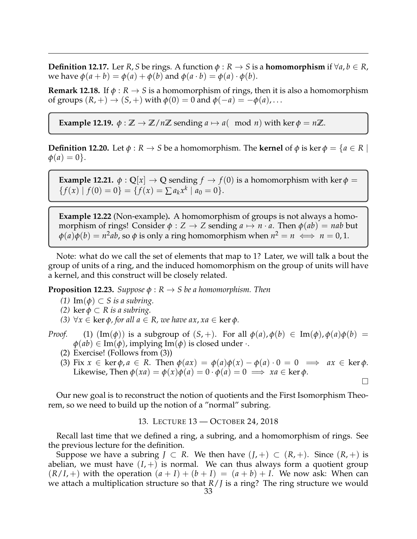**Definition 12.17.** Ler *R*, *S* be rings. A function  $\phi : R \to S$  is a **homomorphism** if  $\forall a, b \in R$ , we have  $\phi$ ( $a + b$ ) =  $\phi$ ( $a$ ) +  $\phi$ ( $b$ ) and  $\phi$ ( $a \cdot b$ ) =  $\phi$ ( $a$ ) ·  $\phi$ ( $b$ ).

**Remark 12.18.** If  $\phi : R \to S$  is a homomorphism of rings, then it is also a homomorphism of groups  $(R, +) \rightarrow (S, +)$  with  $\phi(0) = 0$  and  $\phi(-a) = -\phi(a), \dots$ 

**Example 12.19.**  $\phi : \mathbb{Z} \to \mathbb{Z}/n\mathbb{Z}$  sending  $a \mapsto a(\mod n)$  with ker  $\phi = n\mathbb{Z}$ .

**Definition 12.20.** Let  $\phi : R \to S$  be a homomorphism. The **kernel** of  $\phi$  is ker  $\phi = \{a \in R \mid R\}$  $\phi(a) = 0$ .

**Example 12.21.**  $\phi$  :  $\mathbb{Q}[x] \to \mathbb{Q}$  sending  $f \to f(0)$  is a homomorphism with ker  $\phi$  =  ${f(x) | f(0) = 0} = {f(x) = \sum a_k x^k | a_0 = 0}.$ 

**Example 12.22** (Non-example)**.** A homomorphism of groups is not always a homomorphism of rings! Consider  $\phi$  :  $Z \rightarrow Z$  sending  $a \mapsto n \cdot a$ . Then  $\phi(ab) = nab$  but  $\varphi(a)\varphi(b) = n^2ab$ , so  $\varphi$  is only a ring homomorphism when  $n^2 = n \iff n = 0, 1$ .

Note: what do we call the set of elements that map to 1? Later, we will talk a bout the group of units of a ring, and the induced homomorphism on the group of units will have a kernel, and this construct will be closely related.

**Proposition 12.23.** *Suppose*  $\phi$  :  $R \rightarrow S$  *be a homomorphism. Then* 

- *(1)* Im(*φ*) ⊂ *S is a subring.*
- *(2)* ker  $\phi \subset R$  *is a subring.*
- *(3)* ∀*x* ∈ ker *φ, for all a* ∈ *R, we have ax*, *xa* ∈ ker *φ.*
- *Proof.* (1)  $(\text{Im}(\phi))$  is a subgroup of  $(S, +)$ . For all  $\phi(a), \phi(b) \in \text{Im}(\phi), \phi(a)\phi(b) =$  $\phi(ab) \in \text{Im}(\phi)$ , implying  $\text{Im}(\phi)$  is closed under  $\cdot$ .
	- (2) Exercise! (Follows from (3))
	- (3) Fix  $x \in \text{ker } \phi, a \in R$ . Then  $\phi(ax) = \phi(a)\phi(x) \phi(a) \cdot 0 = 0 \implies ax \in \text{ker } \phi$ . Likewise, Then  $\phi(xa) = \phi(x)\phi(a) = 0 \cdot \phi(a) = 0 \implies xa \in \text{ker }\phi$ .  $\Box$

Our new goal is to reconstruct the notion of quotients and the First Isomorphism Theorem, so we need to build up the notion of a "normal" subring.

13. LECTURE 13 — OCTOBER 24, 2018

<span id="page-32-0"></span>Recall last time that we defined a ring, a subring, and a homomorphism of rings. See the previous lecture for the definition.

Suppose we have a subring  $J \subset R$ . We then have  $(J,+) \subset (R,+)$ . Since  $(R,+)$  is abelian, we must have  $(I,+)$  is normal. We can thus always form a quotient group  $(R/I,+)$  with the operation  $(a + I) + (b + I) = (a + b) + I$ . We now ask: When can we attach a multiplication structure so that *R*/*J* is a ring? The ring structure we would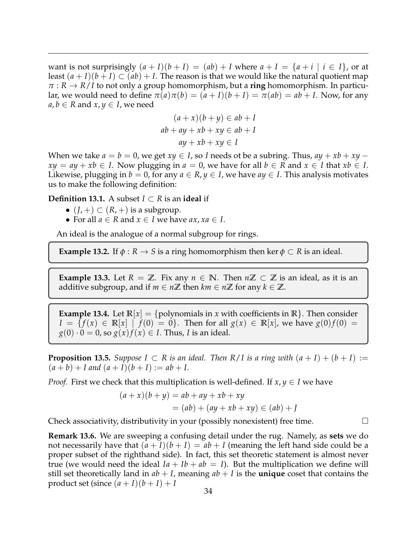want is not surprisingly  $(a + I)(b + I) = (ab) + I$  where  $a + I = \{a + i \mid i \in I\}$ , or at least  $(a+I)(b+I) \subset (ab) + I$ . The reason is that we would like the natural quotient map  $\pi$  :  $R \rightarrow R/I$  to not only a group homomorphism, but a **ring** homomorphism. In particular, we would need to define  $\pi(a)\pi(b) = (a+I)(b+I) = \pi(ab) = ab+I$ . Now, for any  $a, b \in R$  and  $x, y \in I$ , we need

$$
(a+x)(b+y) \in ab + I
$$
  
ab + ay + xb + xy  $\in ab + I$   
ay + xb + xy  $\in I$ 

When we take  $a = b = 0$ , we get  $xy \in I$ , so *I* needs ot be a subring. Thus,  $ay + xb + xy$  $xy = ay + xb \in I$ . Now plugging in  $a = 0$ , we have for all  $b \in R$  and  $x \in I$  that  $xb \in I$ . Likewise, plugging in  $b = 0$ , for any  $a \in R$ ,  $y \in I$ , we have  $ay \in I$ . This analysis motivates us to make the following definition:

**Definition 13.1.** A subset *I* ⊂ *R* is an **ideal** if

- $(J,+) \subset (R,+)$  is a subgroup.
- For all  $a \in R$  and  $x \in I$  we have  $ax, xa \in I$ .

An ideal is the analogue of a normal subgroup for rings.

**Example 13.2.** If  $\phi : R \to S$  is a ring homomorphism then ker  $\phi \subset R$  is an ideal.

**Example 13.3.** Let  $R = \mathbb{Z}$ . Fix any  $n \in \mathbb{N}$ . Then  $n\mathbb{Z} \subset \mathbb{Z}$  is an ideal, as it is an additive subgroup, and if  $m \in n\mathbb{Z}$  then  $km \in n\mathbb{Z}$  for any  $k \in \mathbb{Z}$ .

**Example 13.4.** Let  $\mathbb{R}[x] = \{\text{polynomials in } x \text{ with coefficients in } \mathbb{R}\}.$  Then consider *I* = { $f(x)$  ∈ **R**[*x*] |  $f(0) = 0$ }. Then for all *g*(*x*) ∈ **R**[*x*], we have *g*(0)*f*(0) =  $g(0) \cdot 0 = 0$ , so  $g(x) f(x) \in I$ . Thus, *I* is an ideal.

**Proposition 13.5.** *Suppose*  $I \subset R$  *is an ideal. Then*  $R/I$  *is a ring with*  $(a + I) + (b + I) :=$  $(a + b) + I$  and  $(a + I)(b + I) := ab + I$ .

*Proof.* First we check that this multiplication is well-defined. If  $x, y \in I$  we have

$$
(a+x)(b+y) = ab + ay + xb + xy
$$
  

$$
= (ab) + (ay + xb + xy) \in (ab) + J
$$

Check associativity, distributivity in your (possibly nonexistent) free time.  $\Box$ 

**Remark 13.6.** We are sweeping a confusing detail under the rug. Namely, as **sets** we do not necessarily have that  $(a + I)(b + I) = ab + I$  (meaning the left hand side could be a proper subset of the righthand side). In fact, this set theoretic statement is almost never true (we would need the ideal  $Ia + Ib + ab = I$ ). But the multiplication we define will still set theoretically land in  $ab + I$ , meaning  $ab + I$  is the **unique** coset that contains the product set (since  $(a + I)(b + I) + I$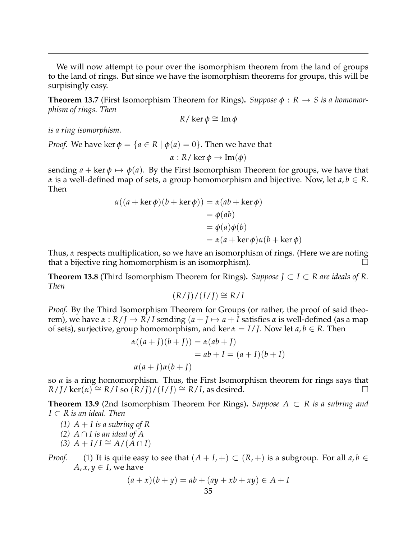We will now attempt to pour over the isomorphism theorem from the land of groups to the land of rings. But since we have the isomorphism theorems for groups, this will be surpisingly easy.

**Theorem 13.7** (First Isomorphism Theorem for Rings). *Suppose*  $\phi$  :  $R \rightarrow S$  *is a homomorphism of rings. Then*

$$
R/\ker\phi \cong \operatorname{Im}\phi
$$

*is a ring isomorphism.*

*Proof.* We have ker  $\phi = \{a \in R \mid \phi(a) = 0\}$ . Then we have that

$$
\alpha: R/\ker \phi \to \text{Im}(\phi)
$$

sending  $a + \text{ker } \phi \mapsto \phi(a)$ . By the First Isomorphism Theorem for groups, we have that *α* is a well-defined map of sets, a group homomorphism and bijective. Now, let  $a, b \in R$ . Then

$$
\alpha((a + \ker \phi)(b + \ker \phi)) = \alpha(ab + \ker \phi)
$$
  
=  $\phi(ab)$   
=  $\phi(a)\phi(b)$   
=  $\alpha(a + \ker \phi)\alpha(b + \ker \phi)$ 

Thus, *α* respects multiplication, so we have an isomorphism of rings. (Here we are noting that a bijective ring homomorphism is an isomorphism).

**Theorem 13.8** (Third Isomorphism Theorem for Rings)**.** *Suppose J* ⊂ *I* ⊂ *R are ideals of R. Then*

$$
(R/J)/(I/J) \cong R/I
$$

*Proof.* By the Third Isomorphism Theorem for Groups (or rather, the proof of said theorem), we have  $\alpha$  :  $R/I \rightarrow R/I$  sending  $(a+I) \rightarrow a+I$  satisfies  $\alpha$  is well-defined (as a map of sets), surjective, group homomorphism, and ker *α* = *I*/*J*. Now let *a*, *b* ∈ *R*. Then

$$
\alpha((a+J)(b+J)) = \alpha(ab+J)
$$
  
= ab+I = (a+I)(b+I)  

$$
\alpha(a+J)\alpha(b+J)
$$

so *α* is a ring homomorphism. Thus, the First Isomorphism theorem for rings says that  $R/J/\ker(\alpha) \cong R/I$  so  $(R/J)/(I/J) \cong R/I$ , as desired.

**Theorem 13.9** (2nd Isomorphism Theorem For Rings)**.** *Suppose A* ⊂ *R is a subring and I* ⊂ *R is an ideal. Then*

- *(1)*  $A + I$  *is a subring of R*
- *(2)*  $A ∩ I$  *is an ideal of A*
- *(3)*  $A + I/I \cong A/(A ∩ I)$

*Proof.* (1) It is quite easy to see that  $(A + I, +) \subset (R, +)$  is a subgroup. For all  $a, b \in$ *A*,  $x, y \in I$ , we have

$$
(a+x)(b+y) = ab + (ay+xb+xy) \in A + I
$$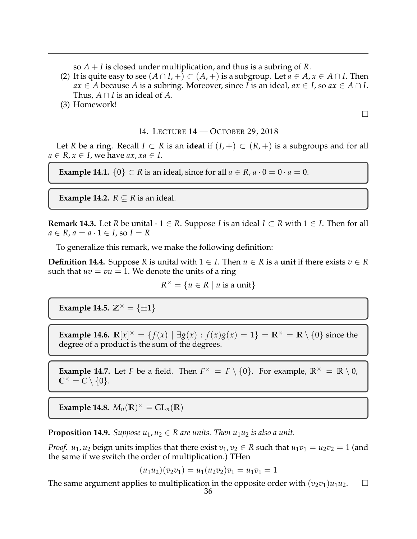so *A* + *I* is closed under multiplication, and thus is a subring of *R*.

- (2) It is quite easy to see  $(A \cap I, +) \subset (A, +)$  is a subgroup. Let  $a \in A, x \in A \cap I$ . Then *ax* ∈ *A* because *A* is a subring. Moreover, since *I* is an ideal,  $ax \in I$ , so  $ax \in A ∩ I$ . Thus,  $A \cap I$  is an ideal of A.
- (3) Homework!

 $\Box$ 

# 14. LECTURE 14 — OCTOBER 29, 2018

<span id="page-35-0"></span>Let *R* be a ring. Recall *I* ⊂ *R* is an **ideal** if  $(I,+)$  ⊂  $(R,+)$  is a subgroups and for all  $a \in R$ ,  $x \in I$ , we have  $ax$ ,  $xa \in I$ .

**Example 14.1.**  $\{0\} \subset R$  is an ideal, since for all  $a \in R$ ,  $a \cdot 0 = 0 \cdot a = 0$ .

**Example 14.2.**  $R \subseteq R$  is an ideal.

**Remark 14.3.** Let *R* be unital - 1  $\in$  *R*. Suppose *I* is an ideal *I*  $\subset$  *R* with 1  $\in$  *I*. Then for all  $a \in R$ ,  $a = a \cdot 1 \in I$ , so  $I = R$ 

To generalize this remark, we make the following definition:

**Definition 14.4.** Suppose *R* is unital with  $1 \in I$ . Then  $u \in R$  is a **unit** if there exists  $v \in R$ such that  $uv = vu = 1$ . We denote the units of a ring

 $R^{\times} = \{ u \in R \mid u \text{ is a unit} \}$ 

**Example 14.5.**  $\mathbb{Z}^{\times} = {\pm 1}$ 

**Example 14.6.**  $\mathbb{R}[x]^{x} = \{f(x) | \exists g(x) : f(x)g(x) = 1\} = \mathbb{R}^{x} = \mathbb{R} \setminus \{0\}$  since the degree of a product is the sum of the degrees.

**Example 14.7.** Let *F* be a field. Then  $F^{\times} = F \setminus \{0\}$ . For example,  $\mathbb{R}^{\times} = \mathbb{R} \setminus 0$ ,  $\mathbb{C}^{\times} = C \setminus \{0\}.$ 

**Example 14.8.**  $M_n(\mathbb{R})^{\times} = GL_n(\mathbb{R})$ 

**Proposition 14.9.** *Suppose*  $u_1, u_2 \in R$  *are units. Then*  $u_1u_2$  *is also a unit.* 

*Proof. u*<sub>1</sub>, *u*<sub>2</sub> beign units implies that there exist  $v_1, v_2 \in R$  such that  $u_1v_1 = u_2v_2 = 1$  (and the same if we switch the order of multiplication.) THen

$$
(u_1u_2)(v_2v_1) = u_1(u_2v_2)v_1 = u_1v_1 = 1
$$

The same argument applies to multiplication in the opposite order with  $(v_2v_1)u_1u_2$ .  $\square$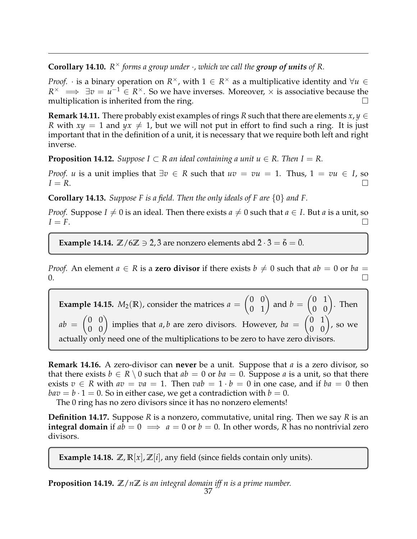**Corollary 14.10.**  $R^{\times}$  forms a group under  $\cdot$ , which we call the group of units of R.

*Proof.*  $\cdot$  is a binary operation on  $R^{\times}$ , with  $1 \in R^{\times}$  as a multiplicative identity and  $\forall u \in R$  $R^{\times} \implies \exists v = u^{-1} \in R^{\times}$ . So we have inverses. Moreover,  $\times$  is associative because the multiplication is inherited from the ring.

**Remark 14.11.** There probably exist examples of rings *R* such that there are elements  $x, y \in$ *R* with  $xy = 1$  and  $yx \neq 1$ , but we will not put in effort to find such a ring. It is just important that in the definition of a unit, it is necessary that we require both left and right inverse.

**Proposition 14.12.** *Suppose*  $I \subset R$  *an ideal containing a unit u*  $\in R$ *. Then*  $I = R$ *.* 

*Proof. u* is a unit implies that  $\exists v \in R$  such that  $uv = vu = 1$ . Thus,  $1 = vu \in I$ , so  $I = R$ .

**Corollary 14.13.** *Suppose F is a field. Then the only ideals of F are* {0} *and F.*

*Proof.* Suppose *I*  $\neq$  0 is an ideal. Then there exists *a*  $\neq$  0 such that *a*  $\in$  *I*. But *a* is a unit, so  $I = F$ .

**Example 14.14.**  $\mathbb{Z}/6\mathbb{Z} \ni \overline{2}$ ,  $\overline{3}$  are nonzero elements abd  $\overline{2} \cdot \overline{3} = \overline{6} = \overline{0}$ .

*Proof.* An element  $a \in R$  is a **zero divisor** if there exists  $b \neq 0$  such that  $ab = 0$  or  $ba =$  $\overline{0}$ .

**Example 14.15.**  $M_2(\mathbb{R})$ , consider the matrices  $a = \begin{pmatrix} 0 & 0 \\ 0 & 1 \end{pmatrix}$  and  $b = \begin{pmatrix} 0 & 1 \\ 0 & 0 \end{pmatrix}$ . Then  $ab = \begin{pmatrix} 0 & 0 \\ 0 & 0 \end{pmatrix}$  implies that *a*, *b* are zero divisors. However,  $ba = \begin{pmatrix} 0 & 1 \\ 0 & 0 \end{pmatrix}$ , so we actually only need one of the multiplications to be zero to have zero divisors.

**Remark 14.16.** A zero-divisor can **never** be a unit. Suppose that *a* is a zero divisor, so that there exists  $b \in R \setminus 0$  such that  $ab = 0$  or  $ba = 0$ . Suppose *a* is a unit, so that there exists  $v \in R$  with  $av = va = 1$ . Then  $vab = 1 \cdot b = 0$  in one case, and if  $ba = 0$  then  $bav = b \cdot 1 = 0$ . So in either case, we get a contradiction with  $b = 0$ .

The 0 ring has no zero divisors since it has no nonzero elements!

**Definition 14.17.** Suppose *R* is a nonzero, commutative, unital ring. Then we say *R* is an **integral domain** if  $ab = 0 \implies a = 0$  or  $b = 0$ . In other words, R has no nontrivial zero divisors.

**Example 14.18.**  $\mathbb{Z}, \mathbb{R}[x], \mathbb{Z}[i]$ , any field (since fields contain only units).

**Proposition 14.19. Z**/*n***Z** *is an integral domain iff n is a prime number.*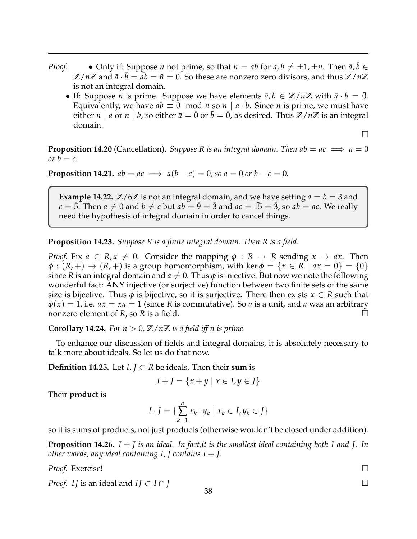- *Proof.* Only if: Suppose *n* not prime, so that  $n = ab$  for  $a, b \neq \pm 1, \pm n$ . Then  $\bar{a}, \bar{b} \in$  $\mathbb{Z}/n\mathbb{Z}$  and  $\bar{a} \cdot \bar{b} = a\bar{b} = \bar{n} = \bar{0}$ . So these are nonzero zero divisors, and thus  $\mathbb{Z}/n\mathbb{Z}$ is not an integral domain.
	- If: Suppose *n* is prime. Suppose we have elements  $\bar{a}$ ,  $\bar{b} \in \mathbb{Z}/n\mathbb{Z}$  with  $\bar{a} \cdot \bar{b} = \bar{0}$ . Equivalently, we have  $ab \equiv 0 \mod n$  so  $n \mid a \cdot b$ . Since *n* is prime, we must have either *n* | *a* or *n* | *b*, so either  $\bar{a} = \bar{0}$  or  $b = \bar{0}$ , as desired. Thus  $\mathbb{Z}/n\mathbb{Z}$  is an integral domain.

 $\Box$ 

**Proposition 14.20** (Cancellation). *Suppose R is an integral domain. Then ab* =  $ac \implies a = 0$ *or*  $b = c$ .

**Proposition 14.21.**  $ab = ac \implies a(b - c) = 0$ , so  $a = 0$  or  $b - c = 0$ .

**Example 14.22.**  $\mathbb{Z}/6\mathbb{Z}$  is not an integral domain, and we have setting  $a = b = \overline{3}$  and  $c = 5$ . Then  $a \neq 0$  and  $b \neq c$  but  $ab = \overline{9} = \overline{3}$  and  $ac = \overline{15} = \overline{3}$ , so  $ab = ac$ . We really need the hypothesis of integral domain in order to cancel things.

**Proposition 14.23.** *Suppose R is a finite integral domain. Then R is a field.*

*Proof.* Fix  $a \in R$ ,  $a \neq 0$ . Consider the mapping  $\phi : R \rightarrow R$  sending  $x \rightarrow ax$ . Then  $\phi$ :  $(R,+) \rightarrow (R,+)$  is a group homomorphism, with ker  $\phi = \{x \in R \mid ax = 0\} = \{0\}$ since *R* is an integral domain and  $a \neq 0$ . Thus  $\phi$  is injective. But now we note the following wonderful fact: ANY injective (or surjective) function between two finite sets of the same size is bijective. Thus  $\phi$  is bijective, so it is surjective. There then exists  $x \in R$  such that  $\phi(x) = 1$ , i.e.  $ax = xa = 1$  (since *R* is commutative). So *a* is a unit, and *a* was an arbitrary nonzero element of *R*, so *R* is a field.

**Corollary 14.24.** For  $n > 0$ ,  $\mathbb{Z}/n\mathbb{Z}$  *is a field iff n is prime.* 

To enhance our discussion of fields and integral domains, it is absolutely necessary to talk more about ideals. So let us do that now.

**Definition 14.25.** Let *I*, *J* ⊂ *R* be ideals. Then their sum is

$$
I + J = \{x + y \mid x \in I, y \in J\}
$$

Their **product** is

$$
I \cdot J = \{ \sum_{k=1}^{n} x_k \cdot y_k \mid x_k \in I, y_k \in J \}
$$

so it is sums of products, not just products (otherwise wouldn't be closed under addition).

**Proposition 14.26.** *I* + *J is an ideal. In fact,it is the smallest ideal containing both I and J. In other words, any ideal containing I*, *J contains I* + *J.*

*Proof.* Exercise!

*Proof. II* is an ideal and *II*  $\subset$  *I* ∩ *J*  $\subset$   $\cap$  *J*  $\subset$   $\cap$  *J*  $\subset$  *J*  $\subset$  *J*  $\subset$  *J*  $\subset$  *J*  $\subset$  *J*  $\subset$  *J*  $\subset$  *J*  $\subset$  *J*  $\subset$  *J*  $\subset$  *J*  $\subset$  *J*  $\subset$  *J*  $\subset$  *J*  $\subset$  *J*  $\subset$  *J*  $\subset$  *J*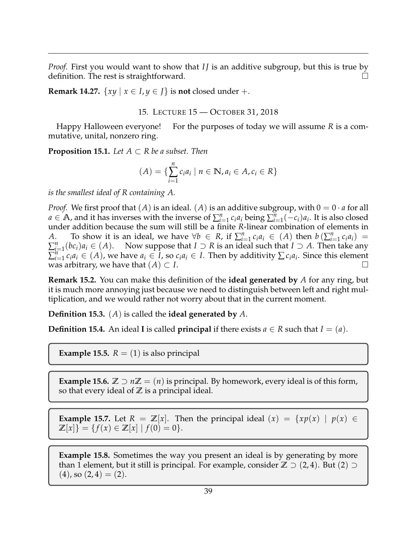*Proof.* First you would want to show that *IJ* is an additive subgroup, but this is true by definition. The rest is straightforward.

**Remark 14.27.**  $\{xy \mid x \in I, y \in J\}$  is **not** closed under +.

15. LECTURE 15 — OCTOBER 31, 2018

<span id="page-38-0"></span>Happy Halloween everyone! For the purposes of today we will assume *R* is a commutative, unital, nonzero ring.

**Proposition 15.1.** Let  $A \subset R$  be a subset. Then

$$
(A) = \{ \sum_{i=1}^{n} c_i a_i \mid n \in \mathbb{N}, a_i \in A, c_i \in R \}
$$

*is the smallest ideal of R containing A.*

*Proof.* We first proof that  $(A)$  is an ideal.  $(A)$  is an additive subgroup, with  $0 = 0 \cdot a$  for all  $a \in A$ , and it has inverses with the inverse of  $\sum_{i=1}^{n} c_i a_i$  being  $\sum_{i=1}^{n} (-c_i) a_i$ . It is also closed under addition because the sum will still be a finite *R*-linear combination of elements in *A*. To show it is an ideal, we have  $\forall b \in R$ , if  $\sum_{i=1}^{n} c_i a_i \in (A)$  then  $b(\sum_{i=1}^{n} c_i a_i) =$  $\sum_{i=1}^{n} (bc_i)a_i \in (A)$ . Now suppose that  $I \supset R$  is an ideal such that  $I \supset A$ . Then take any  $\sum_{i=1}^{n} c_i a_i \in (A)$ , we have  $a_i \in I$ , so  $c_i a_i \in I$ . Then by additivity  $\sum c_i a_i$ . Since this element was arbitrary, we have that  $(A) \subset I$ .

**Remark 15.2.** You can make this definition of the **ideal generated by** *A* for any ring, but it is much more annoying just because we need to distinguish between left and right multiplication, and we would rather not worry about that in the current moment.

**Definition 15.3.** (*A*) is called the **ideal generated by** *A*.

**Definition 15.4.** An ideal **I** is called **principal** if there exists  $a \in R$  such that  $I = (a)$ .

**Example 15.5.**  $R = (1)$  is also principal

**Example 15.6.**  $\mathbb{Z} \supset n\mathbb{Z} = (n)$  is principal. By homework, every ideal is of this form, so that every ideal of **Z** is a principal ideal.

**Example 15.7.** Let  $R = \mathbb{Z}[x]$ . Then the principal ideal  $(x) = \{xp(x) \mid p(x) \in \mathbb{Z}[x] \}$  $\mathbb{Z}[x]$ } = { $f(x) \in \mathbb{Z}[x] | f(0) = 0$  }.

**Example 15.8.** Sometimes the way you present an ideal is by generating by more than 1 element, but it still is principal. For example, consider  $\mathbb{Z} \supseteq (2,4)$ . But  $(2) \supseteq$  $(4)$ , so  $(2, 4) = (2)$ .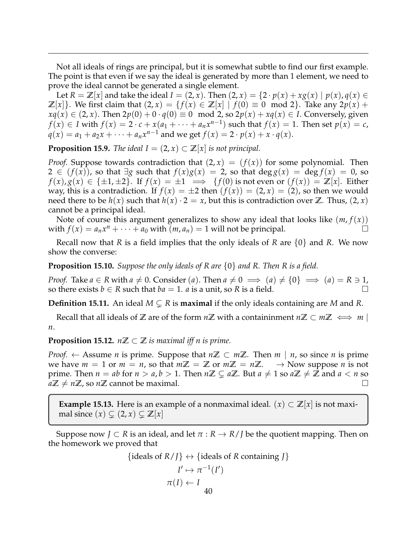Not all ideals of rings are principal, but it is somewhat subtle to find our first example. The point is that even if we say the ideal is generated by more than 1 element, we need to prove the ideal cannot be generated a single element.

Let  $R = \mathbb{Z}[x]$  and take the ideal  $I = (2, x)$ . Then  $(2, x) = \{2 \cdot p(x) + xg(x) \mid p(x), q(x) \in$ *Z*[*x*]}. We first claim that (2, *x*) = { $f(x) ∈ Z[x] | f(0) ≡ 0 \mod 2$ }. Take any 2*p*(*x*) + *xq*(*x*) ∈ (2, *x*). Then  $2p(0) + 0 \cdot q(0) \equiv 0 \mod 2$ , so  $2p(x) + xq(x) \in I$ . Conversely, given *f*(*x*) ∈ *I* with  $f(x) = 2 \cdot c + x(a_1 + \cdots + a_n x^{n-1})$  such that  $f(x) = 1$ . Then set  $p(x) = c$ ,  $q(x) = a_1 + a_2x + \cdots + a_nx^{n-1}$  and we get  $f(x) = 2 \cdot p(x) + x \cdot q(x)$ .

**Proposition 15.9.** *The ideal*  $I = (2, x) \subset \mathbb{Z}[x]$  *is not principal.* 

*Proof.* Suppose towards contradiction that  $(2, x) = (f(x))$  for some polynomial. Then 2 ∈  $(f(x))$ , so that  $\exists g$  such that  $f(x)g(x) = 2$ , so that deg  $g(x) = \deg f(x) = 0$ , so *f*(*x*), *g*(*x*) ∈ { $\pm$ 1,  $\pm$ 2}. If *f*(*x*) =  $\pm$ 1  $\implies$  {*f*(0) is not even or (*f*(*x*)) = **Z**[*x*]. Either way, this is a contradiction. If  $f(x) = \pm 2$  then  $(f(x)) = (2, x) = (2)$ , so then we would need there to be  $h(x)$  such that  $h(x) \cdot 2 = x$ , but this is contradiction over **Z**. Thus,  $(2, x)$ cannot be a principal ideal.

Note of course this argument generalizes to show any ideal that looks like  $(m, f(x))$ with  $f(x) = a_n x^n + \cdots + a_0$  with  $(m, a_n) = 1$  will not be principal.

Recall now that *R* is a field implies that the only ideals of *R* are {0} and *R*. We now show the converse:

**Proposition 15.10.** *Suppose the only ideals of R are* {0} *and R. Then R is a field.*

*Proof.* Take  $a \in R$  with  $a \neq 0$ . Consider (*a*). Then  $a \neq 0 \implies (a) \neq \{0\} \implies (a) = R \ni 1$ , so there exists *b*  $\in$  *R* such that *ba* = 1. *a* is a unit, so *R* is a field.

**Definition 15.11.** An ideal  $M \subsetneq R$  is **maximal** if the only ideals containing are M and R.

Recall that all ideals of **Z** are of the form  $n\mathbb{Z}$  with a containinment  $n\mathbb{Z} \subset m\mathbb{Z} \iff m$ *n*.

**Proposition 15.12.**  $n\mathbb{Z} \subset \mathbb{Z}$  *is maximal iff n is prime.* 

*Proof.* ← Assume *n* is prime. Suppose that  $n\mathbb{Z} \subset m\mathbb{Z}$ . Then  $m \mid n$ , so since *n* is prime we have  $m = 1$  or  $m = n$ , so that  $m\mathbb{Z} = \mathbb{Z}$  or  $m\mathbb{Z} = n\mathbb{Z}$ .  $\rightarrow$  Now suppose *n* is not prime. Then  $n = ab$  for  $n > a$ ,  $b > 1$ . Then  $n \mathbb{Z} \subsetneq a \mathbb{Z}$ . But  $a \neq 1$  so  $a \mathbb{Z} \neq \mathbb{Z}$  and  $a < n$  so  $a\mathbb{Z} \neq n\mathbb{Z}$ , so  $n\mathbb{Z}$  cannot be maximal.

**Example 15.13.** Here is an example of a nonmaximal ideal.  $(x) \subset \mathbb{Z}[x]$  is not maximal since  $(x) \subsetneq (2, x) \subsetneq \mathbb{Z}[x]$ 

Suppose now  $J \subset R$  is an ideal, and let  $\pi : R \to R/I$  be the quotient mapping. Then on the homework we proved that

$$
{\text{ideals of } R / J} \leftrightarrow {\text{ideals of } R \text{ containing } J}
$$
  

$$
I' \mapsto \pi^{-1}(I')
$$
  

$$
\pi(I) \leftarrow I
$$
  
40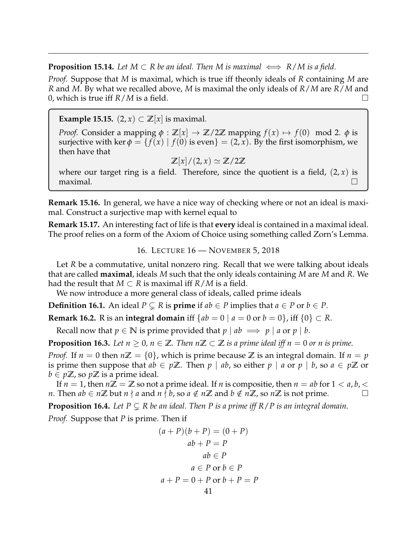**Proposition 15.14.** *Let*  $M \subset R$  *be an ideal. Then*  $M$  *is maximal*  $\iff R/M$  *is a field.* 

*Proof.* Suppose that *M* is maximal, which is true iff theonly ideals of *R* containing *M* are *R* and *M*. By what we recalled above, *M* is maximal the only ideals of *R*/*M* are *R*/*M* and 0, which is true iff  $R/M$  is a field.

**Example 15.15.**  $(2, x) \subset \mathbb{Z}[x]$  is maximal.

*Proof.* Consider a mapping  $\phi : \mathbb{Z}[x] \to \mathbb{Z}/2\mathbb{Z}$  mapping  $f(x) \mapsto f(0) \mod 2$ .  $\phi$  is surjective with ker  $\phi = \{f(x) \mid f(0) \text{ is even} \} = (2, x)$ . By the first isomorphism, we then have that

$$
\mathbb{Z}[x]/(2,x) \simeq \mathbb{Z}/2\mathbb{Z}
$$

where our target ring is a field. Therefore, since the quotient is a field,  $(2, x)$  is maximal.  $\Box$ 

**Remark 15.16.** In general, we have a nice way of checking where or not an ideal is maximal. Construct a surjective map with kernel equal to

**Remark 15.17.** An interesting fact of life is that **every** ideal is contained in a maximal ideal. The proof relies on a form of the Axiom of Choice using something called Zorn's Lemma.

16. LECTURE 16 — NOVEMBER 5, 2018

<span id="page-40-0"></span>Let *R* be a commutative, unital nonzero ring. Recall that we were talking about ideals that are called **maximal**, ideals *M* such that the only ideals containing *M* are *M* and *R*. We had the result that  $M \subset R$  is maximal iff  $R/M$  is a field.

We now introduce a more general class of ideals, called prime ideals

**Definition 16.1.** An ideal  $P \subsetneq R$  is **prime** if  $ab \in P$  implies that  $a \in P$  or  $b \in P$ .

**Remark 16.2.** R is an **integral domain** iff  ${ab = 0 | a = 0 \text{ or } b = 0}$ , iff  ${0 \in R}$ .

Recall now that  $p \in \mathbb{N}$  is prime provided that  $p \mid ab \implies p \mid a$  or  $p \mid b$ .

**Proposition 16.3.** Let  $n > 0$ ,  $n \in \mathbb{Z}$ . Then  $n\mathbb{Z} \subset \mathbb{Z}$  is a prime ideal iff  $n = 0$  or n is prime.

*Proof.* If  $n = 0$  then  $n\mathbb{Z} = \{0\}$ , which is prime because  $\mathbb{Z}$  is an integral domain. If  $n = p$ is prime then suppose that *ab* ∈ *p***Z**. Then *p* | *ab*, so either *p* | *a* or *p* | *b*, so *a* ∈ *p***Z** or  $b \in p\mathbb{Z}$ , so  $p\mathbb{Z}$  is a prime ideal.

If  $n = 1$ , then  $n\mathbb{Z} = \mathbb{Z}$  so not a prime ideal. If *n* is compositie, then  $n = ab$  for  $1 < a, b, < b$ *n*. Then *ab* ∈ *n***Z** but *n*  $\nmid$  *a* and *n*  $\nmid$  *b*, so *a* ∉ *n***Z** and *b* ∉ *n***Z**, so *n***Z** is not prime.

**Proposition 16.4.** Let  $P \subseteq R$  be an ideal. Then P is a prime iff  $R/P$  is an integral domain.

*Proof.* Suppose that *P* is prime. Then if

$$
(a+P)(b+P) = (0+P)
$$
  
\n
$$
ab+P = P
$$
  
\n
$$
ab \in P
$$
  
\n
$$
a \in P \text{ or } b \in P
$$
  
\n
$$
a+P = 0 + P \text{ or } b+P = P
$$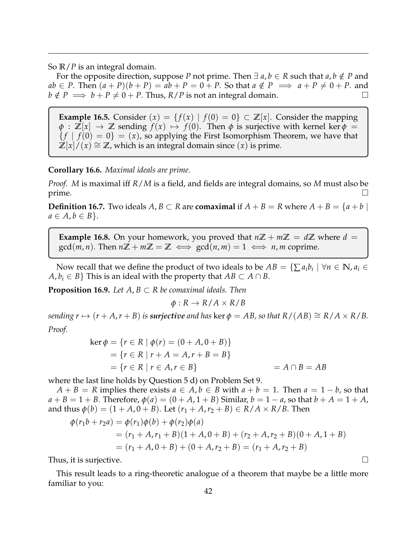So **R**/*P* is an integral domain.

For the opposite direction, suppose *P* not prime. Then  $\exists a, b \in R$  such that  $a, b \notin P$  and  $ab \in P$ . Then  $(a + P)(b + P) = ab + P = 0 + P$ . So that  $a \notin P \implies a + P \neq 0 + P$ . and  $b \notin P \implies b + P \neq 0 + P$ . Thus,  $R/P$  is not an integral domain.

**Example 16.5.** Consider  $(x) = \{f(x) | f(0) = 0\} \subset \mathbb{Z}[x]$ . Consider the mapping  $\phi$  :  $\mathbb{Z}[x] \to \mathbb{Z}$  sending  $f(x) \mapsto f(0)$ . Then  $\phi$  is surjective with kernel ker  $\phi =$  ${f \mid f(0) = 0} = (x)$ , so applying the First Isomorphism Theorem, we have that  $\mathbb{Z}[x]/(x) \cong \mathbb{Z}$ , which is an integral domain since  $(x)$  is prime.

**Corollary 16.6.** *Maximal ideals are prime.*

*Proof. M* is maximal iff *R*/*M* is a field, and fields are integral domains, so *M* must also be prime.

**Definition 16.7.** Two ideals  $A, B \subset R$  are **comaximal** if  $A + B = R$  where  $A + B = \{a + b \mid a \in R\}$  $a \in A, b \in B$ .

**Example 16.8.** On your homework, you proved that  $n\mathbb{Z} + m\mathbb{Z} = d\mathbb{Z}$  where  $d =$  $\gcd(m, n)$ . Then  $n\mathbb{Z} + m\mathbb{Z} = \mathbb{Z} \iff \gcd(n, m) = 1 \iff n, m$  coprime.

Now recall that we define the product of two ideals to be  $AB = \{\sum a_i b_i \mid \forall n \in \mathbb{N}, a_i \in A\}$  $A, b_i \in B$  This is an ideal with the property that  $AB \subset A \cap B$ .

**Proposition 16.9.** Let  $A, B \subset R$  be comaximal ideals. Then

 $\phi: R \to R/A \times R/B$ 

*sending*  $r \mapsto (r + A, r + B)$  *is surjective and has* ker  $\phi = AB$ , so that  $R/(AB) \cong R/A \times R/B$ . *Proof.*

$$
\ker \phi = \{r \in R \mid \phi(r) = (0 + A, 0 + B)\}
$$
  
= \{r \in R \mid r + A = A, r + B = B\}  
= \{r \in R \mid r \in A, r \in B\} = A \cap B = AB

where the last line holds by Question 5 d) on Problem Set 9.

 $A + B = R$  implies there exists  $a \in A, b \in B$  with  $a + b = 1$ . Then  $a = 1 - b$ , so that  $a + B = 1 + B$ . Therefore,  $\phi(a) = (0 + A, 1 + B)$  Similar,  $b = 1 - a$ , so that  $b + A = 1 + A$ , and thus  $\phi(b) = (1 + A, 0 + B)$ . Let  $(r_1 + A, r_2 + B) \in R/A \times R/B$ . Then

$$
\begin{aligned} \phi(r_1b + r_2a) &= \phi(r_1)\phi(b) + \phi(r_2)\phi(a) \\ &= (r_1 + A, r_1 + B)(1 + A, 0 + B) + (r_2 + A, r_2 + B)(0 + A, 1 + B) \\ &= (r_1 + A, 0 + B) + (0 + A, r_2 + B) = (r_1 + A, r_2 + B) \end{aligned}
$$

Thus, it is surjective.  $\Box$ 

This result leads to a ring-theoretic analogue of a theorem that maybe be a little more familiar to you: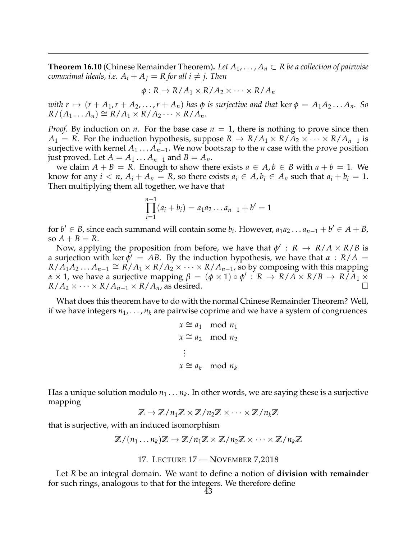**Theorem 16.10** (Chinese Remainder Theorem). Let  $A_1, \ldots, A_n \subset R$  be a collection of pairwise *comaximal ideals, i.e.*  $A_i + A_j = R$  *for all i*  $\neq$  *j. Then* 

$$
\phi: R \to R/A_1 \times R/A_2 \times \cdots \times R/A_n
$$

*with*  $r \mapsto (r + A_1, r + A_2, \ldots, r + A_n)$  *has*  $\phi$  *is surjective and that* ker  $\phi = A_1 A_2 \ldots A_n$ . So  $R/(A_1 \dots A_n) \cong R/A_1 \times R/A_2 \dots \times R/A_n$ .

*Proof.* By induction on *n*. For the base case  $n = 1$ , there is nothing to prove since then  $A_1 = R$ . For the induction hypothesis, suppose  $R \to R/A_1 \times R/A_2 \times \cdots \times R/A_{n-1}$  is surjective with kernel  $A_1 \ldots A_{n-1}$ . We now bootsrap to the *n* case with the prove position just proved. Let  $A = A_1 \dots A_{n-1}$  and  $B = A_n$ .

we claim  $A + B = R$ . Enough to show there exists  $a \in A, b \in B$  with  $a + b = 1$ . We know for any  $i < n$ ,  $A_i + A_n = R$ , so there exists  $a_i \in A$ ,  $b_i \in A_n$  such that  $a_i + b_i = 1$ . Then multiplying them all together, we have that

$$
\prod_{i=1}^{n-1} (a_i + b_i) = a_1 a_2 \dots a_{n-1} + b' = 1
$$

for  $b' \in B$ , since each summand will contain some  $b_i$ . However,  $a_1 a_2 \ldots a_{n-1} + b' \in A + B$ , so  $A + B = R$ .

Now, applying the proposition from before, we have that  $\phi' : R \to R/A \times R/B$  is a surjection with ker  $\dot{\phi}' = AB$ . By the induction hypothesis, we have that  $\alpha$  :  $R/A$  =  $R/A_1'A_2...A_{n-1} \cong R/A_1 \times R/A_2 \times \cdots \times R/A_{n-1}$ , so by composing with this mapping *α* × 1, we have a surjective mapping  $β = (φ × 1) ∘ φ' : R → R/A × R/B → R/A1 × R$  $R/A_2 \times \cdots \times R/A_{n-1} \times R/A_n$ , as desired.

What does this theorem have to do with the normal Chinese Remainder Theorem? Well, if we have integers  $n_1, \ldots, n_k$  are pairwise coprime and we have a system of congruences

$$
x \cong a_1 \mod n_1
$$
  
\n
$$
x \cong a_2 \mod n_2
$$
  
\n
$$
\vdots
$$
  
\n
$$
x \cong a_k \mod n_k
$$

Has a unique solution modulo  $n_1 \ldots n_k.$  In other words, we are saying these is a surjective mapping

 $\mathbb{Z} \to \mathbb{Z}/n_1\mathbb{Z} \times \mathbb{Z}/n_2\mathbb{Z} \times \cdots \times \mathbb{Z}/n_k\mathbb{Z}$ 

that is surjective, with an induced isomorphism

$$
\mathbb{Z}/(n_1 \ldots n_k) \mathbb{Z} \to \mathbb{Z}/n_1 \mathbb{Z} \times \mathbb{Z}/n_2 \mathbb{Z} \times \cdots \times \mathbb{Z}/n_k \mathbb{Z}
$$

17. LECTURE 17 — NOVEMBER 7,2018

<span id="page-42-0"></span>Let *R* be an integral domain. We want to define a notion of **division with remainder** for such rings, analogous to that for the integers. We therefore define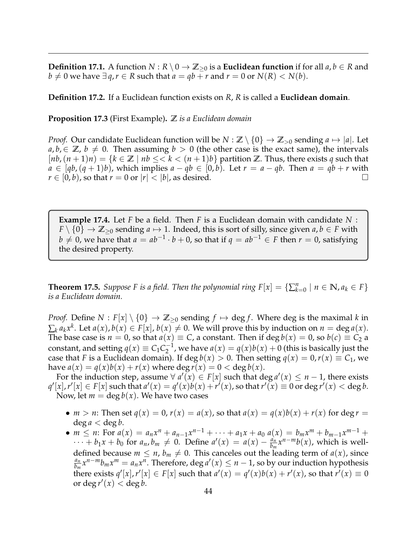**Definition 17.1.** A function  $N : R \setminus 0 \to \mathbb{Z}_{\geq 0}$  is a **Euclidean function** if for all  $a, b \in R$  and *b* ≠ 0 we have ∃ *q*, *r* ∈ *R* such that *a* = *qb* + *r* and *r* = 0 or *N*(*R*) < *N*(*b*).

**Definition 17.2.** If a Euclidean function exists on *R*, *R* is called a **Euclidean domain**.

**Proposition 17.3** (First Example)**. Z** *is a Euclidean domain*

*Proof.* Our candidate Euclidean function will be  $N : \mathbb{Z} \setminus \{0\} \to \mathbb{Z}_{>0}$  sending  $a \mapsto |a|$ . Let  $a, b \in \mathbb{Z}$ ,  $b \neq 0$ . Then assuming  $b > 0$  (the other case is the exact same), the intervals  $[nb,(n+1)n] = \{k \in \mathbb{Z} \mid nb \leq k < (n+1)b\}$  partition  $\mathbb{Z}$ . Thus, there exists q such that  $a \in [qb, (q+1)b)$ , which implies  $a - qb \in [0, b)$ . Let  $r = a - qb$ . Then  $a = qb + r$  with  $r \in [0, b)$ , so that  $r = 0$  or  $|r| < |b|$ , as desired.

**Example 17.4.** Let *F* be a field. Then *F* is a Euclidean domain with candidate *N* : *F* \  $\{0\}$   $\rightarrow$  **Z**<sub>20</sub> sending *a*  $\mapsto$  1. Indeed, this is sort of silly, since given *a*, *b*  $\in$  *F* with *b*  $\neq$  0, we have that *a* = *ab*<sup>−1</sup> · *b* + 0, so that if *q* = *ab*<sup>−1</sup> ∈ *F* then *r* = 0, satisfying the desired property.

**Theorem 17.5.** *Suppose F is a field. Then the polynomial ring*  $F[x] = \{ \sum_{k=0}^{n} | n \in \mathbb{N}, a_k \in F \}$ *is a Euclidean domain.*

*Proof.* Define  $N : F[x] \setminus \{0\} \rightarrow \mathbb{Z}_{\geq 0}$  sending  $f \mapsto \deg f$ . Where deg is the maximal k in  $\sum_{k} a_k x^k$ . Let  $a(x)$ ,  $b(x) \in F[x]$ ,  $b(x) \neq 0$ . We will prove this by induction on  $n = \deg a(x)$ . The base case is  $n = 0$ , so that  $a(x) \equiv C$ , a constant. Then if deg  $b(x) = 0$ , so  $b(c) \equiv C_2$  a constant, and setting  $q(x) \equiv C_1 C_2^{-1}$  $a_1^{-1}$ , we have  $a(x) = q(x)b(x) + 0$  (this is basically just the case that *F* is a Euclidean domain). If deg  $b(x) > 0$ . Then setting  $q(x) = 0, r(x) \equiv C_1$ , we have  $a(x) = q(x)b(x) + r(x)$  where deg  $r(x) = 0 < \deg b(x)$ .

For the induction step, assume  $\forall a'(x) \in F[x]$  such that deg  $a'(x) \leq n-1$ , there exists  $q'[x]$ ,  $r'[x] \in F[x]$  such that  $a'(x) = q'(x)b(x) + r'(x)$ , so that  $r'(x) \equiv 0$  or  $\deg r'(x) < \deg b$ . Now, let  $m = \deg b(x)$ . We have two cases

- *m* > *n*: Then set  $q(x) = 0$ ,  $r(x) = a(x)$ , so that  $a(x) = q(x)b(x) + r(x)$  for deg  $r =$  $\deg a < \deg b$ .
- $m \leq n$ : For  $a(x) = a_n x^n + a_{n-1} x^{n-1} + \cdots + a_1 x + a_0 a(x) = b_m x^m + b_{m-1} x^{m-1} +$  $\cdots + b_1x + b_0$  for  $a_n, b_m \neq 0$ . Define  $a'(x) = a(x) - \frac{a_n}{b_m}$  $\frac{a_n}{b_m}x^{n-m}b(x)$ , which is welldefined because  $m \leq n$ ,  $b_m \neq 0$ . This canceles out the leading term of  $a(x)$ , since *an*  $\frac{a_n}{b_m}x^{n-m}b_mx^m = a_nx^n$ . Therefore, deg  $a'(x) \le n-1$ , so by our induction hypothesis there exists  $q'[x]$ ,  $r'[x] \in F[x]$  such that  $a'(x) = q'(x)b(x) + r'(x)$ , so that  $r'(x) \equiv 0$ or deg  $r'(x) <$  deg *b*.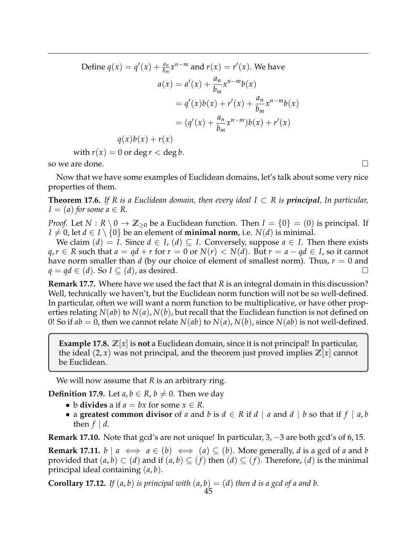Define 
$$
q(x) = q'(x) + \frac{a_n}{b_m} x^{n-m}
$$
 and  $r(x) = r'(x)$ . We have  
\n
$$
a(x) = a'(x) + \frac{a_n}{b_m} x^{n-m} b(x)
$$
\n
$$
= q'(x)b(x) + r'(x) + \frac{a_n}{b_m} x^{n-m} b(x)
$$
\n
$$
= (q'(x) + \frac{a_n}{b_m} x^{n-m}) b(x) + r'(x)
$$
\n
$$
q(x)b(x) + r(x)
$$

with  $r(x) = 0$  or deg  $r <$  deg *b*.

so we are done.  $\Box$ 

Now that we have some examples of Euclidean domains, let's talk about some very nice properties of them.

**Theorem 17.6.** If R is a Euclidean domain, then every ideal  $I \subset R$  is **principal**, In particular,  $I = (a)$  *for some*  $a \in R$ .

*Proof.* Let  $N: R \setminus 0 \to \mathbb{Z}_{\geq 0}$  be a Euclidean function. Then  $I = \{0\} = (0)$  is principal. If *I*  $\neq$  0, let *d*  $\in$  *I*  $\setminus$  {0} be an element of **minimal norm**, i.e. *N*(*d*) is minimal.

We claim  $(d) = I$ . Since  $d \in I$ ,  $(d) \subseteq I$ . Conversely, suppose  $a \in I$ . Then there exists *q*,*r* ∈ *R* such that  $a = qd + r$  for  $r = 0$  or  $N(r) < N(d)$ . But  $r = a - qd \in I$ , so it cannot have norm smaller than *d* (by our choice of element of smallest norm). Thus, *r* = 0 and  $q = qd \in (d)$ . So  $I \subseteq (d)$ , as desired.

**Remark 17.7.** Where have we used the fact that *R* is an integral domain in this discussion? Well, technically we haven't, but the Euclidean norm function will not be so well-defined. In particular, often we will want a norm function to be multiplicative, or have other properties relating *N*(*ab*) to *N*(*a*), *N*(*b*), but recall that the Euclidean function is not defined on 0! So if  $ab = 0$ , then we cannot relate  $N(ab)$  to  $N(a)$ ,  $N(b)$ , since  $N(ab)$  is not well-defined.

**Example 17.8. Z**[*x*] is **not** a Euclidean domain, since it is not principal! In particular, the ideal  $(2, x)$  was not principal, and the theorem just proved implies  $\mathbb{Z}[x]$  cannot be Euclidean.

We will now assume that *R* is an arbitrary ring.

**Definition 17.9.** Let  $a, b \in R$ ,  $b \neq 0$ . Then we day

- b **divides** a if  $a = bx$  for some  $x \in R$ .
- a **greatest common divisor** of *a* and *b* is  $d \in R$  if  $d \mid a$  and  $d \mid b$  so that if  $f \mid a,b$ then  $f \mid d$ .

**Remark 17.10.** Note that gcd's are not unique! In particular, 3, −3 are both gcd's of 6, 15.

**Remark 17.11.**  $b \mid a \iff a \in (b) \iff (a) \subseteq (b)$ . More generally, *d* is a gcd of *a* and *b* provided that  $(a, b) \subset (d)$  and if  $(a, b) \subseteq (f)$  then  $(d) \subseteq (f)$ . Therefore,  $(d)$  is the minimal principal ideal containing (*a*, *b*).

**Corollary 17.12.** *If*  $(a, b)$  *is principal with*  $(a, b) = (d)$  *then d is a gcd of a and b.*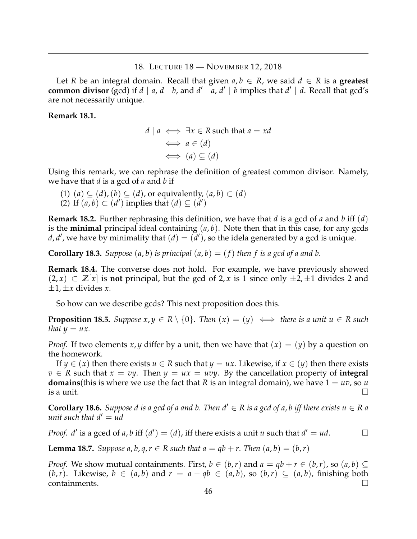#### 18. LECTURE 18 — NOVEMBER 12, 2018

<span id="page-45-0"></span>Let *R* be an integral domain. Recall that given  $a, b \in R$ , we said  $d \in R$  is a **greatest common divisor** (gcd) if  $d \mid a, d \mid b$ , and  $d' \mid a, d' \mid b$  implies that  $d' \mid d$ . Recall that gcd's are not necessarily unique.

# **Remark 18.1.**

$$
d \mid a \iff \exists x \in R \text{ such that } a = xd
$$
  

$$
\iff a \in (d)
$$
  

$$
\iff (a) \subseteq (d)
$$

Using this remark, we can rephrase the definition of greatest common divisor. Namely, we have that *d* is a gcd of *a* and *b* if

(1)  $(a) \subseteq (d)$ ,  $(b) \subseteq (d)$ , or equivalently,  $(a, b) \subset (d)$ (2) If  $(a, b) \subset (d')$  implies that  $(d) \subseteq (d')$ 

**Remark 18.2.** Further rephrasing this definition, we have that *d* is a gcd of *a* and *b* iff (*d*) is the **minimal** principal ideal containing (*a*, *b*). Note then that in this case, for any gcds *d*, *d'*, we have by minimality that  $(d) = (d')$ , so the idela generated by a gcd is unique.

**Corollary 18.3.** *Suppose*  $(a, b)$  *is principal*  $(a, b) = (f)$  *then* f *is a gcd of a and b.* 

**Remark 18.4.** The converse does not hold. For example, we have previously showed  $(2, x)$  ⊂  $\mathbb{Z}[x]$  is **not** principal, but the gcd of 2, *x* is 1 since only  $\pm 2$ ,  $\pm 1$  divides 2 and  $\pm 1$ ,  $\pm x$  divides *x*.

So how can we describe gcds? This next proposition does this.

**Proposition 18.5.** *Suppose*  $x, y \in R \setminus \{0\}$ . *Then*  $(x) = (y) \iff$  *there is a unit*  $u \in R$  *such that*  $y = ux$ .

*Proof.* If two elements *x*, *y* differ by a unit, then we have that  $(x) = (y)$  by a question on the homework.

If *y*  $\in$  (*x*) then there exists *u*  $\in$  *R* such that *y* = *ux*. Likewise, if *x*  $\in$  (*y*) then there exists  $v \in R$  such that  $x = vy$ . Then  $y = ux = uvy$ . By the cancellation property of **integral domains**(this is where we use the fact that *R* is an integral domain), we have  $1 = uv$ , so *u* is a unit.  $\Box$ 

**Corollary 18.6.** *Suppose d is a gcd of a and b. Then*  $d' \in R$  *is a gcd of a, b iff there exists*  $u \in R$  *a unit such that*  $d' = ud$ 

*Proof. d'* is a gced of *a*, *b* iff  $(d') = (d)$ , iff there exists a unit *u* such that  $d' = ud$ .

**Lemma 18.7.** *Suppose a, b, q, r*  $\in$  *R such that a* = *qb* + *r*. *Then*  $(a, b) = (b, r)$ 

*Proof.* We show mutual containments. First,  $b \in (b,r)$  and  $a = qb + r \in (b,r)$ , so  $(a,b) \subseteq$  $(b,r)$ . Likewise, *b* ∈ (*a*,*b*) and  $r = a - qb \in (a,b)$ , so (*b*,*r*) ⊆ (*a*,*b*), finishing both  $\blacksquare$ containments.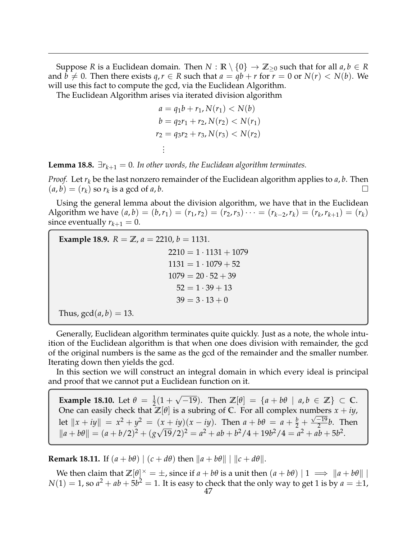Suppose *R* is a Euclidean domain. Then  $N : \mathbb{R} \setminus \{0\} \to \mathbb{Z}_{\geq 0}$  such that for all  $a, b \in \mathbb{R}$ and  $b \neq 0$ . Then there exists  $q, r \in R$  such that  $a = qb + r$  for  $r = 0$  or  $N(r) < N(b)$ . We will use this fact to compute the gcd, via the Euclidean Algorithm.

The Euclidean Algorithm arises via iterated division algorithm

$$
a = q_1b + r_1, N(r_1) < N(b)
$$
\n
$$
b = q_2r_1 + r_2, N(r_2) < N(r_1)
$$
\n
$$
r_2 = q_3r_2 + r_3, N(r_3) < N(r_2)
$$
\n
$$
\vdots
$$

**Lemma 18.8.**  $\exists r_{k+1} = 0$ . In other words, the Euclidean algorithm terminates.

*Proof.* Let  $r_k$  be the last nonzero remainder of the Euclidean algorithm applies to  $a, b$ . Then  $(a, b) = (r_k)$  so  $r_k$  is a gcd of *a*, *b*.

Using the general lemma about the division algorithm, we have that in the Euclidean Algorithm we have  $(a, b) = (b, r_1) = (r_1, r_2) = (r_2, r_3) \cdots = (r_{k-2}, r_k) = (r_k, r_{k+1}) = (r_k)$ since eventually  $r_{k+1} = 0$ .

**Example 18.9.**  $R = \mathbb{Z}$ ,  $a = 2210$ ,  $b = 1131$ .  $2210 = 1 \cdot 1131 + 1079$  $1131 = 1 \cdot 1079 + 52$  $1079 = 20 \cdot 52 + 39$  $52 = 1 \cdot 39 + 13$  $39 = 3 \cdot 13 + 0$ Thus,  $gcd(a, b) = 13$ .

Generally, Euclidean algorithm terminates quite quickly. Just as a note, the whole intuition of the Euclidean algorithm is that when one does division with remainder, the gcd of the original numbers is the same as the gcd of the remainder and the smaller number. Iterating down then yields the gcd.

In this section we will construct an integral domain in which every ideal is principal and proof that we cannot put a Euclidean function on it.

**Example 18.10.** Let  $\theta = \frac{1}{2}(1 +$ Dne can easily check that  $\mathbb{Z}[\theta]$  is a subring of **C**. For all complex numbers  $x + iy$ , √  $\overline{-19}$ . Then  $\mathbb{Z}[\theta] = \{a + b\theta \mid a, b \in \mathbb{Z}\} \subset \mathbb{C}$ . let  $||x + iy|| = x^2 + y^2 = (x + iy)(x - iy)$ . Then  $a + b\theta = a + \frac{b}{2} + \frac{\sqrt{-19}}{2}$  $\frac{-19}{2}b$ . Then  $\|a + b\theta\| = (a + b/2)^2 + (g$ √  $(19/2)^2 = a^2 + ab + b^2/4 + 19b^2/4 = a^2 + ab + 5b^2.$ 

**Remark 18.11.** If  $(a + b\theta) \mid (c + d\theta)$  then  $\|a + b\theta\| \mid \|c + d\theta\|$ .

We then claim that  $\mathbb{Z}[\theta]^{\times} = \pm$ , since if  $a + b\theta$  is a unit then  $(a + b\theta) | 1 \implies ||a + b\theta||$  $N(1) = 1$ , so  $a^2 + ab + 5b^2 = 1$ . It is easy to check that the only way to get 1 is by  $a = \pm 1$ ,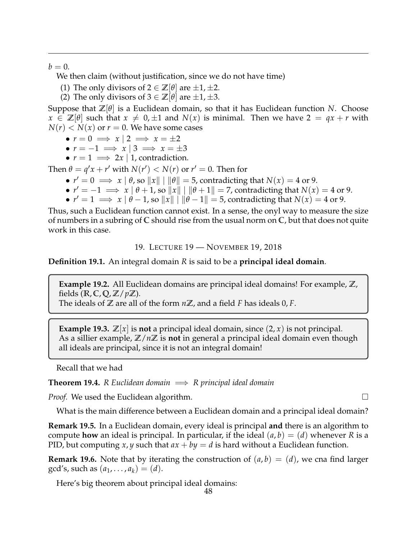$b=0.$ 

We then claim (without justification, since we do not have time)

- (1) The only divisors of  $2 \in \mathbb{Z}[\theta]$  are  $\pm 1, \pm 2$ .
- (2) The only divisors of  $3 \in \mathbb{Z}[\theta]$  are  $\pm 1, \pm 3$ .

Suppose that  $\mathbb{Z}[\theta]$  is a Euclidean domain, so that it has Euclidean function *N*. Choose  $x \in \mathbb{Z}[\theta]$  such that  $x \neq 0, \pm 1$  and  $N(x)$  is minimal. Then we have  $2 = qx + r$  with  $N(r) < N(x)$  or  $r = 0$ . We have some cases

- $r = 0 \implies x \mid 2 \implies x = \pm 2$
- $\bullet$   $r = -1 \implies x \mid 3 \implies x = \pm 3$
- $r = 1 \implies 2x \mid 1$ , contradiction.

Then  $\theta = q'x + r'$  with  $N(r') < N(r)$  or  $r' = 0$ . Then for

- $r' = 0 \implies x | \theta$ , so  $||x|| | ||\theta|| = 5$ , contradicting that  $N(x) = 4$  or 9.
- $r' = -1 \implies x \mid \theta + 1$ , so  $||x|| \mid ||\theta + 1|| = 7$ , contradicting that  $N(x) = 4$  or 9.
- $r' = 1 \implies x | \theta 1$ , so  $||x|| | ||\theta 1|| = 5$ , contradicting that  $N(x) = 4$  or 9.

Thus, such a Euclidean function cannot exist. In a sense, the onyl way to measure the size of numbers in a subring of **C** should rise from the usual norm on **C**, but that does not quite work in this case.

19. LECTURE 19 — NOVEMBER 19, 2018

<span id="page-47-0"></span>**Definition 19.1.** An integral domain *R* is said to be a **principal ideal domain**.

**Example 19.2.** All Euclidean domains are principal ideal domains! For example, **Z**, fields (**R**, **C**, **Q**, **Z**/*p***Z**).

The ideals of **Z** are all of the form *n***Z**, and a field *F* has ideals 0, *F*.

**Example 19.3.**  $\mathbb{Z}[x]$  is **not** a principal ideal domain, since  $(2, x)$  is not principal. As a sillier example,  $\mathbb{Z}/n\mathbb{Z}$  is **not** in general a principal ideal domain even though all ideals are principal, since it is not an integral domain!

Recall that we had

**Theorem 19.4.** *R* Euclidean domain  $\implies$  *R* principal ideal domain

*Proof.* We used the Euclidean algorithm.  $□$ 

What is the main difference between a Euclidean domain and a principal ideal domain?

**Remark 19.5.** In a Euclidean domain, every ideal is principal **and** there is an algorithm to compute **how** an ideal is principal. In particular, if the ideal  $(a, b) = (d)$  whenever R is a PID, but computing *x*, *y* such that  $ax + by = d$  is hard without a Euclidean function.

**Remark 19.6.** Note that by iterating the construction of  $(a, b) = (d)$ , we cna find larger  $gcd's$ , such as  $(a_1, \ldots, a_k) = (d)$ .

Here's big theorem about principal ideal domains: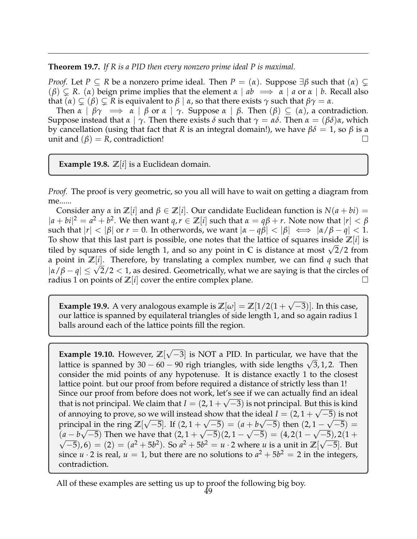**Theorem 19.7.** *If R is a PID then every nonzero prime ideal P is maximal.*

*Proof.* Let  $P \subseteq R$  be a nonzero prime ideal. Then  $P = (\alpha)$ . Suppose  $\exists \beta$  such that  $(\alpha) \subseteq$  $(\beta) \subseteq R$ . (*α*) beign prime implies that the element  $\alpha \mid ab \implies \alpha \mid a$  or  $\alpha \mid b$ . Recall also that  $(\alpha) \subsetneq (\beta) \subsetneq R$  is equivalent to  $\beta | \alpha$ , so that there exists  $\gamma$  such that  $\beta \gamma = \alpha$ .

Then  $\alpha \mid \beta \gamma \implies \alpha \mid \beta$  or  $\alpha \mid \gamma$ . Suppose  $\alpha \mid \beta$ . Then  $(\beta) \subseteq (\alpha)$ , a contradiction. Suppose instead that  $\alpha \mid \gamma$ . Then there exists  $\delta$  such that  $\gamma = \alpha \delta$ . Then  $\alpha = (\beta \delta) \alpha$ , which by cancellation (using that fact that *R* is an integral domain!), we have *βδ* = 1, so *β* is a unit and  $(\beta) = R$ , contradiction!

**Example 19.8.**  $\mathbb{Z}[i]$  is a Euclidean domain.

*Proof.* The proof is very geometric, so you all will have to wait on getting a diagram from me......

Consider any  $\alpha$  in  $\mathbb{Z}[i]$  and  $\beta \in \mathbb{Z}[i]$ . Our candidate Euclidean function is  $N(a + bi) =$  $|a + bi|^2 = a^2 + b^2$ . We then want  $q, r \in \mathbb{Z}[i]$  such that  $\alpha = q\beta + r$ . Note now that  $|r| < \beta$ such that  $|r| < |\beta|$  or  $r = 0$ . In otherwords, we want  $|\alpha - q\beta| < |\beta| \iff |\alpha/\beta - q| < 1$ . To show that this last part is possible, one notes that the lattice of squares inside **Z**[*i*] is tiled by squares of side length 1, and so any point in  $\mathbb C$  is distance at most  $\sqrt{2}/2$  from a point in **Z**[*i*]. Therefore, by translating a complex number, we can find *q* such that *a* point in  $\mathbb{Z}[t]$ . Therefore, by transfating a complex number, we can find q such that  $|\alpha/\beta - q| \leq \sqrt{2}/2 < 1$ , as desired. Geometrically, what we are saying is that the circles of radius 1 on points of  $\mathbb{Z}[i]$  cover the entire complex plane.

**Example 19.9.** A very analogous example is  $\mathbb{Z}[\omega] = \mathbb{Z}[1/2(1+\omega)]$ √  $\overline{-3}$ )]. In this case, our lattice is spanned by equilateral triangles of side length 1, and so again radius 1 balls around each of the lattice points fill the region.

**Example 19.10.** However, **Z**[ √  $\overline{-3}$ ] is NOT a PID. In particular, we have that the **Example 19.10.** However,  $\mathbb{Z}[V-3]$  is included the particular, we have that the lattice is spanned by 30 – 60 – 90 righ triangles, with side lengths  $\sqrt{3}$ , 1, 2. Then consider the mid points of any hypotenuse. It is distance exactly 1 to the closest lattice point. but our proof from before required a distance of strictly less than 1! Since our proof from before does not work, let's see if we can actually find an ideal that is not principal. We claim that  $I = (2, 1 + \sqrt{-3})$  is not principal. But this is kind of annoying to prove, so we will instead show that the ideal  $I = (2, 1 + \sqrt{-5})$  is not principal in the ring  $\mathbb{Z}[\sqrt{-5}]$ . If  $(2, 1 + \sqrt{-5}) = (a + b\sqrt{-5})$  then  $(2, 1 - \sqrt{-5}) =$  $(a - b\sqrt{-5})$  Then we have that  $(2, 1 + \sqrt{-5})(2, 1 - \sqrt{-5}) = (4, 2(1 - \sqrt{-5}), 2(1 + \sqrt{-5}))$  $(−5)$ , 6) = (2) = ( $a^2 + 5b^2$ ). So  $a^2 + 5b^2 = u \cdot 2$  where *u* is a unit in  $\mathbb{Z}[\sqrt{-5}]$ . But since  $u \cdot 2$  is real,  $u = 1$ , but there are no solutions to  $a^2 + 5b^2 = 2$  in the integers, contradiction.

All of these examples are setting us up to proof the following big boy.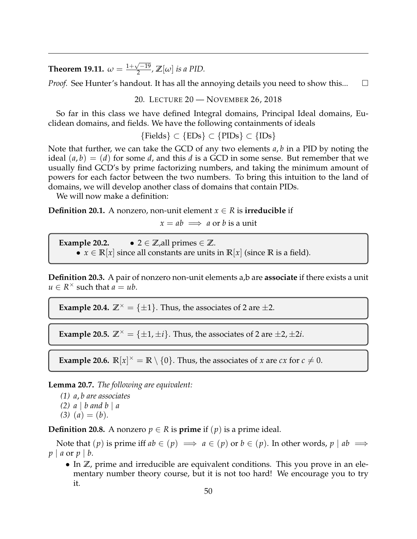**Theorem 19.11.**  $\omega = \frac{1+\sqrt{-19}}{2}$  $\frac{\sqrt{-19}}{2}$ ,  $\mathbb{Z}[\omega]$  *is a PID.* 

<span id="page-49-0"></span>*Proof.* See Hunter's handout. It has all the annoying details you need to show this...  $\square$ 

20. LECTURE 20 — NOVEMBER 26, 2018

So far in this class we have defined Integral domains, Principal Ideal domains, Euclidean domains, and fields. We have the following containments of ideals

 ${Feids} \subset {EDs} \subset {PIDs} \subset {IDs}$ 

Note that further, we can take the GCD of any two elements *a*, *b* in a PID by noting the ideal  $(a, b) = (d)$  for some *d*, and this *d* is a GCD in some sense. But remember that we usually find GCD's by prime factorizing numbers, and taking the minimum amount of powers for each factor between the two numbers. To bring this intuition to the land of domains, we will develop another class of domains that contain PIDs.

We will now make a definition:

**Definition 20.1.** A nonzero, non-unit element  $x \in R$  is **irreducible** if

 $x = ab \implies a$  or *b* is a unit

**Example 20.2.** •  $2 \in \mathbb{Z}$ , all primes  $\in \mathbb{Z}$ . •  $x \in \mathbb{R}[x]$  since all constants are units in  $\mathbb{R}[x]$  (since  $\mathbb{R}$  is a field).

**Definition 20.3.** A pair of nonzero non-unit elements a,b are **associate** if there exists a unit  $u \in R^{\times}$  such that  $\overline{a} = ub$ .

**Example 20.4.**  $\mathbb{Z}^{\times} = {\pm 1}$ . Thus, the associates of 2 are  $\pm 2$ .

**Example 20.5.**  $\mathbb{Z}^{\times} = {\pm 1, \pm i}$ . Thus, the associates of 2 are  $\pm 2, \pm 2i$ .

**Example 20.6.**  $\mathbb{R}[x]^\times = \mathbb{R} \setminus \{0\}$ . Thus, the associates of *x* are *cx* for  $c \neq 0$ .

**Lemma 20.7.** *The following are equivalent:*

- *(1) a*, *b are associates*
- *(2) a* | *b and b* | *a*
- $(3)$   $(a) = (b)$ .

**Definition 20.8.** A nonzero  $p \in R$  is **prime** if  $(p)$  is a prime ideal.

Note that  $(p)$  is prime iff  $ab \in (p) \implies a \in (p)$  or  $b \in (p)$ . In other words,  $p \mid ab \implies$ *p* | *a* or *p* | *b*.

• In **Z**, prime and irreducible are equivalent conditions. This you prove in an elementary number theory course, but it is not too hard! We encourage you to try it.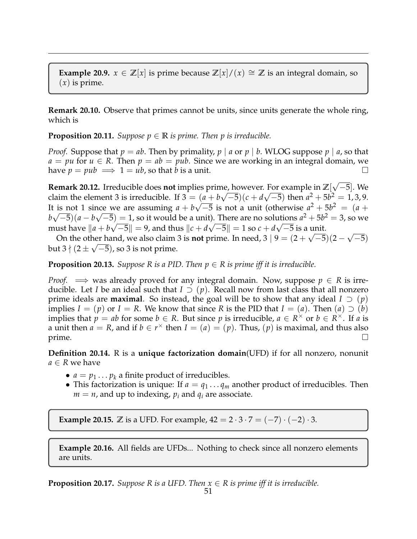**Example 20.9.**  $x \in \mathbb{Z}[x]$  is prime because  $\mathbb{Z}[x]/(x) \cong \mathbb{Z}$  is an integral domain, so (*x*) is prime.

**Remark 20.10.** Observe that primes cannot be units, since units generate the whole ring, which is

**Proposition 20.11.** *Suppose*  $p \in \mathbb{R}$  *is prime. Then p is irreducible.* 

*Proof.* Suppose that  $p = ab$ . Then by primality,  $p \mid a$  or  $p \mid b$ . WLOG suppose  $p \mid a$ , so that  $a = pu$  for  $u \in R$ . Then  $p = ab = pub$ . Since we are working in an integral domain, we have  $p = pub \implies 1 = ub$ , so that *b* is a unit.

**Remark 20.12.** Irreducible does **not** implies prime, however. For example in **Z**[ √ ne, however. For example in  $\mathbb{Z}[\sqrt{-5}]$ . We claim the element 3 is irreducible. If  $3 = (a + b\sqrt{-5})(c + d\sqrt{-5})$  then  $a^2 + 5b^2 = 1,3,9$ . It is not 1 since we are assuming  $a + b\sqrt{-5}$  is not a unit (otherwise  $a^2 + 5b^2 = (a + 1)^2$  $b\sqrt{-5}$ ) $(a - b\sqrt{-5}) = 1$ , so it would be a unit). There are no solutions  $a^2 + 5b^2 = 3$ , so we must have  $||a + b\sqrt{-5}|| = 9$ , and thus  $||c + d\sqrt{-5}|| = 1$  so  $c + d\sqrt{-5}$  is a unit. √

On the other hand, we also claim 3 is **not** prime. In need, 3  $|9 = (2 + \sqrt{-5})(2 - \sqrt{5})$ her hand, we also claim 3 is **not** prime. In need,  $3 | 9 = (2 + \sqrt{-5})(2 - \sqrt{-5})$ but 3  $\nmid (2 \pm \sqrt{-5})$ , so 3 is not prime.

**Proposition 20.13.** *Suppose R is a PID. Then*  $p \in R$  *is prime iff it is irreducible.* 

*Proof.*  $\implies$  was already proved for any integral domain. Now, suppose  $p \in R$  is irreducible. Let *I* be an ideal such that  $I \supset (p)$ . Recall now from last class that all nonzero prime ideals are **maximal**. So instead, the goal will be to show that any ideal  $I \supseteq (p)$ implies *I* = (*p*) or *I* = *R*. We know that since *R* is the PID that *I* = (*a*). Then (*a*)  $\supset$  (*b*) implies that  $p = ab$  for some  $b \in R$ . But since p is irreducible,  $a \in R^{\times}$  or  $b \in R^{\times}$ . If a is a unit then  $a = R$ , and if  $b \in r^{\times}$  then  $I = (a) = (p)$ . Thus,  $(p)$  is maximal, and thus also prime.  $\Box$ 

**Definition 20.14.** R is a **unique factorization domain**(UFD) if for all nonzero, nonunit *a* ∈ *R* we have

- $a = p_1 \dots p_k$  a finite product of irreducibles.
- This factorization is unique: If  $a = q_1 \dots q_m$  another product of irreducibles. Then  $m = n$ , and up to indexing,  $p_i$  and  $q_i$  are associate.

**Example 20.15.**  $\mathbb Z$  is a UFD. For example,  $42 = 2 \cdot 3 \cdot 7 = (-7) \cdot (-2) \cdot 3$ .

**Example 20.16.** All fields are UFDs... Nothing to check since all nonzero elements are units.

**Proposition 20.17.** *Suppose R is a UFD. Then*  $x \in R$  *is prime iff it is irreducible.*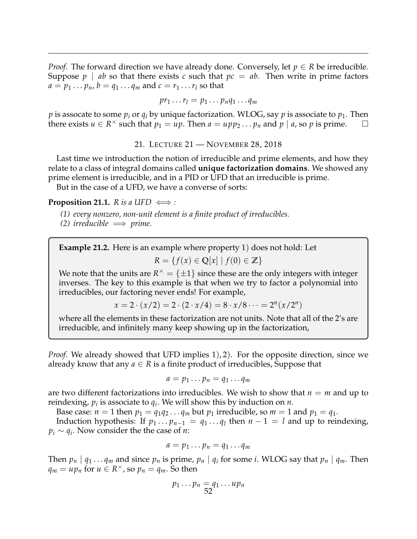*Proof.* The forward direction we have already done. Conversely, let  $p \in R$  be irreducible. Suppose  $p \mid ab$  so that there exists c such that  $pc = ab$ . Then write in prime factors  $a = p_1 \dots p_n$ ,  $b = q_1 \dots q_m$  and  $c = r_1 \dots r_l$  so that

$$
pr_1 \ldots r_l = p_1 \ldots p_n q_1 \ldots q_m
$$

*p* is assocate to some  $p_i$  or  $q_i$  by unique factorization. WLOG, say *p* is associate to  $p_1$ . Then there exists  $u \in R^{\times}$  such that  $p_1 = up$ . Then  $a = upp_2 \dots p_n$  and  $p \mid a$ , so  $p$  is prime.  $\square$ 

21. LECTURE 21 — NOVEMBER 28, 2018

<span id="page-51-0"></span>Last time we introduction the notion of irreducible and prime elements, and how they relate to a class of integral domains called **unique factorization domains**. We showed any prime element is irreducible, and in a PID or UFD that an irreducible is prime.

But in the case of a UFD, we have a converse of sorts:

**Proposition 21.1.** *R* is a UFD  $\iff$  :

- *(1) every nonzero, non-unit element is a finite product of irreducibles.*
- $(2)$  *irreducible*  $\implies$  *prime.*

**Example 21.2.** Here is an example where property 1) does not hold: Let *R* = { $f(x)$  ∈ **Q**[ $x$ ] |  $f(0)$  ∈ **Z**}

We note that the units are  $R^\times = \{\pm 1\}$  since these are the only integers with integer inverses. The key to this example is that when we try to factor a polynomial into irreducibles, our factoring never ends! For example,

 $x = 2 \cdot (x/2) = 2 \cdot (2 \cdot x/4) = 8 \cdot x/8 \cdot \cdot \cdot = 2^n(x/2^n)$ 

where all the elements in these factorization are not units. Note that all of the 2's are irreducible, and infinitely many keep showing up in the factorization,

*Proof.* We already showed that UFD implies 1), 2). For the opposite direction, since we already know that any  $a \in R$  is a finite product of irreducibles, Suppose that

$$
a=p_1\ldots p_n=q_1\ldots q_m
$$

are two different factorizations into irreducibles. We wish to show that  $n = m$  and up to reindexing,  $p_i$  is associate to  $q_i$ . We will show this by induction on  $n$ .

Base case:  $n = 1$  then  $p_1 = q_1 q_2 \ldots q_m$  but  $p_1$  irreducible, so  $m = 1$  and  $p_1 = q_1$ .

Induction hypothesis: If  $p_1 \ldots p_{n-1} = q_1 \ldots q_l$  then  $n-1 = l$  and up to reindexing, *p<sup>i</sup>* ∼ *q<sup>i</sup>* . Now consider the the case of *n*:

$$
a=p_1\ldots p_n=q_1\ldots q_m
$$

Then  $p_n | q_1 ... q_m$  and since  $p_n$  is prime,  $p_n | q_i$  for some *i*. WLOG say that  $p_n | q_m$ . Then  $q_m = up_n$  for  $u \in R^\times$ , so  $p_n = q_m$ . So then

$$
p_1 \dots p_n = q_1 \dots up_n
$$
  
52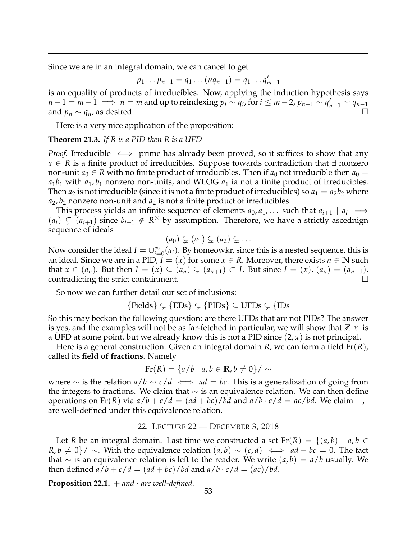Since we are in an integral domain, we can cancel to get

$$
p_1 \dots p_{n-1} = q_1 \dots (uq_{n-1}) = q_1 \dots q'_{m-1}
$$

is an equality of products of irreducibles. Now, applying the induction hypothesis says  $n-1 = m-1 \implies n = m$  and up to reindexing  $p_i \sim q_i$ , for  $i \leq m-2$ ,  $p_{n-1} \sim q'_{n-1} \sim q_{n-1}$ and  $p_n \sim q_n$ , as desired.

Here is a very nice application of the proposition:

# **Theorem 21.3.** *If R is a PID then R is a UFD*

*Proof.* Irreducible  $\iff$  prime has already been proved, so it suffices to show that any *a* ∈ *R* is a finite product of irreducibles. Suppose towards contradiction that ∃ nonzero non-unit  $a_0 \in R$  with no finite product of irreducibles. Then if  $a_0$  not irreducible then  $a_0 =$  $a_1b_1$  with  $a_1, b_1$  nonzero non-units, and WLOG  $a_1$  ia not a finite product of irreducibles. Then  $a_2$  is not irreducible (since it is not a finite product of irreducibles) so  $a_1 = a_2b_2$  where  $a_2, b_2$  nonzero non-unit and  $a_2$  is not a finite product of irreducibles.

This process yields an infinite sequence of elements  $a_0, a_1, \ldots$  such that  $a_{i+1} \mid a_i \implies$  $(a_i) \subsetneq (a_{i+1})$  since  $b_{i+1} \notin R^\times$  by assumption. Therefore, we have a strictly ascednign sequence of ideals

$$
(a_0) \subsetneq (a_1) \subsetneq (a_2) \subsetneq \ldots
$$

Now consider the ideal  $I = \bigcup_{i=0}^{\infty} (a_i)$ . By homeowkr, since this is a nested sequence, this is an ideal. Since we are in a PID,  $I = (x)$  for some  $x \in R$ . Moreover, there exists  $n \in \mathbb{N}$  such that  $x \in (a_n)$ . But then  $I = (x) \subseteq (a_n) \subseteq (a_{n+1}) \subset I$ . But since  $I = (x)$ ,  $(a_n) = (a_{n+1})$ , contradicting the strict containment.

So now we can further detail our set of inclusions:

$$
{\{Fields\}} \subsetneq {\{EDs\}} \subsetneq {\{PIDs\}} \subseteq UFDs \subsetneq {\{IDs}
$$

So this may beckon the following question: are there UFDs that are not PIDs? The answer is yes, and the examples will not be as far-fetched in particular, we will show that  $\mathbb{Z}[x]$  is a UFD at some point, but we already know this is not a PID since (2, *x*) is not principal.

Here is a general construction: Given an integral domain *R*, we can form a field Fr(*R*), called its **field of fractions**. Namely

$$
Fr(R) = \{a/b \mid a, b \in \mathbb{R}, b \neq 0\} / \sim
$$

where ∼ is the relation  $a/b \sim c/d \iff ad = bc$ . This is a generalization of going from the integers to fractions. We claim that  $\sim$  is an equivalence relation. We can then define operations on Fr(*R*) via  $a/b + c/d = (ad + bc)/bd$  and  $a/b \cdot c/d = ac/bd$ . We claim  $+$ , are well-defined under this equivalence relation.

#### 22. LECTURE 22 — DECEMBER 3, 2018

<span id="page-52-0"></span>Let *R* be an integral domain. Last time we constructed a set  $Fr(R) = \{(a, b) \mid a, b \in$  $R, b \neq 0$ }/ ∼. With the equivalence relation  $(a, b) \sim (c, d) \iff ad - bc = 0$ . The fact that  $∼$  is an equivalence relation is left to the reader. We write  $(a, b) = a/b$  usually. We then defined  $a/b + c/d = (ad + bc)/bd$  and  $a/b \cdot c/d = (ac)/bd$ .

**Proposition 22.1.**  $+$  *and*  $\cdot$  *are well-defined.*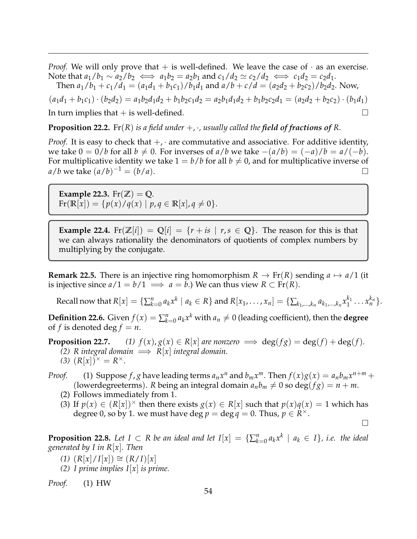*Proof.* We will only prove that  $+$  is well-defined. We leave the case of  $\cdot$  as an exercise. Note that  $a_1/b_1 \sim a_2/b_2 \iff a_1b_2 = a_2b_1$  and  $c_1/d_2 \simeq c_2/d_2 \iff c_1d_2 = c_2d_1$ .

Then  $a_1/b_1 + c_1/d_1 = (a_1d_1 + b_1c_1)/b_1d_1$  and  $a/b + c/d = (a_2d_2 + b_2c_2)/b_2d_2$ . Now,

 $(a_1d_1 + b_1c_1) \cdot (b_2d_2) = a_1b_2d_1d_2 + b_1b_2c_1d_2 = a_2b_1d_1d_2 + b_1b_2c_2d_1 = (a_2d_2 + b_2c_2) \cdot (b_1d_1)$ In turn implies that  $+$  is well-defined.

**Proposition 22.2.** Fr(*R*) *is a field under*  $+$ *,*  $\cdot$ *, usually called the field of fractions of R.* 

*Proof.* It is easy to check that  $+$ ,  $\cdot$  are commutative and associative. For additive identity, we take  $0 = 0/b$  for all  $b \neq 0$ . For inverses of  $a/b$  we take  $-(a/b) = (-a)/b = a/(-b)$ . For multiplicative identity we take  $1 = b/b$  for all  $b \neq 0$ , and for multiplicative inverse of  $a/b$  we take  $(a/b)^{-1} = (b/a)$ .

**Example 22.3.** Fr( $\mathbb{Z}$ ) = Q.  $\text{Fr}(\mathbb{R}[x]) = \{p(x)/q(x) \mid p, q \in \mathbb{R}[x], q \neq 0\}.$ 

**Example 22.4.** Fr $(\mathbb{Z}[i]) = \mathbb{Q}[i] = \{r + is \mid r, s \in \mathbb{Q}\}$ . The reason for this is that we can always rationality the denominators of quotients of complex numbers by multiplying by the conjugate.

**Remark 22.5.** There is an injective ring homomorphism  $R \to Fr(R)$  sending  $a \mapsto a/1$  (it is injective since  $a/1 = b/1 \implies a = b$ .) We can thus view  $R \subset Fr(R)$ .

Recall now that  $R[x]=\{\sum_{k=0}^na_kx^k\mid a_k\in R\}$  and  $R[x_1,\ldots,x_n]=\{\sum_{k_1,\ldots,k_n}a_{k_1,\ldots,k_n}x_1^{k_1}$  $x_1^{k_1} \ldots x_n^{k_n}$ .

**Definition 22.6.** Given  $f(x) = \sum_{k=0}^{n} a_k x^k$  with  $a_n \neq 0$  (leading coefficient), then the **degree** of *f* is denoted deg  $f = n$ .

**Proposition 22.7.**  $(1) f(x), g(x) \in R[x]$  are nonzero  $\implies$  deg( $fg$ ) = deg( $f$ ) + deg( $f$ ).

- *(2) R* integral domain  $\implies$  *R*[*x*] integral domain.
- (3)  $(R[x])^{\times} = R^{\times}$ .

*Proof.* (1) Suppose  $f$ ,  $g$  have leading terms  $a_n x^n$  and  $b_m x^m$ . Then  $f(x)g(x) = a_n b_m x^{n+m} +$ (lowerdegreeterms). *R* being an integral domain  $a_n b_m \neq 0$  so deg( $fg$ ) =  $n + m$ .

- (2) Follows immediately from 1.
- (3) If  $p(x) \in (R[x])^{\times}$  then there exists  $g(x) \in R[x]$  such that  $p(x)q(x) = 1$  which has degree 0, so by 1. we must have deg  $p = \deg q = 0$ . Thus,  $p \in R^{\times}$ .  $\Box$

**Proposition 22.8.** Let  $I \subset R$  be an ideal and let  $I[x] = \{\sum_{k=0}^{n} a_k x^k \mid a_k \in I\}$ , i.e. the ideal *generated by I in R*[*x*]*. Then*

- $(1)$   $(R[x]/I[x]) \cong (R/I)[x]$
- *(2) I prime implies I*[*x*] *is prime.*

*Proof.* (1) HW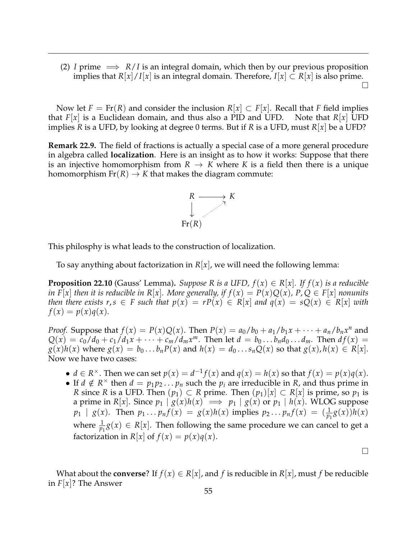(2) *I* prime  $\implies R/I$  is an integral domain, which then by our previous proposition implies that  $R[x]/I[x]$  is an integral domain. Therefore,  $I[x] \subset R[x]$  is also prime.  $\Box$ 

Now let  $F = Fr(R)$  and consider the inclusion  $R[x] \subset F[x]$ . Recall that *F* field implies that *F*[*x*] is a Euclidean domain, and thus also a PID and UFD. Note that *R*[*x*] UFD implies *R* is a UFD, by looking at degree 0 terms. But if *R* is a UFD, must *R*[*x*] be a UFD?

**Remark 22.9.** The field of fractions is actually a special case of a more general procedure in algebra called **localization**. Here is an insight as to how it works: Suppose that there is an injective homomorphism from  $R \to K$  where K is a field then there is a unique homomorphism  $Fr(R) \to K$  that makes the diagram commute:



This philosphy is what leads to the construction of localization.

To say anything about factorization in  $R[x]$ , we will need the following lemma:

**Proposition 22.10** (Gauss' Lemma). *Suppose R is a UFD,*  $f(x) \in R[x]$ . If  $f(x)$  *is a reducible in*  $\overline{F}[x]$  *then it is reducible in*  $R[x]$ *. More generally, if*  $f(x) = P(x)Q(x)$ *,*  $P, Q \in F[x]$  *nonunits then there exists r, s*  $\in$  *F such that*  $p(x) = rP(x) \in R[x]$  *and*  $q(x) = sQ(x) \in R[x]$  *with*  $f(x) = p(x)q(x)$ .

*Proof.* Suppose that  $f(x) = P(x)Q(x)$ . Then  $P(x) = a_0/b_0 + a_1/b_1x + \cdots + a_n/b_nx^n$  and  $Q(x) = c_0/d_0 + c_1/d_1x + \cdots + c_m/d_mx^m$ . Then let  $d = b_0 \ldots b_n d_0 \ldots d_m$ . Then  $df(x) =$  $g(x)h(x)$  where  $g(x) = b_0 \dots b_n P(x)$  and  $h(x) = d_0 \dots s_n Q(x)$  so that  $g(x)$ ,  $h(x) \in R[x]$ . Now we have two cases:

- $d \in \mathbb{R}^{\times}$ . Then we can set  $p(x) = d^{-1}f(x)$  and  $q(x) = h(x)$  so that  $f(x) = p(x)q(x)$ .
- If  $d \notin R^\times$  then  $d = p_1 p_2 ... p_n$  such the  $p_i$  are irreducible in *R*, and thus prime in *R* since *R* is a UFD. Then  $(p_1)$  ⊂ *R* prime. Then  $(p_1)[x]$  ⊂ *R*[*x*] is prime, so  $p_1$  is a prime in *R*[*x*]. Since  $p_1 | g(x)h(x) \implies p_1 | g(x)$  or  $p_1 | h(x)$ . WLOG suppose  $p_1 | g(x)$ . Then  $p_1 ... p_n f(x) = g(x)h(x)$  implies  $p_2 ... p_n f(x) = (\frac{1}{p_1}g(x))h(x)$ where  $\frac{1}{p_1}g(x) \in R[x]$ . Then following the same procedure we can cancel to get a factorization in  $R[x]$  of  $f(x) = p(x)q(x)$ .

 $\Box$ 

What about the **converse**? If  $f(x) \in R[x]$ , and  $f$  is reducible in  $R[x]$ , must  $f$  be reducible in *F*[*x*]? The Answer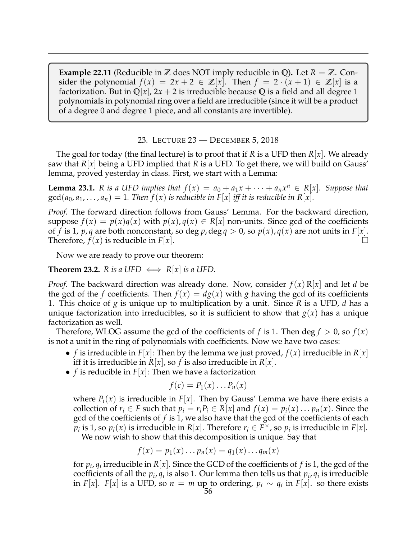**Example 22.11** (Reducible in  $\mathbb{Z}$  does NOT imply reducible in Q). Let  $R = \mathbb{Z}$ . Consider the polynomial  $f(x) = 2x + 2 \in \mathbb{Z}[x]$ . Then  $f = 2 \cdot (x + 1) \in \mathbb{Z}[x]$  is a factorization. But in  $\mathbb{Q}[x]$ ,  $2x + 2$  is irreducible because Q is a field and all degree 1 polynomials in polynomial ring over a field are irreducible (since it will be a product of a degree 0 and degree 1 piece, and all constants are invertible).

23. LECTURE 23 — DECEMBER 5, 2018

<span id="page-55-0"></span>The goal for today (the final lecture) is to proof that if *R* is a UFD then *R*[*x*]. We already saw that *R*[*x*] being a UFD implied that *R* is a UFD. To get there, we will build on Gauss' lemma, proved yesterday in class. First, we start with a Lemma:

**Lemma 23.1.** *R* is a UFD implies that  $f(x) = a_0 + a_1x + \cdots + a_nx^n \in R[x]$ . Suppose that  $gcd(a_0, a_1, \ldots, a_n) = 1$ . Then  $f(x)$  is reducible in  $F[x]$  iff it is reducible in  $R[x]$ .

*Proof.* The forward direction follows from Gauss' Lemma. For the backward direction, suppose  $f(x) = p(x)q(x)$  with  $p(x), q(x) \in R[x]$  non-units. Since gcd of the coefficients of *f* is 1, *p*, *q* are both nonconstant, so deg *p*, deg  $q > 0$ , so  $p(x)$ ,  $q(x)$  are not units in  $F[x]$ . Therefore,  $f(x)$  is reducible in  $F[x]$ .

Now we are ready to prove our theorem:

**Theorem 23.2.** *R is a* UFD  $\iff$  *R*[*x*] *is a* UFD.

*Proof.* The backward direction was already done. Now, consider  $f(x) R[x]$  and let *d* be the gcd of the *f* coefficients. Then  $f(x) = dg(x)$  with *g* having the gcd of its coefficients 1. This choice of *g* is unique up to multiplication by a unit. Since *R* is a UFD, *d* has a unique factorization into irreducibles, so it is sufficient to show that  $g(x)$  has a unique factorization as well.

Therefore, WLOG assume the gcd of the coefficients of f is 1. Then deg  $f > 0$ , so  $f(x)$ is not a unit in the ring of polynomials with coefficients. Now we have two cases:

- *f* is irreducible in *F*|*x*|: Then by the lemma we just proved,  $f(x)$  irreducible in  $R|x|$ iff it is irreducible in  $R[x]$ , so f is also irreducible in  $R[x]$ .
- *f* is reducible in  $F[x]$ : Then we have a factorization

$$
f(c) = P_1(x) \dots P_n(x)
$$

where  $P_i(x)$  is irreducible in  $F[x]$ . Then by Gauss' Lemma we have there exists a collection of  $r_i \in F$  such that  $p_i = r_i P_i \in R[x]$  and  $f(x) = p_i(x) \dots p_n(x)$ . Since the gcd of the coefficients of *f* is 1, we also have that the gcd of the coefficients of each  $\widetilde{p}_i$  is 1, so  $p_i(x)$  is irreducible in  $R[x]$ . Therefore  $r_i \in F^\times$ , so  $p_i$  is irreducible in  $F[x]$ . We now wish to show that this decomposition is unique. Say that

$$
f(x) = p_1(x) \dots p_n(x) = q_1(x) \dots q_m(x)
$$

for  $p_i$ ,  $q_i$  irreducible in  $R[x]$ . Since the GCD of the coefficients of  $f$  is 1, the gcd of the coefficients of all the  $p_i$ ,  $q_i$  is also 1. Our lemma then tells us that  $p_i$ ,  $q_i$  is irreducible in *F*[*x*]. *F*[*x*] is a UFD, so  $n = m$  up to ordering,  $p_i \sim q_i$  in *F*[*x*]. so there exists